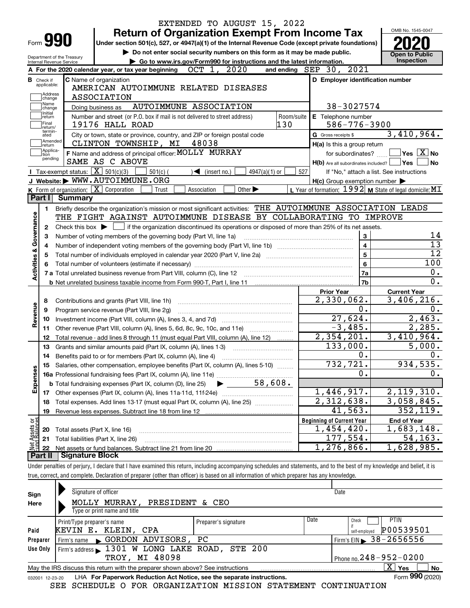|                                |                                  |                                                                                                                                             | EXTENDED TO AUGUST 15, 2022                                                                                                                                                |                   |                                                     |                                                           |  |
|--------------------------------|----------------------------------|---------------------------------------------------------------------------------------------------------------------------------------------|----------------------------------------------------------------------------------------------------------------------------------------------------------------------------|-------------------|-----------------------------------------------------|-----------------------------------------------------------|--|
|                                |                                  |                                                                                                                                             | <b>Return of Organization Exempt From Income Tax</b>                                                                                                                       |                   |                                                     | OMB No. 1545-0047                                         |  |
| Form 990                       |                                  |                                                                                                                                             | Under section 501(c), 527, or 4947(a)(1) of the Internal Revenue Code (except private foundations)                                                                         |                   |                                                     |                                                           |  |
| Department of the Treasury     |                                  |                                                                                                                                             | Do not enter social security numbers on this form as it may be made public.                                                                                                |                   |                                                     | <b>Open to Public</b>                                     |  |
|                                |                                  | Internal Revenue Service                                                                                                                    | Go to www.irs.gov/Form990 for instructions and the latest information.                                                                                                     |                   |                                                     | Inspection                                                |  |
|                                |                                  |                                                                                                                                             | OCT 1, 2020<br>A For the 2020 calendar year, or tax year beginning                                                                                                         |                   | 2021<br>and ending $SEP$ 30,                        |                                                           |  |
|                                | <b>B</b> Check if<br>applicable: |                                                                                                                                             | <b>C</b> Name of organization                                                                                                                                              |                   | D Employer identification number                    |                                                           |  |
|                                | Address                          |                                                                                                                                             | AMERICAN AUTOIMMUNE RELATED DISEASES                                                                                                                                       |                   |                                                     |                                                           |  |
|                                | change<br>Name                   |                                                                                                                                             | <b>ASSOCIATION</b>                                                                                                                                                         |                   |                                                     |                                                           |  |
|                                | change<br>Initial                |                                                                                                                                             | AUTOIMMUNE ASSOCIATION<br>Doing business as                                                                                                                                |                   | 38-3027574                                          |                                                           |  |
|                                | return<br> Final                 |                                                                                                                                             | Number and street (or P.O. box if mail is not delivered to street address)<br>19176 HALL ROAD                                                                              | Room/suite<br>130 | E Telephone number<br>$586 - 776 - 3900$            |                                                           |  |
|                                | return/<br>termin-               |                                                                                                                                             |                                                                                                                                                                            |                   |                                                     | 3,410,964.                                                |  |
|                                | ated<br>Amended                  |                                                                                                                                             | City or town, state or province, country, and ZIP or foreign postal code<br>CLINTON TOWNSHIP, MI<br>48038                                                                  |                   | G Gross receipts \$                                 |                                                           |  |
|                                | return<br>Applica-<br>tion       |                                                                                                                                             | F Name and address of principal officer: MOLLY MURRAY                                                                                                                      |                   | H(a) Is this a group return<br>for subordinates?    | $Yes \vert X \vert No$                                    |  |
|                                | pending                          |                                                                                                                                             | SAME AS C ABOVE                                                                                                                                                            |                   | $H(b)$ Are all subordinates included?               | Yes<br>No                                                 |  |
|                                |                                  | Tax-exempt status: $\boxed{\mathbf{X}}$ 501(c)(3)                                                                                           | $501(c)$ (<br>$\sqrt{\bullet}$ (insert no.)<br>$4947(a)(1)$ or                                                                                                             | 527               |                                                     | If "No," attach a list. See instructions                  |  |
|                                |                                  |                                                                                                                                             | J Website: WWW.AUTOIMMUNE.ORG                                                                                                                                              |                   | $H(c)$ Group exemption number $\blacktriangleright$ |                                                           |  |
|                                |                                  | <b>K</b> Form of organization: $\boxed{\textbf{X}}$ Corporation                                                                             | Association<br>Other $\blacktriangleright$<br>Trust                                                                                                                        |                   |                                                     | L Year of formation: $1992$ M State of legal domicile: MT |  |
|                                | Part I                           | Summary                                                                                                                                     |                                                                                                                                                                            |                   |                                                     |                                                           |  |
|                                | 1.                               |                                                                                                                                             | Briefly describe the organization's mission or most significant activities: THE AUTOIMMUNE ASSOCIATION LEADS                                                               |                   |                                                     |                                                           |  |
| Governance                     |                                  |                                                                                                                                             | THE FIGHT AGAINST AUTOIMMUNE DISEASE BY COLLABORATING TO IMPROVE                                                                                                           |                   |                                                     |                                                           |  |
|                                | 2                                | Check this box $\blacktriangleright$ $\Box$ if the organization discontinued its operations or disposed of more than 25% of its net assets. |                                                                                                                                                                            |                   |                                                     |                                                           |  |
|                                | З                                |                                                                                                                                             | Number of voting members of the governing body (Part VI, line 1a)                                                                                                          |                   | 3                                                   | 14                                                        |  |
|                                | 4                                |                                                                                                                                             |                                                                                                                                                                            |                   | $\overline{\mathbf{4}}$                             | $\overline{13}$                                           |  |
| <b>Activities &amp;</b>        | 5                                |                                                                                                                                             |                                                                                                                                                                            |                   | 5                                                   | $\overline{12}$                                           |  |
|                                | 6                                |                                                                                                                                             |                                                                                                                                                                            |                   | 6                                                   | 100                                                       |  |
|                                |                                  |                                                                                                                                             |                                                                                                                                                                            |                   | 7a                                                  | 0.                                                        |  |
|                                |                                  |                                                                                                                                             |                                                                                                                                                                            |                   | 7b                                                  | 0.                                                        |  |
|                                |                                  |                                                                                                                                             |                                                                                                                                                                            |                   | <b>Prior Year</b>                                   | <b>Current Year</b><br>3,406,216.                         |  |
|                                | 8                                |                                                                                                                                             | Contributions and grants (Part VIII, line 1h)                                                                                                                              |                   | 2,330,062.<br>0.                                    | 0.                                                        |  |
| Revenue                        | 9                                |                                                                                                                                             | Program service revenue (Part VIII, line 2g)                                                                                                                               |                   | 27,624.                                             | 2,463.                                                    |  |
|                                | 10                               |                                                                                                                                             | Other revenue (Part VIII, column (A), lines 5, 6d, 8c, 9c, 10c, and 11e)                                                                                                   |                   | $-3,485.$                                           | 2,285.                                                    |  |
|                                | 11<br>12                         |                                                                                                                                             | Total revenue - add lines 8 through 11 (must equal Part VIII, column (A), line 12)                                                                                         |                   | 2,354,201.                                          | 3,410,964.                                                |  |
|                                | 13                               |                                                                                                                                             | Grants and similar amounts paid (Part IX, column (A), lines 1-3)                                                                                                           |                   | 133,000.                                            | 5,000.                                                    |  |
|                                | 14                               |                                                                                                                                             | Benefits paid to or for members (Part IX, column (A), line 4)                                                                                                              |                   | 0.                                                  | 0.                                                        |  |
|                                |                                  |                                                                                                                                             | Salaries, other compensation, employee benefits (Part IX, column (A), lines 5-10)                                                                                          |                   | 732,721.                                            | 934,535.                                                  |  |
| Expenses                       |                                  |                                                                                                                                             |                                                                                                                                                                            |                   | О.                                                  | 0.                                                        |  |
|                                |                                  |                                                                                                                                             | 58,608.<br><b>b</b> Total fundraising expenses (Part IX, column (D), line 25)                                                                                              |                   |                                                     |                                                           |  |
|                                |                                  |                                                                                                                                             |                                                                                                                                                                            |                   | 1,446,917.                                          | 2,119,310.                                                |  |
|                                | 18                               |                                                                                                                                             | Total expenses. Add lines 13-17 (must equal Part IX, column (A), line 25)                                                                                                  |                   | $\overline{2,312,638}$ .                            | 3,058,845.                                                |  |
|                                | 19                               |                                                                                                                                             |                                                                                                                                                                            |                   | 41,563.                                             | 352, 119.                                                 |  |
| Net Assets or<br>Fund Balances |                                  |                                                                                                                                             |                                                                                                                                                                            |                   | <b>Beginning of Current Year</b>                    | <b>End of Year</b>                                        |  |
|                                | 20                               | Total assets (Part X, line 16)                                                                                                              |                                                                                                                                                                            |                   | $\overline{1,454,420}$ .                            | 1,683,148.                                                |  |
|                                | 21                               |                                                                                                                                             | Total liabilities (Part X, line 26)                                                                                                                                        |                   | 177,554.                                            | 54,163.                                                   |  |
|                                | 22                               |                                                                                                                                             |                                                                                                                                                                            |                   | 1,276,866.                                          | 1,628,985.                                                |  |
|                                | <b>Part II</b>                   | <b>Signature Block</b>                                                                                                                      |                                                                                                                                                                            |                   |                                                     |                                                           |  |
|                                |                                  |                                                                                                                                             | Under penalties of perjury, I declare that I have examined this return, including accompanying schedules and statements, and to the best of my knowledge and belief, it is |                   |                                                     |                                                           |  |

true, correct, and complete. Declaration of preparer (other than officer) is based on all information of which preparer has any knowledge.

| Sign            | Signature of officer                                                            |                      |      | Date                           |
|-----------------|---------------------------------------------------------------------------------|----------------------|------|--------------------------------|
| Here            | MOLLY MURRAY, PRESIDENT & CEO                                                   |                      |      |                                |
|                 | Type or print name and title                                                    |                      |      |                                |
|                 | Print/Type preparer's name                                                      | Preparer's signature | Date | <b>PTIN</b><br>Check           |
| Paid            | KEVIN E. KLEIN, CPA                                                             |                      |      | P00539501<br>self-employed     |
| Preparer        | Firm's name GORDON ADVISORS, PC                                                 |                      |      | Firm's EIN $\geq 38 - 2656556$ |
| Use Only        | Firm's address 1301 W LONG LAKE ROAD, STE 200                                   |                      |      |                                |
|                 | TROY, MI 48098                                                                  |                      |      | Phone no. $248 - 952 - 0200$   |
|                 | May the IRS discuss this return with the preparer shown above? See instructions |                      |      | $\overline{X}$ Yes<br>No       |
| 032001 12-23-20 | LHA For Paperwork Reduction Act Notice, see the separate instructions.          |                      |      | Form 990 (2020)                |

SEE SCHEDULE O FOR ORGANIZATION MISSION STATEMENT CONTINUATION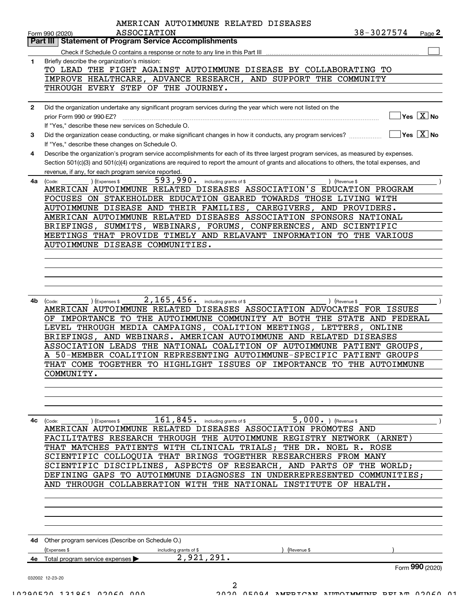|              | AMERICAN AUTOIMMUNE RELATED DISEASES                                                                                                                            |            |                                                 |
|--------------|-----------------------------------------------------------------------------------------------------------------------------------------------------------------|------------|-------------------------------------------------|
|              | <b>ASSOCIATION</b><br>Form 990 (2020)<br>Part III   Statement of Program Service Accomplishments                                                                | 38-3027574 | Page 2                                          |
|              |                                                                                                                                                                 |            |                                                 |
| $\mathbf{1}$ | Briefly describe the organization's mission:                                                                                                                    |            |                                                 |
|              | TO LEAD THE FIGHT AGAINST AUTOIMMUNE DISEASE BY COLLABORATING TO                                                                                                |            |                                                 |
|              | IMPROVE HEALTHCARE, ADVANCE RESEARCH, AND SUPPORT THE COMMUNITY                                                                                                 |            |                                                 |
|              | THROUGH EVERY STEP OF THE JOURNEY.                                                                                                                              |            |                                                 |
|              |                                                                                                                                                                 |            |                                                 |
| $\mathbf{2}$ | Did the organization undertake any significant program services during the year which were not listed on the                                                    |            |                                                 |
|              | prior Form 990 or 990-EZ?                                                                                                                                       |            | $\boxed{\phantom{1}}$ Yes $\boxed{\text{X}}$ No |
|              | If "Yes," describe these new services on Schedule O.                                                                                                            |            | $\boxed{\phantom{1}}$ Yes $\boxed{\text{X}}$ No |
| 3            | Did the organization cease conducting, or make significant changes in how it conducts, any program services?<br>If "Yes," describe these changes on Schedule O. |            |                                                 |
| 4            | Describe the organization's program service accomplishments for each of its three largest program services, as measured by expenses.                            |            |                                                 |
|              | Section 501(c)(3) and 501(c)(4) organizations are required to report the amount of grants and allocations to others, the total expenses, and                    |            |                                                 |
|              | revenue, if any, for each program service reported.                                                                                                             |            |                                                 |
| 4a l         | 593,990. including grants of \$<br>) (Expenses \$<br>) (Revenue \$<br>(Code:                                                                                    |            |                                                 |
|              | AMERICAN AUTOIMMUNE RELATED DISEASES ASSOCIATION'S EDUCATION PROGRAM                                                                                            |            |                                                 |
|              | FOCUSES ON STAKEHOLDER EDUCATION GEARED TOWARDS THOSE LIVING WITH                                                                                               |            |                                                 |
|              | AUTOIMMUNE DISEASE AND THEIR FAMILIES, CAREGIVERS, AND PROVIDERS.                                                                                               |            |                                                 |
|              | AMERICAN AUTOIMMUNE RELATED DISEASES ASSOCIATION SPONSORS NATIONAL                                                                                              |            |                                                 |
|              | BRIEFINGS, SUMMITS, WEBINARS, FORUMS, CONFERENCES, AND SCIENTIFIC<br>MEETINGS THAT PROVIDE TIMELY AND RELAVANT INFORMATION TO THE VARIOUS                       |            |                                                 |
|              | AUTOIMMUNE DISEASE COMMUNITIES.                                                                                                                                 |            |                                                 |
|              |                                                                                                                                                                 |            |                                                 |
|              |                                                                                                                                                                 |            |                                                 |
|              |                                                                                                                                                                 |            |                                                 |
|              |                                                                                                                                                                 |            |                                                 |
|              |                                                                                                                                                                 |            |                                                 |
| 4b l         | $2$ , $165$ , $456$ . including grants of \$<br>) (Expenses \$<br>) (Revenue \$<br>(Code:                                                                       |            |                                                 |
|              | AMERICAN AUTOIMMUNE RELATED DISEASES ASSOCIATION ADVOCATES FOR ISSUES                                                                                           |            |                                                 |
|              | IMPORTANCE TO THE AUTOIMMUNE COMMUNITY AT BOTH THE STATE AND FEDERAL<br>OF<br>LEVEL THROUGH MEDIA CAMPAIGNS, COALITION MEETINGS, LETTERS, ONLINE                |            |                                                 |
|              | BRIEFINGS, AND WEBINARS. AMERICAN AUTOIMMUNE AND RELATED DISEASES                                                                                               |            |                                                 |
|              | ASSOCIATION LEADS THE NATIONAL COALITION OF AUTOIMMUNE PATIENT GROUPS,                                                                                          |            |                                                 |
|              | 50-MEMBER COALITION REPRESENTING AUTOIMMUNE-SPECIFIC PATIENT GROUPS                                                                                             |            |                                                 |
|              | THAT COME TOGETHER TO HIGHLIGHT ISSUES OF IMPORTANCE TO THE AUTOIMMUNE                                                                                          |            |                                                 |
|              | COMMUNITY.                                                                                                                                                      |            |                                                 |
|              |                                                                                                                                                                 |            |                                                 |
|              |                                                                                                                                                                 |            |                                                 |
|              |                                                                                                                                                                 |            |                                                 |
|              |                                                                                                                                                                 |            |                                                 |
| 4c           | $161$ , $845$ . including grants of \$<br>5,000. $ $ (Revenue \$<br>(Expenses \$<br>(Code:<br>AMERICAN AUTOIMMUNE RELATED DISEASES ASSOCIATION PROMOTES AND     |            |                                                 |
|              | FACILITATES RESEARCH THROUGH THE AUTOIMMUNE REGISTRY NETWORK (ARNET)                                                                                            |            |                                                 |
|              | THAT MATCHES PATIENTS WITH CLINICAL TRIALS; THE DR. NOEL R. ROSE                                                                                                |            |                                                 |
|              | SCIENTIFIC COLLOQUIA THAT BRINGS TOGETHER RESEARCHERS FROM MANY                                                                                                 |            |                                                 |
|              | SCIENTIFIC DISCIPLINES, ASPECTS OF RESEARCH, AND PARTS OF THE WORLD;                                                                                            |            |                                                 |
|              | DEFINING GAPS TO AUTOIMMUNE DIAGNOSES IN UNDERREPRESENTED COMMUNITIES;                                                                                          |            |                                                 |
|              | AND THROUGH COLLABERATION WITH THE NATIONAL INSTITUTE OF HEALTH.                                                                                                |            |                                                 |
|              |                                                                                                                                                                 |            |                                                 |
|              |                                                                                                                                                                 |            |                                                 |
|              |                                                                                                                                                                 |            |                                                 |
|              |                                                                                                                                                                 |            |                                                 |
|              | 4d Other program services (Describe on Schedule O.)                                                                                                             |            |                                                 |
|              | (Expenses \$<br>(Revenue \$<br>including grants of \$                                                                                                           |            |                                                 |
|              | 2,921,291.<br>4e Total program service expenses >                                                                                                               |            |                                                 |
|              |                                                                                                                                                                 |            | Form 990 (2020)                                 |
|              | 032002 12-23-20                                                                                                                                                 |            |                                                 |
|              | $\overline{2}$                                                                                                                                                  |            |                                                 |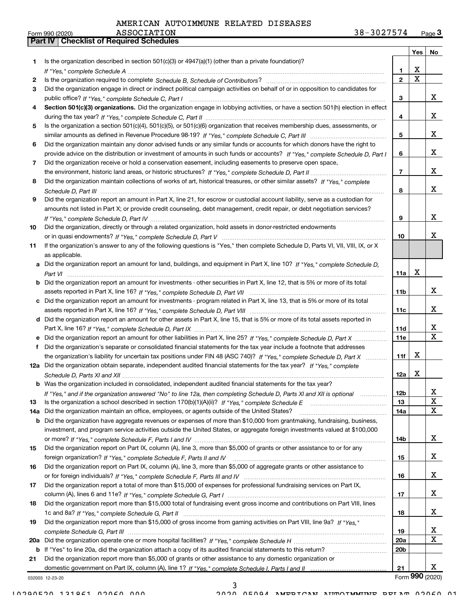Part IV | Checklist of Required Schedules

|     |                                                                                                                                       |                 | Yes | No.             |
|-----|---------------------------------------------------------------------------------------------------------------------------------------|-----------------|-----|-----------------|
| 1.  | Is the organization described in section $501(c)(3)$ or $4947(a)(1)$ (other than a private foundation)?                               |                 |     |                 |
|     |                                                                                                                                       | 1               | x   |                 |
| 2   |                                                                                                                                       | $\mathbf{2}$    | x   |                 |
| З   | Did the organization engage in direct or indirect political campaign activities on behalf of or in opposition to candidates for       |                 |     |                 |
|     |                                                                                                                                       | 3               |     | х               |
|     | Section 501(c)(3) organizations. Did the organization engage in lobbying activities, or have a section 501(h) election in effect      |                 |     |                 |
|     |                                                                                                                                       | 4               |     | х               |
| 5   | Is the organization a section 501(c)(4), 501(c)(5), or 501(c)(6) organization that receives membership dues, assessments, or          |                 |     |                 |
|     |                                                                                                                                       | 5               |     | х               |
| 6   | Did the organization maintain any donor advised funds or any similar funds or accounts for which donors have the right to             |                 |     |                 |
|     | provide advice on the distribution or investment of amounts in such funds or accounts? If "Yes," complete Schedule D, Part I          | 6               |     | х               |
| 7   | Did the organization receive or hold a conservation easement, including easements to preserve open space,                             |                 |     |                 |
|     |                                                                                                                                       | 7               |     | х               |
| 8   | Did the organization maintain collections of works of art, historical treasures, or other similar assets? If "Yes," complete          |                 |     |                 |
|     |                                                                                                                                       | 8               |     | х               |
| 9   | Did the organization report an amount in Part X, line 21, for escrow or custodial account liability, serve as a custodian for         |                 |     |                 |
|     | amounts not listed in Part X; or provide credit counseling, debt management, credit repair, or debt negotiation services?             |                 |     |                 |
|     |                                                                                                                                       | 9               |     | х               |
|     |                                                                                                                                       |                 |     |                 |
| 10  | Did the organization, directly or through a related organization, hold assets in donor-restricted endowments                          |                 |     | x               |
|     |                                                                                                                                       | 10              |     |                 |
| 11  | If the organization's answer to any of the following questions is "Yes," then complete Schedule D, Parts VI, VII, VIII, IX, or X      |                 |     |                 |
|     | as applicable.                                                                                                                        |                 |     |                 |
|     | a Did the organization report an amount for land, buildings, and equipment in Part X, line 10? If "Yes." complete Schedule D.         |                 |     |                 |
|     |                                                                                                                                       | 11a             | х   |                 |
|     | <b>b</b> Did the organization report an amount for investments - other securities in Part X, line 12, that is 5% or more of its total |                 |     |                 |
|     |                                                                                                                                       | 11 <sub>b</sub> |     | х               |
|     | c Did the organization report an amount for investments - program related in Part X, line 13, that is 5% or more of its total         |                 |     |                 |
|     |                                                                                                                                       | 11c             |     | х               |
|     | d Did the organization report an amount for other assets in Part X, line 15, that is 5% or more of its total assets reported in       |                 |     |                 |
|     |                                                                                                                                       | 11d             |     | x               |
|     |                                                                                                                                       | 11e             |     | x               |
| f   | Did the organization's separate or consolidated financial statements for the tax year include a footnote that addresses               |                 |     |                 |
|     | the organization's liability for uncertain tax positions under FIN 48 (ASC 740)? If "Yes," complete Schedule D, Part X                | 11f             | х   |                 |
|     | 12a Did the organization obtain separate, independent audited financial statements for the tax year? If "Yes," complete               |                 |     |                 |
|     |                                                                                                                                       | 12a             | х   |                 |
|     | <b>b</b> Was the organization included in consolidated, independent audited financial statements for the tax year?                    |                 |     |                 |
|     | If "Yes," and if the organization answered "No" to line 12a, then completing Schedule D, Parts XI and XII is optional                 | 12 <sub>b</sub> |     | х               |
| 13  | Is the organization a school described in section 170(b)(1)(A)(ii)? If "Yes," complete Schedule E                                     | 13              |     | X               |
| 14a | Did the organization maintain an office, employees, or agents outside of the United States?                                           | 14a             |     | x               |
|     | b Did the organization have aggregate revenues or expenses of more than \$10,000 from grantmaking, fundraising, business,             |                 |     |                 |
|     | investment, and program service activities outside the United States, or aggregate foreign investments valued at \$100,000            |                 |     |                 |
|     |                                                                                                                                       | 14b             |     | x               |
| 15  | Did the organization report on Part IX, column (A), line 3, more than \$5,000 of grants or other assistance to or for any             |                 |     |                 |
|     |                                                                                                                                       | 15              |     | х               |
| 16  | Did the organization report on Part IX, column (A), line 3, more than \$5,000 of aggregate grants or other assistance to              |                 |     |                 |
|     |                                                                                                                                       | 16              |     | х               |
| 17  | Did the organization report a total of more than \$15,000 of expenses for professional fundraising services on Part IX,               |                 |     |                 |
|     |                                                                                                                                       | 17              |     | х               |
|     | Did the organization report more than \$15,000 total of fundraising event gross income and contributions on Part VIII, lines          |                 |     |                 |
| 18  |                                                                                                                                       |                 |     | х               |
|     |                                                                                                                                       | 18              |     |                 |
| 19  | Did the organization report more than \$15,000 of gross income from gaming activities on Part VIII, line 9a? If "Yes."                |                 |     |                 |
|     |                                                                                                                                       | 19              |     | X               |
|     |                                                                                                                                       | 20a             |     | X.              |
|     | b If "Yes" to line 20a, did the organization attach a copy of its audited financial statements to this return?                        | 20 <sub>b</sub> |     |                 |
| 21  | Did the organization report more than \$5,000 of grants or other assistance to any domestic organization or                           |                 |     |                 |
|     |                                                                                                                                       | 21              |     | х               |
|     | 032003 12-23-20                                                                                                                       |                 |     | Form 990 (2020) |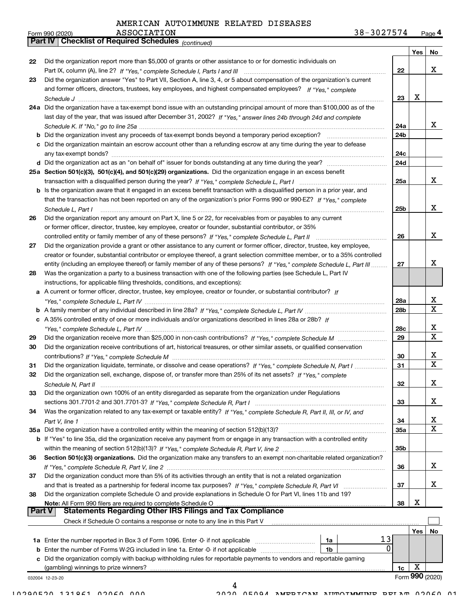(continued)

Part IV | Checklist of Required Schedules

| <b>ASSOCIATION</b><br>Form 990 (2020) | 3027574<br>38. | Page 4 |
|---------------------------------------|----------------|--------|
|---------------------------------------|----------------|--------|

|               |                                                                                                                              |                 | Yes | No              |
|---------------|------------------------------------------------------------------------------------------------------------------------------|-----------------|-----|-----------------|
| 22            | Did the organization report more than \$5,000 of grants or other assistance to or for domestic individuals on                |                 |     |                 |
|               |                                                                                                                              | 22              |     | x               |
| 23            | Did the organization answer "Yes" to Part VII, Section A, line 3, 4, or 5 about compensation of the organization's current   |                 |     |                 |
|               | and former officers, directors, trustees, key employees, and highest compensated employees? If "Yes," complete               |                 |     |                 |
|               |                                                                                                                              | 23              | x   |                 |
|               | 24a Did the organization have a tax-exempt bond issue with an outstanding principal amount of more than \$100,000 as of the  |                 |     |                 |
|               | last day of the year, that was issued after December 31, 2002? If "Yes," answer lines 24b through 24d and complete           |                 |     |                 |
|               |                                                                                                                              | 24a             |     | x               |
|               |                                                                                                                              | 24 <sub>b</sub> |     |                 |
|               | c Did the organization maintain an escrow account other than a refunding escrow at any time during the year to defease       |                 |     |                 |
|               |                                                                                                                              | 24c             |     |                 |
|               |                                                                                                                              | 24d             |     |                 |
|               | 25a Section 501(c)(3), 501(c)(4), and 501(c)(29) organizations. Did the organization engage in an excess benefit             |                 |     |                 |
|               |                                                                                                                              | 25a             |     | x               |
|               | b Is the organization aware that it engaged in an excess benefit transaction with a disqualified person in a prior year, and |                 |     |                 |
|               | that the transaction has not been reported on any of the organization's prior Forms 990 or 990-EZ? If "Yes," complete        |                 |     |                 |
|               | Schedule L, Part I                                                                                                           | 25 <sub>b</sub> |     | x               |
| 26            | Did the organization report any amount on Part X, line 5 or 22, for receivables from or payables to any current              |                 |     |                 |
|               | or former officer, director, trustee, key employee, creator or founder, substantial contributor, or 35%                      |                 |     |                 |
|               | controlled entity or family member of any of these persons? If "Yes," complete Schedule L, Part II                           | 26              |     | x               |
| 27            | Did the organization provide a grant or other assistance to any current or former officer, director, trustee, key employee,  |                 |     |                 |
|               | creator or founder, substantial contributor or employee thereof, a grant selection committee member, or to a 35% controlled  |                 |     |                 |
|               | entity (including an employee thereof) or family member of any of these persons? If "Yes," complete Schedule L, Part III     | 27              |     | x               |
| 28            | Was the organization a party to a business transaction with one of the following parties (see Schedule L, Part IV            |                 |     |                 |
|               | instructions, for applicable filing thresholds, conditions, and exceptions):                                                 |                 |     |                 |
|               | a A current or former officer, director, trustee, key employee, creator or founder, or substantial contributor? If           |                 |     |                 |
|               |                                                                                                                              | 28a             |     | x               |
|               |                                                                                                                              | 28 <sub>b</sub> |     | $\mathbf x$     |
|               | c A 35% controlled entity of one or more individuals and/or organizations described in lines 28a or 28b? If                  |                 |     |                 |
|               |                                                                                                                              | 28c             |     | х               |
|               |                                                                                                                              | 29              |     | $\mathbf X$     |
| 29            | Did the organization receive contributions of art, historical treasures, or other similar assets, or qualified conservation  |                 |     |                 |
| 30            |                                                                                                                              |                 |     | х               |
|               |                                                                                                                              | 30              |     | $\mathbf X$     |
| 31            | Did the organization liquidate, terminate, or dissolve and cease operations? If "Yes," complete Schedule N, Part I           | 31              |     |                 |
| 32            | Did the organization sell, exchange, dispose of, or transfer more than 25% of its net assets? If "Yes," complete             |                 |     |                 |
|               |                                                                                                                              | 32              |     | х               |
| 33            | Did the organization own 100% of an entity disregarded as separate from the organization under Regulations                   |                 |     |                 |
|               |                                                                                                                              | 33              |     | x               |
| 34            | Was the organization related to any tax-exempt or taxable entity? If "Yes," complete Schedule R, Part II, III, or IV, and    |                 |     |                 |
|               |                                                                                                                              | 34              |     | x               |
|               | 35a Did the organization have a controlled entity within the meaning of section 512(b)(13)?                                  | 35a             |     | $\mathbf X$     |
|               | b If "Yes" to line 35a, did the organization receive any payment from or engage in any transaction with a controlled entity  |                 |     |                 |
|               |                                                                                                                              | 35 <sub>b</sub> |     |                 |
| 36            | Section 501(c)(3) organizations. Did the organization make any transfers to an exempt non-charitable related organization?   |                 |     |                 |
|               |                                                                                                                              | 36              |     | х               |
| 37            | Did the organization conduct more than 5% of its activities through an entity that is not a related organization             |                 |     |                 |
|               |                                                                                                                              | 37              |     | x               |
| 38            | Did the organization complete Schedule O and provide explanations in Schedule O for Part VI, lines 11b and 19?               |                 |     |                 |
|               | Note: All Form 990 filers are required to complete Schedule O                                                                | 38              | х   |                 |
| <b>Part V</b> | <b>Statements Regarding Other IRS Filings and Tax Compliance</b>                                                             |                 |     |                 |
|               | Check if Schedule O contains a response or note to any line in this Part V                                                   |                 |     |                 |
|               |                                                                                                                              |                 | Yes | No              |
|               | 13<br>1a Enter the number reported in Box 3 of Form 1096. Enter -0- if not applicable<br>1a                                  |                 |     |                 |
|               | 0<br><b>b</b> Enter the number of Forms W-2G included in line 1a. Enter -0- if not applicable <i>manumumumum</i><br>1b       |                 |     |                 |
|               | c Did the organization comply with backup withholding rules for reportable payments to vendors and reportable gaming         |                 |     |                 |
|               | (gambling) winnings to prize winners?                                                                                        | 1c              | X   |                 |
|               | 032004 12-23-20                                                                                                              |                 |     | Form 990 (2020) |
|               |                                                                                                                              |                 |     |                 |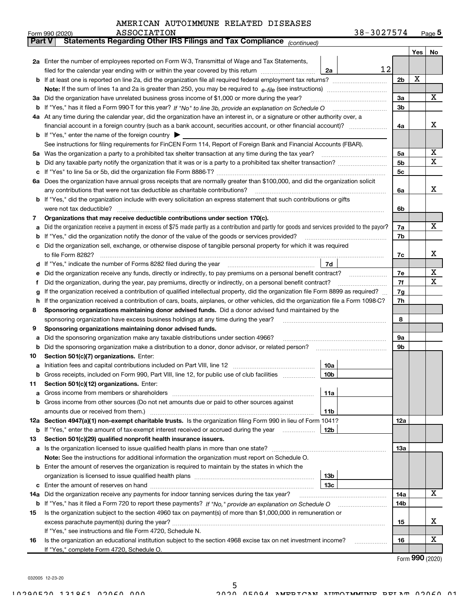| $3037571$<br>$38 -$<br><b>ASSOCIATION</b><br>Form 990 (2020)<br>∵ ∡ ∪ د | $\sim$<br>ל Page |
|-------------------------------------------------------------------------|------------------|
|-------------------------------------------------------------------------|------------------|

| <b>Part V</b> | Statements Regarding Other IRS Filings and Tax Compliance (continued)                                                                                                         |                |     |    |
|---------------|-------------------------------------------------------------------------------------------------------------------------------------------------------------------------------|----------------|-----|----|
|               |                                                                                                                                                                               |                | Yes | No |
|               | 2a Enter the number of employees reported on Form W-3, Transmittal of Wage and Tax Statements,                                                                                |                |     |    |
|               | 12<br>filed for the calendar year ending with or within the year covered by this return <i>[[[[[[[[[[[[[[]]]]</i> ]]<br>2a                                                    |                |     |    |
|               |                                                                                                                                                                               | 2 <sub>b</sub> | X   |    |
|               |                                                                                                                                                                               |                |     |    |
|               | 3a Did the organization have unrelated business gross income of \$1,000 or more during the year?                                                                              | 3a             |     | Х  |
| b             |                                                                                                                                                                               | 3b             |     |    |
|               | 4a At any time during the calendar year, did the organization have an interest in, or a signature or other authority over, a                                                  |                |     |    |
|               | financial account in a foreign country (such as a bank account, securities account, or other financial account)?                                                              | 4a             |     | x  |
|               | <b>b</b> If "Yes," enter the name of the foreign country $\blacktriangleright$                                                                                                |                |     |    |
|               | See instructions for filing requirements for FinCEN Form 114, Report of Foreign Bank and Financial Accounts (FBAR).                                                           |                |     |    |
|               |                                                                                                                                                                               | 5а             |     | Х  |
| b             |                                                                                                                                                                               | 5b             |     | X  |
| с             |                                                                                                                                                                               | 5с             |     |    |
|               | 6a Does the organization have annual gross receipts that are normally greater than \$100,000, and did the organization solicit                                                |                |     |    |
|               |                                                                                                                                                                               | 6a             |     | х  |
|               | b If "Yes," did the organization include with every solicitation an express statement that such contributions or gifts                                                        |                |     |    |
|               | were not tax deductible?                                                                                                                                                      | 6b             |     |    |
| 7             | Organizations that may receive deductible contributions under section 170(c).                                                                                                 |                |     |    |
| а             | Did the organization receive a payment in excess of \$75 made partly as a contribution and partly for goods and services provided to the payor?                               | 7a             |     | x  |
| b             | If "Yes," did the organization notify the donor of the value of the goods or services provided?                                                                               | 7b             |     |    |
| с             | Did the organization sell, exchange, or otherwise dispose of tangible personal property for which it was required                                                             |                |     |    |
|               |                                                                                                                                                                               | 7c             |     | х  |
|               | 7d<br>d If "Yes," indicate the number of Forms 8282 filed during the year manufactured in the second of the New York                                                          |                |     |    |
| е             | Did the organization receive any funds, directly or indirectly, to pay premiums on a personal benefit contract?                                                               | 7e             |     | x  |
| f             | Did the organization, during the year, pay premiums, directly or indirectly, on a personal benefit contract?                                                                  | 7f             |     | х  |
| g             | If the organization received a contribution of qualified intellectual property, did the organization file Form 8899 as required?                                              | 7g             |     |    |
| h             | If the organization received a contribution of cars, boats, airplanes, or other vehicles, did the organization file a Form 1098-C?                                            | 7h             |     |    |
| 8             | Sponsoring organizations maintaining donor advised funds. Did a donor advised fund maintained by the                                                                          |                |     |    |
|               | sponsoring organization have excess business holdings at any time during the year?                                                                                            | 8              |     |    |
| 9             | Sponsoring organizations maintaining donor advised funds.                                                                                                                     |                |     |    |
| а             | Did the sponsoring organization make any taxable distributions under section 4966?                                                                                            | 9а             |     |    |
| b             | Did the sponsoring organization make a distribution to a donor, donor advisor, or related person?                                                                             | 9b             |     |    |
| 10            | Section 501(c)(7) organizations. Enter:                                                                                                                                       |                |     |    |
| а             | 10a                                                                                                                                                                           |                |     |    |
|               | 10 <sub>b</sub><br><b>b</b> Gross receipts, included on Form 990, Part VIII, line 12, for public use of club facilities                                                       |                |     |    |
| 11            | Section 501(c)(12) organizations. Enter:                                                                                                                                      |                |     |    |
| а             | 11a<br>Gross income from members or shareholders                                                                                                                              |                |     |    |
| b             | Gross income from other sources (Do not net amounts due or paid to other sources against                                                                                      |                |     |    |
|               | amounts due or received from them.)<br>11b                                                                                                                                    |                |     |    |
|               | 12a Section 4947(a)(1) non-exempt charitable trusts. Is the organization filing Form 990 in lieu of Form 1041?                                                                | 12a            |     |    |
| b             | If "Yes," enter the amount of tax-exempt interest received or accrued during the year<br>12b                                                                                  |                |     |    |
| 13            | Section 501(c)(29) qualified nonprofit health insurance issuers.                                                                                                              |                |     |    |
|               | a Is the organization licensed to issue qualified health plans in more than one state?                                                                                        | 13a            |     |    |
|               | Note: See the instructions for additional information the organization must report on Schedule O.                                                                             |                |     |    |
|               | <b>b</b> Enter the amount of reserves the organization is required to maintain by the states in which the                                                                     |                |     |    |
|               | 13 <sub>b</sub>                                                                                                                                                               |                |     |    |
| с             | 13с                                                                                                                                                                           |                |     | x  |
| 14a           | Did the organization receive any payments for indoor tanning services during the tax year?                                                                                    | 14a            |     |    |
| b             | If "Yes," has it filed a Form 720 to report these payments? If "No," provide an explanation on Schedule O                                                                     | 14b            |     |    |
| 15            | Is the organization subject to the section 4960 tax on payment(s) of more than \$1,000,000 in remuneration or                                                                 |                |     | x  |
|               |                                                                                                                                                                               | 15             |     |    |
|               | If "Yes," see instructions and file Form 4720, Schedule N.<br>Is the organization an educational institution subject to the section 4968 excise tax on net investment income? | 16             |     | х  |
| 16            |                                                                                                                                                                               |                |     |    |
|               | If "Yes," complete Form 4720, Schedule O.                                                                                                                                     |                |     |    |

5

Form 990 (2020)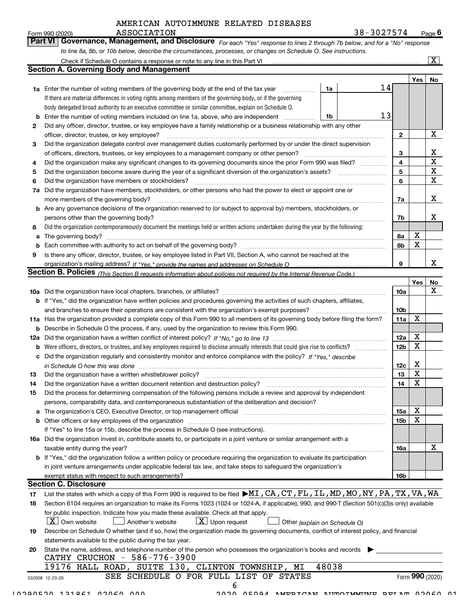|    | AMERICAN AUTOIMMUNE RELATED DISEASES                                                                                                                                                                                                    |                        |             |                         |
|----|-----------------------------------------------------------------------------------------------------------------------------------------------------------------------------------------------------------------------------------------|------------------------|-------------|-------------------------|
|    | 38-3027574<br><b>ASSOCIATION</b><br>Form 990 (2020)<br>∣ Part VI I                                                                                                                                                                      |                        |             | Page $6$                |
|    | Governance, Management, and Disclosure For each "Yes" response to lines 2 through 7b below, and for a "No" response<br>to line 8a, 8b, or 10b below, describe the circumstances, processes, or changes on Schedule O. See instructions. |                        |             |                         |
|    |                                                                                                                                                                                                                                         |                        |             | $\overline{\mathbf{x}}$ |
|    | <b>Section A. Governing Body and Management</b>                                                                                                                                                                                         |                        |             |                         |
|    |                                                                                                                                                                                                                                         |                        |             |                         |
|    | 14<br>1a                                                                                                                                                                                                                                |                        | Yes         | No                      |
|    | <b>1a</b> Enter the number of voting members of the governing body at the end of the tax year<br>If there are material differences in voting rights among members of the governing body, or if the governing                            |                        |             |                         |
|    | body delegated broad authority to an executive committee or similar committee, explain on Schedule O.                                                                                                                                   |                        |             |                         |
| b  | 13<br>Enter the number of voting members included on line 1a, above, who are independent <i>manumum</i><br>1b                                                                                                                           |                        |             |                         |
| 2  | Did any officer, director, trustee, or key employee have a family relationship or a business relationship with any other                                                                                                                |                        |             |                         |
|    | officer, director, trustee, or key employee?                                                                                                                                                                                            | $\mathbf{2}$           |             | X                       |
| 3  | Did the organization delegate control over management duties customarily performed by or under the direct supervision                                                                                                                   |                        |             |                         |
|    |                                                                                                                                                                                                                                         | 3                      |             | X                       |
| 4  | Did the organization make any significant changes to its governing documents since the prior Form 990 was filed?                                                                                                                        | 4                      |             | $\mathbf X$             |
| 5  |                                                                                                                                                                                                                                         | 5                      |             | $\mathbf X$             |
| 6  |                                                                                                                                                                                                                                         | 6                      |             | X                       |
| 7a | Did the organization have members, stockholders, or other persons who had the power to elect or appoint one or                                                                                                                          |                        |             |                         |
|    | more members of the governing body?                                                                                                                                                                                                     | 7a                     |             | X                       |
|    | <b>b</b> Are any governance decisions of the organization reserved to (or subject to approval by) members, stockholders, or                                                                                                             |                        |             |                         |
|    | persons other than the governing body?                                                                                                                                                                                                  | 7b                     |             | x                       |
| 8  | Did the organization contemporaneously document the meetings held or written actions undertaken during the year by the following:                                                                                                       |                        |             |                         |
| a  |                                                                                                                                                                                                                                         | 8a                     | X           |                         |
| b  |                                                                                                                                                                                                                                         | 8b                     | X           |                         |
| 9  | Is there any officer, director, trustee, or key employee listed in Part VII, Section A, who cannot be reached at the                                                                                                                    |                        |             |                         |
|    |                                                                                                                                                                                                                                         | 9                      |             | X                       |
|    | Section B. Policies (This Section B requests information about policies not required by the Internal Revenue Code.)                                                                                                                     |                        |             |                         |
|    |                                                                                                                                                                                                                                         |                        | Yes         | No                      |
|    |                                                                                                                                                                                                                                         | <b>10a</b>             |             | x                       |
|    | <b>b</b> If "Yes," did the organization have written policies and procedures governing the activities of such chapters, affiliates,                                                                                                     |                        |             |                         |
|    | and branches to ensure their operations are consistent with the organization's exempt purposes?                                                                                                                                         | 10 <sub>b</sub>        | Χ           |                         |
|    | 11a Has the organization provided a complete copy of this Form 990 to all members of its governing body before filing the form?                                                                                                         | 11a                    |             |                         |
| b  | Describe in Schedule O the process, if any, used by the organization to review this Form 990.                                                                                                                                           |                        | X           |                         |
|    | <b>b</b> Were officers, directors, or trustees, and key employees required to disclose annually interests that could give rise to conflicts?                                                                                            | 12a<br>12 <sub>b</sub> | $\mathbf X$ |                         |
|    |                                                                                                                                                                                                                                         |                        |             |                         |

|     | c Did the organization regularly and consistently monitor and enforce compliance with the policy? If "Yes," describe                  |                 |   |         |
|-----|---------------------------------------------------------------------------------------------------------------------------------------|-----------------|---|---------|
|     | in Schedule O how this was done                                                                                                       | 12c             | х |         |
| 13  | Did the organization have a written whistleblower policy?                                                                             | 13              | х |         |
| 14  | Did the organization have a written document retention and destruction policy?                                                        | 14              | х |         |
| 15  | Did the process for determining compensation of the following persons include a review and approval by independent                    |                 |   |         |
|     | persons, comparability data, and contemporaneous substantiation of the deliberation and decision?                                     |                 |   |         |
|     | <b>a</b> The organization's CEO, Executive Director, or top management official                                                       | <b>15a</b>      | х |         |
|     | <b>b</b> Other officers or key employees of the organization                                                                          | 15 <sub>b</sub> | х |         |
|     | If "Yes" to line 15a or 15b, describe the process in Schedule O (see instructions).                                                   |                 |   |         |
| 16a | Did the organization invest in, contribute assets to, or participate in a joint venture or similar arrangement with a                 |                 |   |         |
|     | taxable entity during the year?                                                                                                       | 16a             |   | v<br>́́ |
|     | <b>b</b> If "Yes," did the organization follow a written policy or procedure requiring the organization to evaluate its participation |                 |   |         |
|     | in joint venture arrangements under applicable federal tax law, and take steps to safeguard the organization's                        |                 |   |         |
|     | exempt status with respect to such arrangements?                                                                                      | 16b             |   |         |

#### Section C. Disclosure

| 17  | List the states with which a copy of this Form 990 is required to be filed $\blacktriangleright$ MI, CA, CT, FL, IL, MD, MO, NY, PA, TX, VA, WA           |
|-----|-----------------------------------------------------------------------------------------------------------------------------------------------------------|
| 18  | Section 6104 requires an organization to make its Forms 1023 (1024 or 1024-A, if applicable), 990, and 990-T (Section 501(c)(3)s only) available          |
|     | for public inspection. Indicate how you made these available. Check all that apply.                                                                       |
|     | $\boxed{\textbf{X}}$ Upon request<br>$\overline{X}$ Own website<br>Another's website<br>Other (explain on Schedule O)                                     |
| 19  | Describe on Schedule O whether (and if so, how) the organization made its governing documents, conflict of interest policy, and financial                 |
|     | statements available to the public during the tax year.                                                                                                   |
| -20 | State the name, address, and telephone number of the person who possesses the organization's books and records<br>$-586 - 776 - 3900$<br>CRUCHON<br>CATHY |
|     | HALL ROAD, SUITE 130, CLINTON TOWNSHIP, MI<br>48038<br>19176                                                                                              |
|     | O FOR FULL LIST OF<br>SEE SCHEDULE<br>Form 990 (2020)<br>STATES<br>032006 12-23-20                                                                        |
|     |                                                                                                                                                           |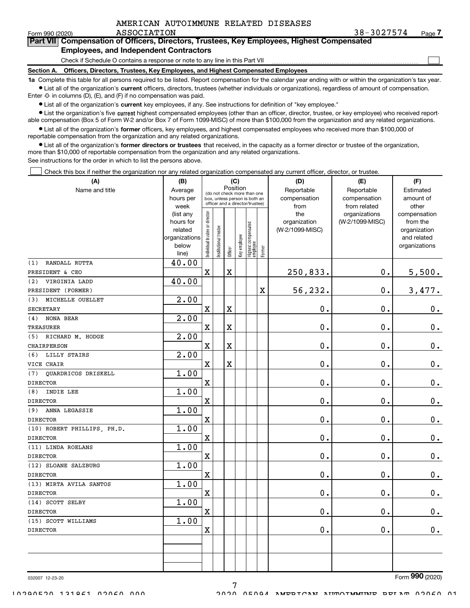| AMERICAN AUTOIMMUNE RELATED DISEASES |  |  |  |  |
|--------------------------------------|--|--|--|--|
|--------------------------------------|--|--|--|--|

ASSOCIATION 28-3027574 Page Page 7

 $\begin{array}{c} \hline \end{array}$ 

| Form 990 (2020) |                                               | ASSOCIATION |  |                                                                                                   | $38 - 3$ |
|-----------------|-----------------------------------------------|-------------|--|---------------------------------------------------------------------------------------------------|----------|
|                 |                                               |             |  | <b>Part VII</b> Compensation of Officers, Directors, Trustees, Key Employees, Highest Compensated |          |
|                 | <b>Employees, and Independent Contractors</b> |             |  |                                                                                                   |          |

#### and Independent Contract

Check if Schedule O contains a response or note to any line in this Part VII

Section A. Officers, Directors, Trustees, Key Employees, and Highest Compensated Employees

1a Complete this table for all persons required to be listed. Report compensation for the calendar year ending with or within the organization's tax year.Ist all of the organization's current officers, directors, trustees (whether individuals or organizations), regardless of amount of compensation.

Enter -0- in columns (D), (E), and (F) if no compensation was paid.

**Examber 1 List all of the organization's current** key employees, if any. See instructions for definition of "key employee."

● List the organization's five current highest compensated employees (other than an officer, director, trustee, or key employee) who received reportable compensation (Box 5 of Form W-2 and/or Box 7 of Form 1099-MISC) of more than \$100,000 from the organization and any related organizations.

List all of the organization's former officers, key employees, and highest compensated employees who received more than \$100,000 of reportable compensation from the organization and any related organizations.

• List all of the organization's former directors or trustees that received, in the capacity as a former director or trustee of the organization, more than \$10,000 of reportable compensation from the organization and any related organizations.

See instructions for the order in which to list the persons above.

Check this box if neither the organization nor any related organization compensated any current officer, director, or trustee. $\Box$ 

| Position<br>Reportable<br>Name and title<br>Average<br>Reportable<br>Estimated<br>(do not check more than one<br>hours per<br>compensation<br>compensation<br>amount of<br>box, unless person is both an<br>officer and a director/trustee)<br>from related<br>week<br>from<br>other<br>ndividual trustee or director<br>the<br>(list any<br>organizations<br>compensation<br>(W-2/1099-MISC)<br>from the<br>hours for<br>organization<br>Highest compensated<br>employee<br>nstitutional trustee<br>(W-2/1099-MISC)<br>related<br>organization<br>Key employee<br>organizations<br>and related<br>below<br>organizations<br>Former<br>Officer<br>line)<br>40.00<br>RANDALL RUTTA<br>(1)<br>$\mathbf X$<br>$\overline{\mathbf{X}}$<br>250,833.<br>0.<br>5,500.<br>PRESIDENT & CEO<br>40.00<br>VIRGINIA LADD<br>(2)<br>56,232.<br>0.<br>$\mathbf X$<br>3,477.<br>PRESIDENT (FORMER)<br>2.00<br>(3)<br>MICHELLE OUELLET<br>0.<br>$\mathbf 0$ .<br>$\mathbf X$<br>X<br>0.<br><b>SECRETARY</b><br>2.00<br>NONA BEAR<br>(4)<br>$\mathbf 0$ .<br>0.<br>$0_{.}$<br>$\mathbf X$<br>X<br><b>TREASURER</b><br>2.00<br>RICHARD M. HODGE<br>(5)<br>$\mathbf 0$ .<br>0.<br>$\mathbf 0$ .<br>$\mathbf X$<br>X<br>CHAIRPERSON<br>2.00<br>LILLY STAIRS<br>(6)<br>$\mathbf X$<br>X<br>$\mathbf 0$ .<br>$\mathbf 0$ .<br>$\mathbf 0$ .<br>VICE CHAIR<br>1.00<br>QUARDRICOS DRISKELL<br>(7)<br>$\mathbf x$<br>$\mathbf 0$ .<br>$\mathbf 0$ .<br>$\mathbf 0$ .<br><b>DIRECTOR</b><br>1.00<br>INDIE LEE<br>(8)<br>0.<br>0.<br>$0_{.}$<br>$\mathbf x$<br><b>DIRECTOR</b><br>1.00<br>ANNA LEGASSIE<br>(9)<br>$\mathbf 0$ .<br>$\mathbf 0$ .<br>$\mathbf 0$ .<br>$\mathbf X$<br><b>DIRECTOR</b><br>1.00<br>(10) ROBERT PHILLIPS, PH.D.<br>$\mathbf x$<br>$\mathbf 0$ .<br>0.<br>$\mathbf 0$ .<br><b>DIRECTOR</b><br>1.00<br>(11) LINDA ROELANS<br>$\mathbf x$<br>$\mathbf 0$ .<br>0.<br>$\mathbf 0$ .<br><b>DIRECTOR</b><br>1.00<br>(12) SLOANE SALZBURG<br>$\mathbf{0}$ .<br>$\mathbf 0$ .<br>$\mathbf X$<br>0.<br><b>DIRECTOR</b><br>1.00<br>(13) MIRTA AVILA SANTOS<br>0.<br>$\mathbf x$<br>$\mathbf 0$ .<br>$\mathbf 0$ .<br><b>DIRECTOR</b><br>1.00<br>(14) SCOTT SELBY<br>0.<br>0.<br>$\mathbf X$<br>$\mathbf 0$ .<br><b>DIRECTOR</b><br>1.00<br>(15) SCOTT WILLIAMS<br>$\mathbf 0$ .<br>0.<br>0.<br>$\mathbf x$<br><b>DIRECTOR</b> | (A) | (B) | (C) |  |  |  |  | (D) | (E) | (F) |
|-------------------------------------------------------------------------------------------------------------------------------------------------------------------------------------------------------------------------------------------------------------------------------------------------------------------------------------------------------------------------------------------------------------------------------------------------------------------------------------------------------------------------------------------------------------------------------------------------------------------------------------------------------------------------------------------------------------------------------------------------------------------------------------------------------------------------------------------------------------------------------------------------------------------------------------------------------------------------------------------------------------------------------------------------------------------------------------------------------------------------------------------------------------------------------------------------------------------------------------------------------------------------------------------------------------------------------------------------------------------------------------------------------------------------------------------------------------------------------------------------------------------------------------------------------------------------------------------------------------------------------------------------------------------------------------------------------------------------------------------------------------------------------------------------------------------------------------------------------------------------------------------------------------------------------------------------------------------------------------------------------------------------------------------------------------------------------------------------------------------------------------------------------------------------------------------------------------------------------------------------------------------------------------------------------------------|-----|-----|-----|--|--|--|--|-----|-----|-----|
|                                                                                                                                                                                                                                                                                                                                                                                                                                                                                                                                                                                                                                                                                                                                                                                                                                                                                                                                                                                                                                                                                                                                                                                                                                                                                                                                                                                                                                                                                                                                                                                                                                                                                                                                                                                                                                                                                                                                                                                                                                                                                                                                                                                                                                                                                                                   |     |     |     |  |  |  |  |     |     |     |
|                                                                                                                                                                                                                                                                                                                                                                                                                                                                                                                                                                                                                                                                                                                                                                                                                                                                                                                                                                                                                                                                                                                                                                                                                                                                                                                                                                                                                                                                                                                                                                                                                                                                                                                                                                                                                                                                                                                                                                                                                                                                                                                                                                                                                                                                                                                   |     |     |     |  |  |  |  |     |     |     |
|                                                                                                                                                                                                                                                                                                                                                                                                                                                                                                                                                                                                                                                                                                                                                                                                                                                                                                                                                                                                                                                                                                                                                                                                                                                                                                                                                                                                                                                                                                                                                                                                                                                                                                                                                                                                                                                                                                                                                                                                                                                                                                                                                                                                                                                                                                                   |     |     |     |  |  |  |  |     |     |     |
|                                                                                                                                                                                                                                                                                                                                                                                                                                                                                                                                                                                                                                                                                                                                                                                                                                                                                                                                                                                                                                                                                                                                                                                                                                                                                                                                                                                                                                                                                                                                                                                                                                                                                                                                                                                                                                                                                                                                                                                                                                                                                                                                                                                                                                                                                                                   |     |     |     |  |  |  |  |     |     |     |
|                                                                                                                                                                                                                                                                                                                                                                                                                                                                                                                                                                                                                                                                                                                                                                                                                                                                                                                                                                                                                                                                                                                                                                                                                                                                                                                                                                                                                                                                                                                                                                                                                                                                                                                                                                                                                                                                                                                                                                                                                                                                                                                                                                                                                                                                                                                   |     |     |     |  |  |  |  |     |     |     |
|                                                                                                                                                                                                                                                                                                                                                                                                                                                                                                                                                                                                                                                                                                                                                                                                                                                                                                                                                                                                                                                                                                                                                                                                                                                                                                                                                                                                                                                                                                                                                                                                                                                                                                                                                                                                                                                                                                                                                                                                                                                                                                                                                                                                                                                                                                                   |     |     |     |  |  |  |  |     |     |     |
|                                                                                                                                                                                                                                                                                                                                                                                                                                                                                                                                                                                                                                                                                                                                                                                                                                                                                                                                                                                                                                                                                                                                                                                                                                                                                                                                                                                                                                                                                                                                                                                                                                                                                                                                                                                                                                                                                                                                                                                                                                                                                                                                                                                                                                                                                                                   |     |     |     |  |  |  |  |     |     |     |
|                                                                                                                                                                                                                                                                                                                                                                                                                                                                                                                                                                                                                                                                                                                                                                                                                                                                                                                                                                                                                                                                                                                                                                                                                                                                                                                                                                                                                                                                                                                                                                                                                                                                                                                                                                                                                                                                                                                                                                                                                                                                                                                                                                                                                                                                                                                   |     |     |     |  |  |  |  |     |     |     |
|                                                                                                                                                                                                                                                                                                                                                                                                                                                                                                                                                                                                                                                                                                                                                                                                                                                                                                                                                                                                                                                                                                                                                                                                                                                                                                                                                                                                                                                                                                                                                                                                                                                                                                                                                                                                                                                                                                                                                                                                                                                                                                                                                                                                                                                                                                                   |     |     |     |  |  |  |  |     |     |     |
|                                                                                                                                                                                                                                                                                                                                                                                                                                                                                                                                                                                                                                                                                                                                                                                                                                                                                                                                                                                                                                                                                                                                                                                                                                                                                                                                                                                                                                                                                                                                                                                                                                                                                                                                                                                                                                                                                                                                                                                                                                                                                                                                                                                                                                                                                                                   |     |     |     |  |  |  |  |     |     |     |
|                                                                                                                                                                                                                                                                                                                                                                                                                                                                                                                                                                                                                                                                                                                                                                                                                                                                                                                                                                                                                                                                                                                                                                                                                                                                                                                                                                                                                                                                                                                                                                                                                                                                                                                                                                                                                                                                                                                                                                                                                                                                                                                                                                                                                                                                                                                   |     |     |     |  |  |  |  |     |     |     |
|                                                                                                                                                                                                                                                                                                                                                                                                                                                                                                                                                                                                                                                                                                                                                                                                                                                                                                                                                                                                                                                                                                                                                                                                                                                                                                                                                                                                                                                                                                                                                                                                                                                                                                                                                                                                                                                                                                                                                                                                                                                                                                                                                                                                                                                                                                                   |     |     |     |  |  |  |  |     |     |     |
|                                                                                                                                                                                                                                                                                                                                                                                                                                                                                                                                                                                                                                                                                                                                                                                                                                                                                                                                                                                                                                                                                                                                                                                                                                                                                                                                                                                                                                                                                                                                                                                                                                                                                                                                                                                                                                                                                                                                                                                                                                                                                                                                                                                                                                                                                                                   |     |     |     |  |  |  |  |     |     |     |
|                                                                                                                                                                                                                                                                                                                                                                                                                                                                                                                                                                                                                                                                                                                                                                                                                                                                                                                                                                                                                                                                                                                                                                                                                                                                                                                                                                                                                                                                                                                                                                                                                                                                                                                                                                                                                                                                                                                                                                                                                                                                                                                                                                                                                                                                                                                   |     |     |     |  |  |  |  |     |     |     |
|                                                                                                                                                                                                                                                                                                                                                                                                                                                                                                                                                                                                                                                                                                                                                                                                                                                                                                                                                                                                                                                                                                                                                                                                                                                                                                                                                                                                                                                                                                                                                                                                                                                                                                                                                                                                                                                                                                                                                                                                                                                                                                                                                                                                                                                                                                                   |     |     |     |  |  |  |  |     |     |     |
|                                                                                                                                                                                                                                                                                                                                                                                                                                                                                                                                                                                                                                                                                                                                                                                                                                                                                                                                                                                                                                                                                                                                                                                                                                                                                                                                                                                                                                                                                                                                                                                                                                                                                                                                                                                                                                                                                                                                                                                                                                                                                                                                                                                                                                                                                                                   |     |     |     |  |  |  |  |     |     |     |
|                                                                                                                                                                                                                                                                                                                                                                                                                                                                                                                                                                                                                                                                                                                                                                                                                                                                                                                                                                                                                                                                                                                                                                                                                                                                                                                                                                                                                                                                                                                                                                                                                                                                                                                                                                                                                                                                                                                                                                                                                                                                                                                                                                                                                                                                                                                   |     |     |     |  |  |  |  |     |     |     |
|                                                                                                                                                                                                                                                                                                                                                                                                                                                                                                                                                                                                                                                                                                                                                                                                                                                                                                                                                                                                                                                                                                                                                                                                                                                                                                                                                                                                                                                                                                                                                                                                                                                                                                                                                                                                                                                                                                                                                                                                                                                                                                                                                                                                                                                                                                                   |     |     |     |  |  |  |  |     |     |     |
|                                                                                                                                                                                                                                                                                                                                                                                                                                                                                                                                                                                                                                                                                                                                                                                                                                                                                                                                                                                                                                                                                                                                                                                                                                                                                                                                                                                                                                                                                                                                                                                                                                                                                                                                                                                                                                                                                                                                                                                                                                                                                                                                                                                                                                                                                                                   |     |     |     |  |  |  |  |     |     |     |
|                                                                                                                                                                                                                                                                                                                                                                                                                                                                                                                                                                                                                                                                                                                                                                                                                                                                                                                                                                                                                                                                                                                                                                                                                                                                                                                                                                                                                                                                                                                                                                                                                                                                                                                                                                                                                                                                                                                                                                                                                                                                                                                                                                                                                                                                                                                   |     |     |     |  |  |  |  |     |     |     |
|                                                                                                                                                                                                                                                                                                                                                                                                                                                                                                                                                                                                                                                                                                                                                                                                                                                                                                                                                                                                                                                                                                                                                                                                                                                                                                                                                                                                                                                                                                                                                                                                                                                                                                                                                                                                                                                                                                                                                                                                                                                                                                                                                                                                                                                                                                                   |     |     |     |  |  |  |  |     |     |     |
|                                                                                                                                                                                                                                                                                                                                                                                                                                                                                                                                                                                                                                                                                                                                                                                                                                                                                                                                                                                                                                                                                                                                                                                                                                                                                                                                                                                                                                                                                                                                                                                                                                                                                                                                                                                                                                                                                                                                                                                                                                                                                                                                                                                                                                                                                                                   |     |     |     |  |  |  |  |     |     |     |
|                                                                                                                                                                                                                                                                                                                                                                                                                                                                                                                                                                                                                                                                                                                                                                                                                                                                                                                                                                                                                                                                                                                                                                                                                                                                                                                                                                                                                                                                                                                                                                                                                                                                                                                                                                                                                                                                                                                                                                                                                                                                                                                                                                                                                                                                                                                   |     |     |     |  |  |  |  |     |     |     |
|                                                                                                                                                                                                                                                                                                                                                                                                                                                                                                                                                                                                                                                                                                                                                                                                                                                                                                                                                                                                                                                                                                                                                                                                                                                                                                                                                                                                                                                                                                                                                                                                                                                                                                                                                                                                                                                                                                                                                                                                                                                                                                                                                                                                                                                                                                                   |     |     |     |  |  |  |  |     |     |     |
|                                                                                                                                                                                                                                                                                                                                                                                                                                                                                                                                                                                                                                                                                                                                                                                                                                                                                                                                                                                                                                                                                                                                                                                                                                                                                                                                                                                                                                                                                                                                                                                                                                                                                                                                                                                                                                                                                                                                                                                                                                                                                                                                                                                                                                                                                                                   |     |     |     |  |  |  |  |     |     |     |
|                                                                                                                                                                                                                                                                                                                                                                                                                                                                                                                                                                                                                                                                                                                                                                                                                                                                                                                                                                                                                                                                                                                                                                                                                                                                                                                                                                                                                                                                                                                                                                                                                                                                                                                                                                                                                                                                                                                                                                                                                                                                                                                                                                                                                                                                                                                   |     |     |     |  |  |  |  |     |     |     |
|                                                                                                                                                                                                                                                                                                                                                                                                                                                                                                                                                                                                                                                                                                                                                                                                                                                                                                                                                                                                                                                                                                                                                                                                                                                                                                                                                                                                                                                                                                                                                                                                                                                                                                                                                                                                                                                                                                                                                                                                                                                                                                                                                                                                                                                                                                                   |     |     |     |  |  |  |  |     |     |     |
|                                                                                                                                                                                                                                                                                                                                                                                                                                                                                                                                                                                                                                                                                                                                                                                                                                                                                                                                                                                                                                                                                                                                                                                                                                                                                                                                                                                                                                                                                                                                                                                                                                                                                                                                                                                                                                                                                                                                                                                                                                                                                                                                                                                                                                                                                                                   |     |     |     |  |  |  |  |     |     |     |
|                                                                                                                                                                                                                                                                                                                                                                                                                                                                                                                                                                                                                                                                                                                                                                                                                                                                                                                                                                                                                                                                                                                                                                                                                                                                                                                                                                                                                                                                                                                                                                                                                                                                                                                                                                                                                                                                                                                                                                                                                                                                                                                                                                                                                                                                                                                   |     |     |     |  |  |  |  |     |     |     |
|                                                                                                                                                                                                                                                                                                                                                                                                                                                                                                                                                                                                                                                                                                                                                                                                                                                                                                                                                                                                                                                                                                                                                                                                                                                                                                                                                                                                                                                                                                                                                                                                                                                                                                                                                                                                                                                                                                                                                                                                                                                                                                                                                                                                                                                                                                                   |     |     |     |  |  |  |  |     |     |     |
|                                                                                                                                                                                                                                                                                                                                                                                                                                                                                                                                                                                                                                                                                                                                                                                                                                                                                                                                                                                                                                                                                                                                                                                                                                                                                                                                                                                                                                                                                                                                                                                                                                                                                                                                                                                                                                                                                                                                                                                                                                                                                                                                                                                                                                                                                                                   |     |     |     |  |  |  |  |     |     |     |
|                                                                                                                                                                                                                                                                                                                                                                                                                                                                                                                                                                                                                                                                                                                                                                                                                                                                                                                                                                                                                                                                                                                                                                                                                                                                                                                                                                                                                                                                                                                                                                                                                                                                                                                                                                                                                                                                                                                                                                                                                                                                                                                                                                                                                                                                                                                   |     |     |     |  |  |  |  |     |     |     |
|                                                                                                                                                                                                                                                                                                                                                                                                                                                                                                                                                                                                                                                                                                                                                                                                                                                                                                                                                                                                                                                                                                                                                                                                                                                                                                                                                                                                                                                                                                                                                                                                                                                                                                                                                                                                                                                                                                                                                                                                                                                                                                                                                                                                                                                                                                                   |     |     |     |  |  |  |  |     |     |     |
|                                                                                                                                                                                                                                                                                                                                                                                                                                                                                                                                                                                                                                                                                                                                                                                                                                                                                                                                                                                                                                                                                                                                                                                                                                                                                                                                                                                                                                                                                                                                                                                                                                                                                                                                                                                                                                                                                                                                                                                                                                                                                                                                                                                                                                                                                                                   |     |     |     |  |  |  |  |     |     |     |

7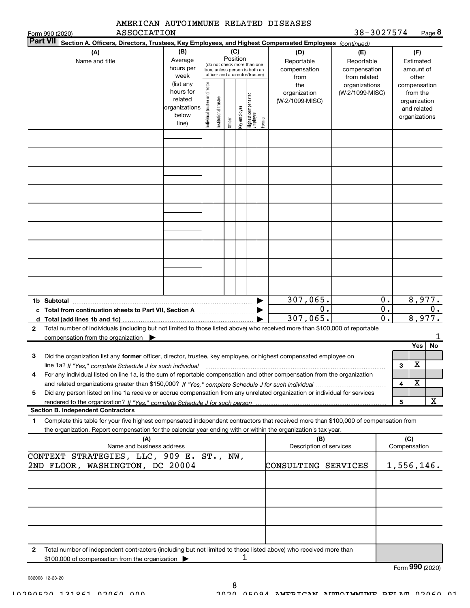|                                                                                                                                                                                                                                                                   | AMERICAN AUTOIMMUNE RELATED DISEASES                                 |                                |                                                                                                 |          |              |                                 |        |                                                                                                        |                                                   |                                            |                 |                                                          |                        |
|-------------------------------------------------------------------------------------------------------------------------------------------------------------------------------------------------------------------------------------------------------------------|----------------------------------------------------------------------|--------------------------------|-------------------------------------------------------------------------------------------------|----------|--------------|---------------------------------|--------|--------------------------------------------------------------------------------------------------------|---------------------------------------------------|--------------------------------------------|-----------------|----------------------------------------------------------|------------------------|
| Form 990 (2020)<br><b>Part VII</b>                                                                                                                                                                                                                                | ASSOCIATION                                                          |                                |                                                                                                 |          |              |                                 |        | Section A. Officers, Directors, Trustees, Key Employees, and Highest Compensated Employees (continued) | 38-3027574                                        |                                            |                 |                                                          | $Page$ 8               |
| (A)<br>Name and title                                                                                                                                                                                                                                             | (B)<br>Average<br>hours per<br>week                                  |                                | (do not check more than one<br>box, unless person is both an<br>officer and a director/trustee) | Position | (C)          |                                 |        | (D)<br>Reportable<br>compensation<br>from                                                              | (E)<br>Reportable<br>compensation<br>from related |                                            |                 | (F)<br>Estimated<br>amount of<br>other                   |                        |
|                                                                                                                                                                                                                                                                   | (list any<br>hours for<br>related<br>organizations<br>below<br>line) | Individual trustee or director | Institutional trustee                                                                           | Officer  | Key employee | Highest compensated<br>employee | Former | the<br>organization<br>(W-2/1099-MISC)                                                                 | organizations<br>(W-2/1099-MISC)                  |                                            | compensation    | from the<br>organization<br>and related<br>organizations |                        |
|                                                                                                                                                                                                                                                                   |                                                                      |                                |                                                                                                 |          |              |                                 |        |                                                                                                        |                                                   |                                            |                 |                                                          |                        |
|                                                                                                                                                                                                                                                                   |                                                                      |                                |                                                                                                 |          |              |                                 |        |                                                                                                        |                                                   |                                            |                 |                                                          |                        |
|                                                                                                                                                                                                                                                                   |                                                                      |                                |                                                                                                 |          |              |                                 |        |                                                                                                        |                                                   |                                            |                 |                                                          |                        |
|                                                                                                                                                                                                                                                                   |                                                                      |                                |                                                                                                 |          |              |                                 |        |                                                                                                        |                                                   |                                            |                 |                                                          |                        |
|                                                                                                                                                                                                                                                                   |                                                                      |                                |                                                                                                 |          |              |                                 |        |                                                                                                        |                                                   |                                            |                 |                                                          |                        |
| 1b Subtotal                                                                                                                                                                                                                                                       |                                                                      |                                |                                                                                                 |          |              |                                 |        | 307,065.<br>0.<br>307,065.                                                                             |                                                   | 0.<br>$\overline{0}$ .<br>$\overline{0}$ . |                 |                                                          | 8,977.<br>0.<br>8,977. |
| Total number of individuals (including but not limited to those listed above) who received more than \$100,000 of reportable<br>2                                                                                                                                 |                                                                      |                                |                                                                                                 |          |              |                                 |        |                                                                                                        |                                                   |                                            |                 |                                                          | 1                      |
| compensation from the organization                                                                                                                                                                                                                                |                                                                      |                                |                                                                                                 |          |              |                                 |        |                                                                                                        |                                                   |                                            |                 | Yes                                                      | No                     |
| Did the organization list any former officer, director, trustee, key employee, or highest compensated employee on<br>з<br>line 1a? If "Yes," complete Schedule J for such individual manufactured contained and the Yes," complete Schedule J for such individual |                                                                      |                                |                                                                                                 |          |              |                                 |        |                                                                                                        |                                                   |                                            | з               | $\overline{\mathtt{x}}$                                  |                        |
| For any individual listed on line 1a, is the sum of reportable compensation and other compensation from the organization<br>4                                                                                                                                     |                                                                      |                                |                                                                                                 |          |              |                                 |        |                                                                                                        |                                                   |                                            | 4               | х                                                        |                        |
| Did any person listed on line 1a receive or accrue compensation from any unrelated organization or individual for services<br>5                                                                                                                                   |                                                                      |                                |                                                                                                 |          |              |                                 |        |                                                                                                        |                                                   |                                            |                 |                                                          |                        |
| <b>Section B. Independent Contractors</b>                                                                                                                                                                                                                         |                                                                      |                                |                                                                                                 |          |              |                                 |        |                                                                                                        |                                                   |                                            | 5               |                                                          | х                      |
| Complete this table for your five highest compensated independent contractors that received more than \$100,000 of compensation from<br>1                                                                                                                         |                                                                      |                                |                                                                                                 |          |              |                                 |        |                                                                                                        |                                                   |                                            |                 |                                                          |                        |
| the organization. Report compensation for the calendar year ending with or within the organization's tax year.                                                                                                                                                    |                                                                      |                                |                                                                                                 |          |              |                                 |        |                                                                                                        |                                                   |                                            | (C)             |                                                          |                        |
|                                                                                                                                                                                                                                                                   | (A)<br>Name and business address                                     |                                |                                                                                                 |          |              |                                 |        | (B)<br>Description of services                                                                         |                                                   |                                            | Compensation    |                                                          |                        |
| CONTEXT STRATEGIES, LLC, 909 E. ST., NW,<br>2ND FLOOR, WASHINGTON, DC 20004                                                                                                                                                                                       |                                                                      |                                |                                                                                                 |          |              |                                 |        | CONSULTING SERVICES                                                                                    |                                                   |                                            | 1,556,146.      |                                                          |                        |
|                                                                                                                                                                                                                                                                   |                                                                      |                                |                                                                                                 |          |              |                                 |        |                                                                                                        |                                                   |                                            |                 |                                                          |                        |
|                                                                                                                                                                                                                                                                   |                                                                      |                                |                                                                                                 |          |              |                                 |        |                                                                                                        |                                                   |                                            |                 |                                                          |                        |
|                                                                                                                                                                                                                                                                   |                                                                      |                                |                                                                                                 |          |              |                                 |        |                                                                                                        |                                                   |                                            |                 |                                                          |                        |
| Total number of independent contractors (including but not limited to those listed above) who received more than<br>2<br>\$100,000 of compensation from the organization                                                                                          |                                                                      |                                |                                                                                                 |          |              |                                 |        |                                                                                                        |                                                   |                                            |                 |                                                          |                        |
|                                                                                                                                                                                                                                                                   |                                                                      |                                |                                                                                                 |          |              |                                 |        |                                                                                                        |                                                   |                                            | Form 990 (2020) |                                                          |                        |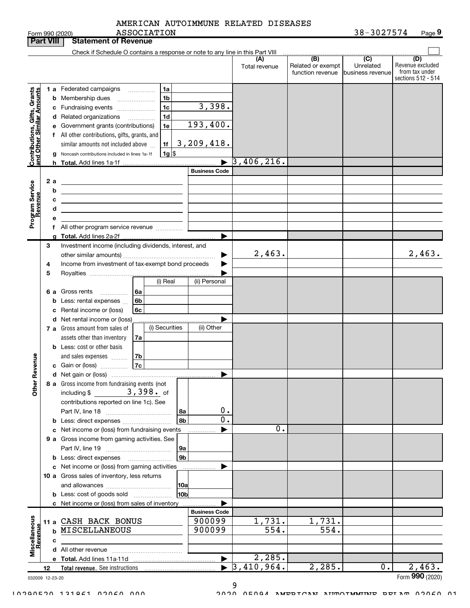| AMERICAN AUTOIMMUNE RELATED DISEASES |  |
|--------------------------------------|--|
|                                      |  |

| <b>Part VIII</b>                                          |                 |   | <b>Statement of Revenue</b>                                                                  |                       |                      |                                                           |                                                 |                                                                 |
|-----------------------------------------------------------|-----------------|---|----------------------------------------------------------------------------------------------|-----------------------|----------------------|-----------------------------------------------------------|-------------------------------------------------|-----------------------------------------------------------------|
|                                                           |                 |   | Check if Schedule O contains a response or note to any line in this Part VIII                |                       |                      |                                                           |                                                 |                                                                 |
|                                                           |                 |   |                                                                                              |                       | (A)<br>Total revenue | $\overline{(B)}$<br>Related or exempt<br>function revenue | $\overline{C}$<br>Unrelated<br>business revenue | (D)<br>Revenue excluded<br>from tax under<br>sections 512 - 514 |
|                                                           |                 |   | 1 a Federated campaigns<br>1a                                                                |                       |                      |                                                           |                                                 |                                                                 |
|                                                           |                 | b | 1 <sub>b</sub><br>Membership dues<br>$\overline{\phantom{a}}$                                |                       |                      |                                                           |                                                 |                                                                 |
|                                                           |                 |   | 1 <sub>c</sub><br>c Fundraising events                                                       | 3,398.                |                      |                                                           |                                                 |                                                                 |
|                                                           |                 |   | 1 <sub>d</sub><br>d Related organizations                                                    |                       |                      |                                                           |                                                 |                                                                 |
|                                                           |                 |   | 1e<br>Government grants (contributions)                                                      | 193,400.              |                      |                                                           |                                                 |                                                                 |
|                                                           |                 |   | f All other contributions, gifts, grants, and                                                |                       |                      |                                                           |                                                 |                                                                 |
| Contributions, Gifts, Grants<br>and Other Similar Amounts |                 |   | similar amounts not included above<br>1f                                                     | 3, 209, 418.          |                      |                                                           |                                                 |                                                                 |
|                                                           |                 |   | $1g$ \$<br>g Noncash contributions included in lines 1a-1f                                   |                       |                      |                                                           |                                                 |                                                                 |
|                                                           |                 |   | <b>h</b> Total. Add lines 1a-1f                                                              |                       | 3, 406, 216.         |                                                           |                                                 |                                                                 |
|                                                           |                 |   |                                                                                              | <b>Business Code</b>  |                      |                                                           |                                                 |                                                                 |
|                                                           | 2 a             |   |                                                                                              |                       |                      |                                                           |                                                 |                                                                 |
| Program Service<br>Revenue                                |                 | b | the control of the control of the control of the control of the control of                   |                       |                      |                                                           |                                                 |                                                                 |
|                                                           |                 | c | <u> 1989 - Johann Stein, mars an deus an deus Angelsen († 1908)</u>                          |                       |                      |                                                           |                                                 |                                                                 |
|                                                           |                 | d | the control of the control of the control of the control of the control of                   |                       |                      |                                                           |                                                 |                                                                 |
|                                                           |                 | е |                                                                                              |                       |                      |                                                           |                                                 |                                                                 |
|                                                           |                 |   |                                                                                              |                       |                      |                                                           |                                                 |                                                                 |
|                                                           |                 |   |                                                                                              |                       |                      |                                                           |                                                 |                                                                 |
|                                                           | 3               |   | Investment income (including dividends, interest, and                                        |                       | 2,463.               |                                                           |                                                 | 2,463.                                                          |
|                                                           | 4               |   | Income from investment of tax-exempt bond proceeds                                           |                       |                      |                                                           |                                                 |                                                                 |
|                                                           | 5               |   |                                                                                              |                       |                      |                                                           |                                                 |                                                                 |
|                                                           |                 |   | (i) Real                                                                                     | (ii) Personal         |                      |                                                           |                                                 |                                                                 |
|                                                           | 6а              |   | Gross rents<br>l 6a                                                                          |                       |                      |                                                           |                                                 |                                                                 |
|                                                           |                 | b | Less: rental expenses<br>6b                                                                  |                       |                      |                                                           |                                                 |                                                                 |
|                                                           |                 | с | Rental income or (loss)<br>6c                                                                |                       |                      |                                                           |                                                 |                                                                 |
|                                                           |                 |   | d Net rental income or (loss)                                                                |                       |                      |                                                           |                                                 |                                                                 |
|                                                           |                 |   | (i) Securities<br>7 a Gross amount from sales of                                             | (ii) Other            |                      |                                                           |                                                 |                                                                 |
|                                                           |                 |   | assets other than inventory<br>7a                                                            |                       |                      |                                                           |                                                 |                                                                 |
|                                                           |                 |   | <b>b</b> Less: cost or other basis                                                           |                       |                      |                                                           |                                                 |                                                                 |
|                                                           |                 |   | 7b<br>and sales expenses                                                                     |                       |                      |                                                           |                                                 |                                                                 |
| Revenue                                                   |                 |   | 7c<br>c Gain or (loss)                                                                       |                       |                      |                                                           |                                                 |                                                                 |
|                                                           |                 |   |                                                                                              | ▶                     |                      |                                                           |                                                 |                                                                 |
|                                                           |                 |   | 8 a Gross income from fundraising events (not                                                |                       |                      |                                                           |                                                 |                                                                 |
| <b>Other</b>                                              |                 |   | $3,398$ . of<br>including $$$                                                                |                       |                      |                                                           |                                                 |                                                                 |
|                                                           |                 |   | contributions reported on line 1c). See                                                      |                       |                      |                                                           |                                                 |                                                                 |
|                                                           |                 |   | 8a                                                                                           | 0.                    |                      |                                                           |                                                 |                                                                 |
|                                                           |                 |   | 8 <sub>b</sub><br><b>b</b> Less: direct expenses <i>managered</i> b                          | 0.                    |                      |                                                           |                                                 |                                                                 |
|                                                           |                 |   | c Net income or (loss) from fundraising events                                               |                       | 0.                   |                                                           |                                                 |                                                                 |
|                                                           |                 |   | 9 a Gross income from gaming activities. See                                                 |                       |                      |                                                           |                                                 |                                                                 |
|                                                           |                 |   | 9a<br>9 <sub>b</sub>                                                                         |                       |                      |                                                           |                                                 |                                                                 |
|                                                           |                 |   | <b>b</b> Less: direct expenses                                                               |                       |                      |                                                           |                                                 |                                                                 |
|                                                           |                 |   | c Net income or (loss) from gaming activities<br>10 a Gross sales of inventory, less returns |                       |                      |                                                           |                                                 |                                                                 |
|                                                           |                 |   | <b>10a</b>                                                                                   |                       |                      |                                                           |                                                 |                                                                 |
|                                                           |                 |   | 10bl<br><b>b</b> Less: cost of goods sold                                                    |                       |                      |                                                           |                                                 |                                                                 |
|                                                           |                 |   | c Net income or (loss) from sales of inventory                                               |                       |                      |                                                           |                                                 |                                                                 |
|                                                           |                 |   |                                                                                              | <b>Business Code</b>  |                      |                                                           |                                                 |                                                                 |
|                                                           | 11 a            |   | CASH BACK BONUS                                                                              | 900099                | 1,731.               | 1,731.                                                    |                                                 |                                                                 |
|                                                           |                 | b | MISCELLANEOUS                                                                                | 900099                | 554.                 | 554.                                                      |                                                 |                                                                 |
|                                                           |                 | с |                                                                                              |                       |                      |                                                           |                                                 |                                                                 |
| Miscellaneous<br><b>Revenue</b>                           |                 |   |                                                                                              |                       |                      |                                                           |                                                 |                                                                 |
|                                                           |                 |   |                                                                                              | $\blacktriangleright$ | 2,285.               |                                                           |                                                 |                                                                 |
|                                                           | 12              |   |                                                                                              | $\blacktriangleright$ | 3,410,964.           | 2,285.                                                    | 0.                                              | 2,463.                                                          |
|                                                           | 032009 12-23-20 |   |                                                                                              |                       |                      |                                                           |                                                 | Form 990 (2020)                                                 |

032009 12-23-20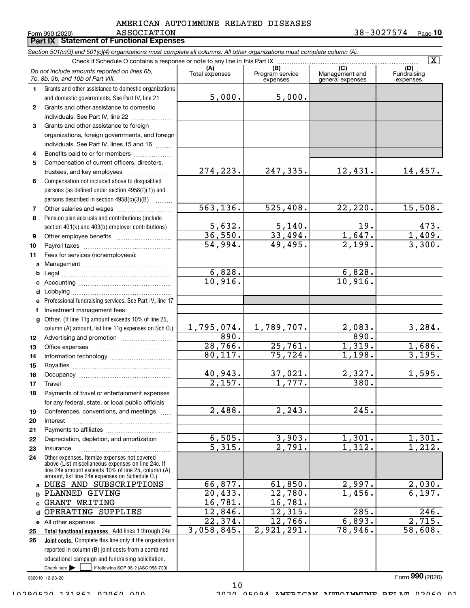#### $\texttt{ASSOCIATION} \texttt{10} \texttt{10}$ ASSOCIATION AMERICAN AUTOIMMUNE RELATED DISEASES

Form 990 (2020)**Part IX Statement of Functional Expenses** 

Section 501(c)(3) and 501(c)(4) organizations must complete all columns. All other organizations must complete column (A).

|              | $\overline{\mathbf{x}}$<br>$\overline{C}$<br>(A)                                                                                                           |                      |                                    |                                    |                                |  |  |  |  |  |  |  |  |
|--------------|------------------------------------------------------------------------------------------------------------------------------------------------------------|----------------------|------------------------------------|------------------------------------|--------------------------------|--|--|--|--|--|--|--|--|
|              | Do not include amounts reported on lines 6b,<br>7b, 8b, 9b, and 10b of Part VIII.                                                                          | Total expenses       | (B)<br>Program service<br>expenses | Management and<br>general expenses | (D)<br>Fundraising<br>expenses |  |  |  |  |  |  |  |  |
| 1.           | Grants and other assistance to domestic organizations                                                                                                      |                      |                                    |                                    |                                |  |  |  |  |  |  |  |  |
|              | and domestic governments. See Part IV, line 21                                                                                                             | 5,000.               | 5,000.                             |                                    |                                |  |  |  |  |  |  |  |  |
| $\mathbf{2}$ | Grants and other assistance to domestic                                                                                                                    |                      |                                    |                                    |                                |  |  |  |  |  |  |  |  |
|              | individuals. See Part IV, line 22                                                                                                                          |                      |                                    |                                    |                                |  |  |  |  |  |  |  |  |
| 3            | Grants and other assistance to foreign                                                                                                                     |                      |                                    |                                    |                                |  |  |  |  |  |  |  |  |
|              | organizations, foreign governments, and foreign                                                                                                            |                      |                                    |                                    |                                |  |  |  |  |  |  |  |  |
|              | individuals. See Part IV, lines 15 and 16                                                                                                                  |                      |                                    |                                    |                                |  |  |  |  |  |  |  |  |
| 4            | Benefits paid to or for members                                                                                                                            |                      |                                    |                                    |                                |  |  |  |  |  |  |  |  |
| 5            | Compensation of current officers, directors,                                                                                                               |                      |                                    |                                    |                                |  |  |  |  |  |  |  |  |
|              | trustees, and key employees                                                                                                                                | 274,223.             | 247,335.                           | 12,431.                            | 14,457.                        |  |  |  |  |  |  |  |  |
| 6            | Compensation not included above to disqualified                                                                                                            |                      |                                    |                                    |                                |  |  |  |  |  |  |  |  |
|              | persons (as defined under section 4958(f)(1)) and                                                                                                          |                      |                                    |                                    |                                |  |  |  |  |  |  |  |  |
|              | persons described in section 4958(c)(3)(B)                                                                                                                 | 563, 136.            | 525,408.                           | 22, 220.                           | 15,508.                        |  |  |  |  |  |  |  |  |
| 7            |                                                                                                                                                            |                      |                                    |                                    |                                |  |  |  |  |  |  |  |  |
| 8            | Pension plan accruals and contributions (include                                                                                                           | 5,632.               | 5,140.                             | 19.                                | 473.                           |  |  |  |  |  |  |  |  |
|              | section 401(k) and 403(b) employer contributions)                                                                                                          | 36,550.              | 33,494.                            | 1,647.                             | 1,409.                         |  |  |  |  |  |  |  |  |
| 9<br>10      |                                                                                                                                                            | 54,994.              | 49,495.                            | 2,199.                             | 3,300.                         |  |  |  |  |  |  |  |  |
| 11           | Fees for services (nonemployees):                                                                                                                          |                      |                                    |                                    |                                |  |  |  |  |  |  |  |  |
| a            |                                                                                                                                                            |                      |                                    |                                    |                                |  |  |  |  |  |  |  |  |
| b            |                                                                                                                                                            | 6,828.               |                                    | 6,828.                             |                                |  |  |  |  |  |  |  |  |
| c            |                                                                                                                                                            | 10,916.              |                                    | 10,916.                            |                                |  |  |  |  |  |  |  |  |
| d            |                                                                                                                                                            |                      |                                    |                                    |                                |  |  |  |  |  |  |  |  |
| е            | Professional fundraising services. See Part IV, line 17                                                                                                    |                      |                                    |                                    |                                |  |  |  |  |  |  |  |  |
| f            | Investment management fees                                                                                                                                 |                      |                                    |                                    |                                |  |  |  |  |  |  |  |  |
| g            | Other. (If line 11g amount exceeds 10% of line 25,                                                                                                         |                      |                                    |                                    |                                |  |  |  |  |  |  |  |  |
|              | column (A) amount, list line 11g expenses on Sch O.)                                                                                                       | 1,795,074.           | 1,789,707.                         | 2,083.                             | 3,284.                         |  |  |  |  |  |  |  |  |
| 12           |                                                                                                                                                            | 890.                 |                                    | 890.                               |                                |  |  |  |  |  |  |  |  |
| 13           |                                                                                                                                                            | 28,766.              | 25,761.                            | 1,319.                             | 1,686.                         |  |  |  |  |  |  |  |  |
| 14           |                                                                                                                                                            | 80,117.              | 75, 724.                           | 1,198.                             | 3,195.                         |  |  |  |  |  |  |  |  |
| 15           |                                                                                                                                                            |                      |                                    |                                    |                                |  |  |  |  |  |  |  |  |
| 16           |                                                                                                                                                            | 40,943.              | 37,021.                            | 2,327.                             | 1,595.                         |  |  |  |  |  |  |  |  |
| 17           |                                                                                                                                                            | $\overline{2,157}$ . | 1,777.                             | 380.                               |                                |  |  |  |  |  |  |  |  |
| 18           | Payments of travel or entertainment expenses                                                                                                               |                      |                                    |                                    |                                |  |  |  |  |  |  |  |  |
|              | for any federal, state, or local public officials                                                                                                          |                      |                                    |                                    |                                |  |  |  |  |  |  |  |  |
| 19           | Conferences, conventions, and meetings                                                                                                                     | $\overline{2,488}$ . | 2, 243.                            | $\overline{245}$ .                 |                                |  |  |  |  |  |  |  |  |
| 20           | Interest                                                                                                                                                   |                      |                                    |                                    |                                |  |  |  |  |  |  |  |  |
| 21           | Depreciation, depletion, and amortization                                                                                                                  | 6,505.               | 3,903.                             | 1,301.                             | 1,301.                         |  |  |  |  |  |  |  |  |
| 22           |                                                                                                                                                            | 5,315.               | $\overline{2,791}$ .               | 1,312.                             | 1,212.                         |  |  |  |  |  |  |  |  |
| 23<br>24     | Insurance<br>Other expenses. Itemize expenses not covered                                                                                                  |                      |                                    |                                    |                                |  |  |  |  |  |  |  |  |
|              | above (List miscellaneous expenses on line 24e. If<br>line 24e amount exceeds 10% of line 25, column (A)<br>amount, list line 24e expenses on Schedule O.) |                      |                                    |                                    |                                |  |  |  |  |  |  |  |  |
| a            | DUES AND SUBSCRIPTIONS                                                                                                                                     | 66,877.              | 61,850.                            | 2,997.                             | 2,030.                         |  |  |  |  |  |  |  |  |
| b            | PLANNED GIVING                                                                                                                                             | 20,433.              | 12,780.                            | 1,456.                             | 6,197.                         |  |  |  |  |  |  |  |  |
| c            | <b>GRANT WRITING</b>                                                                                                                                       | 16,781.              | 16,781.                            |                                    |                                |  |  |  |  |  |  |  |  |
| d            | OPERATING SUPPLIES                                                                                                                                         | 12,846.              | 12,315.                            | 285.                               | $\overline{246}$ .             |  |  |  |  |  |  |  |  |
|              | e All other expenses                                                                                                                                       | 22,374.              | 12,766.                            | 6,893.                             | 2,715.                         |  |  |  |  |  |  |  |  |
| 25           | Total functional expenses. Add lines 1 through 24e                                                                                                         | 3,058,845.           | 2,921,291.                         | 78,946.                            | 58,608.                        |  |  |  |  |  |  |  |  |
| 26           | Joint costs. Complete this line only if the organization                                                                                                   |                      |                                    |                                    |                                |  |  |  |  |  |  |  |  |
|              | reported in column (B) joint costs from a combined                                                                                                         |                      |                                    |                                    |                                |  |  |  |  |  |  |  |  |
|              | educational campaign and fundraising solicitation.                                                                                                         |                      |                                    |                                    |                                |  |  |  |  |  |  |  |  |
|              | Check here $\blacktriangleright$<br>if following SOP 98-2 (ASC 958-720)                                                                                    |                      |                                    |                                    |                                |  |  |  |  |  |  |  |  |
|              | 032010 12-23-20                                                                                                                                            |                      |                                    |                                    | Form 990 (2020)                |  |  |  |  |  |  |  |  |

10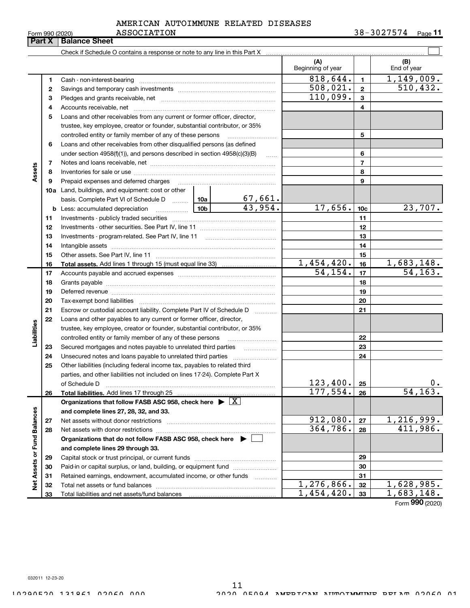|  | Form 990 (2020) |  |
|--|-----------------|--|
|  |                 |  |

# ASSOCIATION AMERICAN AUTOIMMUNE RELATED DISEASES

 $\texttt{ASSOCIATION}$  38-3027574  $_{\texttt{Page}}$  11

|                             |    | <b>Part X   Balance Sheet</b>                                                                                   |                 |                         |                          |                 |                                |
|-----------------------------|----|-----------------------------------------------------------------------------------------------------------------|-----------------|-------------------------|--------------------------|-----------------|--------------------------------|
|                             |    |                                                                                                                 |                 |                         |                          |                 |                                |
|                             |    |                                                                                                                 |                 |                         | (A)<br>Beginning of year |                 | (B)<br>End of year             |
|                             | 1  |                                                                                                                 | 818,644.        | $\mathbf{1}$            | 1,149,009.               |                 |                                |
|                             | 2  |                                                                                                                 |                 |                         | 508,021.                 | $\overline{2}$  | 510, 432.                      |
|                             | з  |                                                                                                                 |                 |                         | 110,099.                 | $\overline{3}$  |                                |
|                             | 4  |                                                                                                                 |                 |                         |                          | 4               |                                |
|                             | 5  | Loans and other receivables from any current or former officer, director,                                       |                 |                         |                          |                 |                                |
|                             |    | trustee, key employee, creator or founder, substantial contributor, or 35%                                      |                 |                         |                          |                 |                                |
|                             |    | controlled entity or family member of any of these persons                                                      |                 |                         |                          | 5               |                                |
|                             | 6  | Loans and other receivables from other disqualified persons (as defined                                         |                 |                         |                          |                 |                                |
|                             |    | under section $4958(f)(1)$ , and persons described in section $4958(c)(3)(B)$                                   |                 | $\ldots$                |                          | 6               |                                |
|                             | 7  |                                                                                                                 |                 |                         |                          | $\overline{7}$  |                                |
| Assets                      | 8  |                                                                                                                 |                 |                         |                          | 8               |                                |
|                             | 9  | Prepaid expenses and deferred charges                                                                           |                 |                         |                          | 9               |                                |
|                             |    | 10a Land, buildings, and equipment: cost or other                                                               |                 |                         |                          |                 |                                |
|                             |    | basis. Complete Part VI of Schedule D  10a                                                                      |                 | $\frac{67,661}{43,954}$ |                          |                 |                                |
|                             | b  | Less: accumulated depreciation                                                                                  | 10 <sub>b</sub> |                         | 17,656.                  | 10 <sub>c</sub> | 23,707.                        |
|                             | 11 |                                                                                                                 |                 | 11                      |                          |                 |                                |
|                             | 12 |                                                                                                                 |                 | 12                      |                          |                 |                                |
|                             | 13 |                                                                                                                 |                 | 13                      |                          |                 |                                |
|                             | 14 |                                                                                                                 |                 | 14                      |                          |                 |                                |
|                             | 15 |                                                                                                                 |                 |                         |                          | 15              |                                |
|                             | 16 |                                                                                                                 |                 |                         | 1,454,420.               | 16              | 1,683,148.                     |
|                             | 17 |                                                                                                                 |                 |                         | 54, 154.                 | 17              | 54, 163.                       |
|                             | 18 |                                                                                                                 |                 | 18                      |                          |                 |                                |
|                             | 19 | Deferred revenue manual contracts and contracts are all the manual contracts and contracts are contracted and c |                 |                         |                          | 19              |                                |
|                             | 20 |                                                                                                                 |                 |                         |                          | 20              |                                |
|                             | 21 | Escrow or custodial account liability. Complete Part IV of Schedule D                                           |                 | 1.1.1.1.1.1.1.1.1.1     |                          | 21              |                                |
|                             | 22 | Loans and other payables to any current or former officer, director,                                            |                 |                         |                          |                 |                                |
| Liabilities                 |    | trustee, key employee, creator or founder, substantial contributor, or 35%                                      |                 |                         |                          |                 |                                |
|                             |    | controlled entity or family member of any of these persons                                                      |                 |                         |                          | 22              |                                |
|                             | 23 | Secured mortgages and notes payable to unrelated third parties                                                  |                 |                         |                          | 23              |                                |
|                             | 24 |                                                                                                                 |                 |                         |                          | 24              |                                |
|                             | 25 | Other liabilities (including federal income tax, payables to related third                                      |                 |                         |                          |                 |                                |
|                             |    | parties, and other liabilities not included on lines 17-24). Complete Part X                                    |                 |                         |                          |                 |                                |
|                             |    | of Schedule D                                                                                                   |                 |                         | 123,400.                 | 25              | $0$ .                          |
|                             | 26 | Total liabilities. Add lines 17 through 25                                                                      |                 |                         | 177,554.                 | 26              | 54, 163.                       |
|                             |    | Organizations that follow FASB ASC 958, check here $\blacktriangleright \boxed{X}$                              |                 |                         |                          |                 |                                |
|                             |    | and complete lines 27, 28, 32, and 33.                                                                          |                 |                         |                          |                 | 1, 216, 999.                   |
|                             | 27 |                                                                                                                 |                 |                         | 912,080.<br>364,786.     | 27              | 411,986.                       |
|                             | 28 |                                                                                                                 |                 |                         |                          | 28              |                                |
|                             |    | Organizations that do not follow FASB ASC 958, check here $\blacktriangleright$                                 |                 |                         |                          |                 |                                |
|                             |    | and complete lines 29 through 33.                                                                               |                 |                         |                          |                 |                                |
| Net Assets or Fund Balances | 29 |                                                                                                                 |                 |                         |                          | 29              |                                |
|                             | 30 | Paid-in or capital surplus, or land, building, or equipment fund                                                |                 |                         |                          | 30              |                                |
|                             | 31 | Retained earnings, endowment, accumulated income, or other funds                                                |                 |                         | 1,276,866.               | 31              | 1,628,985.                     |
|                             | 32 |                                                                                                                 |                 |                         | 1,454,420.               | 32              | 1,683,148.                     |
|                             | 33 |                                                                                                                 |                 |                         |                          | 33              | $T_{\text{max}}$ 000 $(0.000)$ |

Form 990 (2020)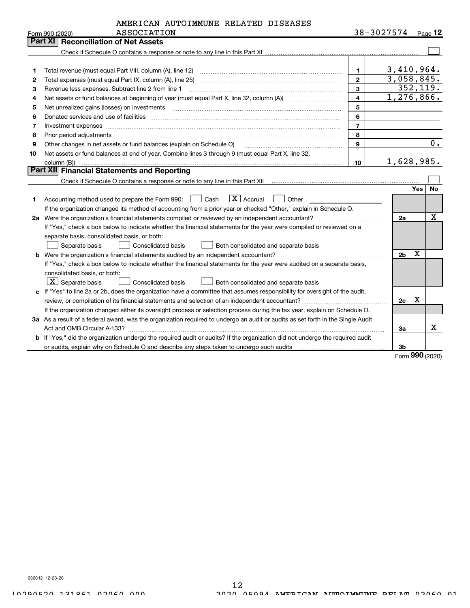| AMERICAN AUTOIMMUNE RELATED DISEASES |  |  |  |  |
|--------------------------------------|--|--|--|--|
|--------------------------------------|--|--|--|--|

|    | ASSOCIATION<br>Form 990 (2020)                                                                                                                                                                                                 | 38-3027574     |                         |            | Page 12   |
|----|--------------------------------------------------------------------------------------------------------------------------------------------------------------------------------------------------------------------------------|----------------|-------------------------|------------|-----------|
|    | Part XI   Reconciliation of Net Assets                                                                                                                                                                                         |                |                         |            |           |
|    |                                                                                                                                                                                                                                |                |                         |            |           |
|    |                                                                                                                                                                                                                                |                |                         |            |           |
| 1  | Total revenue (must equal Part VIII, column (A), line 12)                                                                                                                                                                      | $\mathbf 1$    | 3,410,964.              |            |           |
| 2  | Total expenses (must equal Part IX, column (A), line 25)                                                                                                                                                                       | $\overline{2}$ | 3,058,845.              |            |           |
| з  | Revenue less expenses. Subtract line 2 from line 1                                                                                                                                                                             | $\mathbf{3}$   |                         |            | 352, 119. |
| 4  |                                                                                                                                                                                                                                | $\overline{4}$ | $\overline{1,276},866.$ |            |           |
| 5  |                                                                                                                                                                                                                                | 5              |                         |            |           |
| 6  | Donated services and use of facilities [111] Donated and the service of facilities [11] Donated services and use of facilities [11] Donated and the service of the service of the service of the service of the service of the | 6              |                         |            |           |
| 7  |                                                                                                                                                                                                                                | $\overline{7}$ |                         |            |           |
| 8  |                                                                                                                                                                                                                                | 8              |                         |            |           |
| 9  | Other changes in net assets or fund balances (explain on Schedule O)                                                                                                                                                           | 9              |                         |            | 0.        |
| 10 | Net assets or fund balances at end of year. Combine lines 3 through 9 (must equal Part X, line 32,                                                                                                                             |                |                         |            |           |
|    |                                                                                                                                                                                                                                | 10             | 1,628,985.              |            |           |
|    | Part XII Financial Statements and Reporting                                                                                                                                                                                    |                |                         |            |           |
|    |                                                                                                                                                                                                                                |                |                         |            |           |
|    |                                                                                                                                                                                                                                |                |                         | <b>Yes</b> | No        |
| 1  | $ X $ Accrual<br>Accounting method used to prepare the Form 990: <u>June</u> Cash<br>Other                                                                                                                                     |                |                         |            |           |
|    | If the organization changed its method of accounting from a prior year or checked "Other," explain in Schedule O.                                                                                                              |                |                         |            |           |
|    | 2a Were the organization's financial statements compiled or reviewed by an independent accountant?                                                                                                                             |                | 2a                      |            | X         |
|    | If "Yes," check a box below to indicate whether the financial statements for the year were compiled or reviewed on a                                                                                                           |                |                         |            |           |
|    | separate basis, consolidated basis, or both:                                                                                                                                                                                   |                |                         |            |           |
|    | Separate basis<br>Consolidated basis<br>Both consolidated and separate basis                                                                                                                                                   |                |                         |            |           |
|    | <b>b</b> Were the organization's financial statements audited by an independent accountant?                                                                                                                                    |                | 2 <sub>b</sub>          | X          |           |
|    | If "Yes," check a box below to indicate whether the financial statements for the year were audited on a separate basis,                                                                                                        |                |                         |            |           |
|    | consolidated basis, or both:                                                                                                                                                                                                   |                |                         |            |           |
|    | $\boxed{\text{X}}$ Separate basis<br>Consolidated basis<br>Both consolidated and separate basis                                                                                                                                |                |                         |            |           |
|    | c If "Yes" to line 2a or 2b, does the organization have a committee that assumes responsibility for oversight of the audit,                                                                                                    |                |                         |            |           |
|    |                                                                                                                                                                                                                                |                | 2c                      | x          |           |
|    | If the organization changed either its oversight process or selection process during the tax year, explain on Schedule O.                                                                                                      |                |                         |            |           |
|    | 3a As a result of a federal award, was the organization required to undergo an audit or audits as set forth in the Single Audit                                                                                                |                |                         |            |           |
|    |                                                                                                                                                                                                                                |                | За                      |            | X         |
|    | b If "Yes," did the organization undergo the required audit or audits? If the organization did not undergo the required audit                                                                                                  |                |                         |            |           |
|    | or audits, explain why on Schedule O and describe any steps taken to undergo such audits                                                                                                                                       |                | 3 <sub>b</sub>          |            |           |

Form 990 (2020)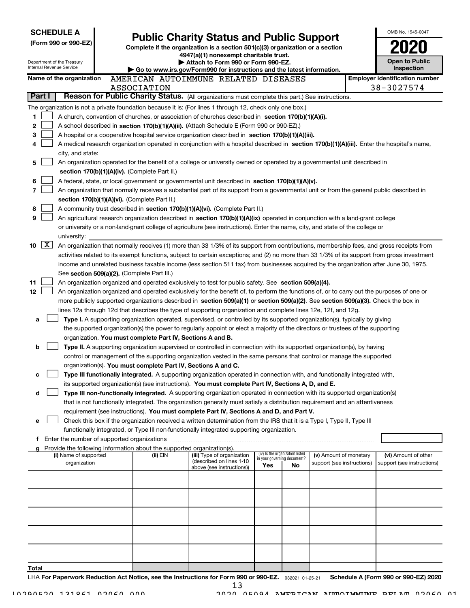|       |                     | <b>SCHEDULE A</b>                                      |                                                                                                                           |                                                                                                                                                                                                                                                                |                                       |                                                                |                            |  | OMB No. 1545-0047            |
|-------|---------------------|--------------------------------------------------------|---------------------------------------------------------------------------------------------------------------------------|----------------------------------------------------------------------------------------------------------------------------------------------------------------------------------------------------------------------------------------------------------------|---------------------------------------|----------------------------------------------------------------|----------------------------|--|------------------------------|
|       |                     | (Form 990 or 990-EZ)                                   |                                                                                                                           | <b>Public Charity Status and Public Support</b><br>Complete if the organization is a section 501(c)(3) organization or a section                                                                                                                               |                                       |                                                                |                            |  |                              |
|       |                     |                                                        |                                                                                                                           | 4947(a)(1) nonexempt charitable trust.                                                                                                                                                                                                                         |                                       |                                                                |                            |  |                              |
|       |                     | Department of the Treasury<br>Internal Revenue Service |                                                                                                                           | Attach to Form 990 or Form 990-EZ.                                                                                                                                                                                                                             |                                       |                                                                |                            |  | Open to Public<br>Inspection |
|       |                     | Name of the organization                               | ► Go to www.irs.gov/Form990 for instructions and the latest information.<br>AMERICAN AUTOIMMUNE RELATED DISEASES          |                                                                                                                                                                                                                                                                | <b>Employer identification number</b> |                                                                |                            |  |                              |
|       |                     |                                                        | ASSOCIATION                                                                                                               |                                                                                                                                                                                                                                                                |                                       |                                                                |                            |  | 38-3027574                   |
|       | Part I              |                                                        |                                                                                                                           | Reason for Public Charity Status. (All organizations must complete this part.) See instructions.                                                                                                                                                               |                                       |                                                                |                            |  |                              |
|       |                     |                                                        |                                                                                                                           | The organization is not a private foundation because it is: (For lines 1 through 12, check only one box.)                                                                                                                                                      |                                       |                                                                |                            |  |                              |
| 1     |                     |                                                        |                                                                                                                           | A church, convention of churches, or association of churches described in section 170(b)(1)(A)(i).                                                                                                                                                             |                                       |                                                                |                            |  |                              |
| 2     |                     |                                                        |                                                                                                                           | A school described in section 170(b)(1)(A)(ii). (Attach Schedule E (Form 990 or 990-EZ).)                                                                                                                                                                      |                                       |                                                                |                            |  |                              |
| з     |                     |                                                        |                                                                                                                           | A hospital or a cooperative hospital service organization described in section 170(b)(1)(A)(iii).                                                                                                                                                              |                                       |                                                                |                            |  |                              |
| 4     |                     |                                                        |                                                                                                                           | A medical research organization operated in conjunction with a hospital described in section 170(b)(1)(A)(iii). Enter the hospital's name,                                                                                                                     |                                       |                                                                |                            |  |                              |
|       |                     | city, and state:                                       |                                                                                                                           |                                                                                                                                                                                                                                                                |                                       |                                                                |                            |  |                              |
| 5     |                     |                                                        |                                                                                                                           | An organization operated for the benefit of a college or university owned or operated by a governmental unit described in                                                                                                                                      |                                       |                                                                |                            |  |                              |
|       |                     |                                                        | section 170(b)(1)(A)(iv). (Complete Part II.)                                                                             |                                                                                                                                                                                                                                                                |                                       |                                                                |                            |  |                              |
| 6     |                     |                                                        |                                                                                                                           | A federal, state, or local government or governmental unit described in section 170(b)(1)(A)(v).                                                                                                                                                               |                                       |                                                                |                            |  |                              |
| 7     |                     |                                                        |                                                                                                                           | An organization that normally receives a substantial part of its support from a governmental unit or from the general public described in                                                                                                                      |                                       |                                                                |                            |  |                              |
| 8     |                     |                                                        | section 170(b)(1)(A)(vi). (Complete Part II.)                                                                             | A community trust described in section 170(b)(1)(A)(vi). (Complete Part II.)                                                                                                                                                                                   |                                       |                                                                |                            |  |                              |
| 9     |                     |                                                        |                                                                                                                           | An agricultural research organization described in section 170(b)(1)(A)(ix) operated in conjunction with a land-grant college                                                                                                                                  |                                       |                                                                |                            |  |                              |
|       |                     |                                                        |                                                                                                                           | or university or a non-land-grant college of agriculture (see instructions). Enter the name, city, and state of the college or                                                                                                                                 |                                       |                                                                |                            |  |                              |
|       |                     | university:                                            |                                                                                                                           |                                                                                                                                                                                                                                                                |                                       |                                                                |                            |  |                              |
| 10    | $\lfloor x \rfloor$ |                                                        |                                                                                                                           | An organization that normally receives (1) more than 33 1/3% of its support from contributions, membership fees, and gross receipts from                                                                                                                       |                                       |                                                                |                            |  |                              |
|       |                     |                                                        |                                                                                                                           | activities related to its exempt functions, subject to certain exceptions; and (2) no more than 33 1/3% of its support from gross investment                                                                                                                   |                                       |                                                                |                            |  |                              |
|       |                     |                                                        |                                                                                                                           | income and unrelated business taxable income (less section 511 tax) from businesses acquired by the organization after June 30, 1975.                                                                                                                          |                                       |                                                                |                            |  |                              |
|       |                     |                                                        | See section 509(a)(2). (Complete Part III.)                                                                               |                                                                                                                                                                                                                                                                |                                       |                                                                |                            |  |                              |
| 11    |                     |                                                        |                                                                                                                           | An organization organized and operated exclusively to test for public safety. See section 509(a)(4).                                                                                                                                                           |                                       |                                                                |                            |  |                              |
| 12    |                     |                                                        |                                                                                                                           | An organization organized and operated exclusively for the benefit of, to perform the functions of, or to carry out the purposes of one or                                                                                                                     |                                       |                                                                |                            |  |                              |
|       |                     |                                                        |                                                                                                                           | more publicly supported organizations described in section 509(a)(1) or section 509(a)(2). See section 509(a)(3). Check the box in                                                                                                                             |                                       |                                                                |                            |  |                              |
|       |                     |                                                        |                                                                                                                           | lines 12a through 12d that describes the type of supporting organization and complete lines 12e, 12f, and 12g.                                                                                                                                                 |                                       |                                                                |                            |  |                              |
| a     |                     |                                                        |                                                                                                                           | Type I. A supporting organization operated, supervised, or controlled by its supported organization(s), typically by giving<br>the supported organization(s) the power to regularly appoint or elect a majority of the directors or trustees of the supporting |                                       |                                                                |                            |  |                              |
|       |                     |                                                        | organization. You must complete Part IV, Sections A and B.                                                                |                                                                                                                                                                                                                                                                |                                       |                                                                |                            |  |                              |
| b     |                     |                                                        |                                                                                                                           | Type II. A supporting organization supervised or controlled in connection with its supported organization(s), by having                                                                                                                                        |                                       |                                                                |                            |  |                              |
|       |                     |                                                        |                                                                                                                           | control or management of the supporting organization vested in the same persons that control or manage the supported                                                                                                                                           |                                       |                                                                |                            |  |                              |
|       |                     |                                                        |                                                                                                                           | organization(s). You must complete Part IV, Sections A and C.                                                                                                                                                                                                  |                                       |                                                                |                            |  |                              |
| с     |                     |                                                        |                                                                                                                           | Type III functionally integrated. A supporting organization operated in connection with, and functionally integrated with,                                                                                                                                     |                                       |                                                                |                            |  |                              |
|       |                     |                                                        |                                                                                                                           | its supported organization(s) (see instructions). You must complete Part IV, Sections A, D, and E.                                                                                                                                                             |                                       |                                                                |                            |  |                              |
| d     |                     |                                                        | Type III non-functionally integrated. A supporting organization operated in connection with its supported organization(s) |                                                                                                                                                                                                                                                                |                                       |                                                                |                            |  |                              |
|       |                     |                                                        |                                                                                                                           | that is not functionally integrated. The organization generally must satisfy a distribution requirement and an attentiveness                                                                                                                                   |                                       |                                                                |                            |  |                              |
|       |                     |                                                        |                                                                                                                           | requirement (see instructions). You must complete Part IV, Sections A and D, and Part V.                                                                                                                                                                       |                                       |                                                                |                            |  |                              |
| е     |                     |                                                        |                                                                                                                           | Check this box if the organization received a written determination from the IRS that it is a Type I, Type II, Type III                                                                                                                                        |                                       |                                                                |                            |  |                              |
|       |                     | f Enter the number of supported organizations          |                                                                                                                           | functionally integrated, or Type III non-functionally integrated supporting organization.                                                                                                                                                                      |                                       |                                                                |                            |  |                              |
|       |                     |                                                        | Provide the following information about the supported organization(s).                                                    |                                                                                                                                                                                                                                                                |                                       |                                                                |                            |  |                              |
|       |                     | (i) Name of supported                                  | (ii) EIN                                                                                                                  | (iii) Type of organization                                                                                                                                                                                                                                     |                                       | (iv) Is the organization listed<br>in your governing document? | (v) Amount of monetary     |  | (vi) Amount of other         |
|       |                     | organization                                           |                                                                                                                           | (described on lines 1-10)<br>above (see instructions))                                                                                                                                                                                                         | Yes                                   | No                                                             | support (see instructions) |  | support (see instructions)   |
|       |                     |                                                        |                                                                                                                           |                                                                                                                                                                                                                                                                |                                       |                                                                |                            |  |                              |
|       |                     |                                                        |                                                                                                                           |                                                                                                                                                                                                                                                                |                                       |                                                                |                            |  |                              |
|       |                     |                                                        |                                                                                                                           |                                                                                                                                                                                                                                                                |                                       |                                                                |                            |  |                              |
|       |                     |                                                        |                                                                                                                           |                                                                                                                                                                                                                                                                |                                       |                                                                |                            |  |                              |
|       |                     |                                                        |                                                                                                                           |                                                                                                                                                                                                                                                                |                                       |                                                                |                            |  |                              |
|       |                     |                                                        |                                                                                                                           |                                                                                                                                                                                                                                                                |                                       |                                                                |                            |  |                              |
|       |                     |                                                        |                                                                                                                           |                                                                                                                                                                                                                                                                |                                       |                                                                |                            |  |                              |
|       |                     |                                                        |                                                                                                                           |                                                                                                                                                                                                                                                                |                                       |                                                                |                            |  |                              |
|       |                     |                                                        |                                                                                                                           |                                                                                                                                                                                                                                                                |                                       |                                                                |                            |  |                              |
| Total |                     |                                                        |                                                                                                                           |                                                                                                                                                                                                                                                                |                                       |                                                                |                            |  |                              |
|       |                     |                                                        |                                                                                                                           | $1 \text{ HA}$ Ear Deparwerk Reduction Act Notice, see the Instructions for Earm 990 or 990-E7 $\frac{20001}{100001}$ at 25.21 Schedule A (Earm 990 or 990-E7) 2020                                                                                            |                                       |                                                                |                            |  |                              |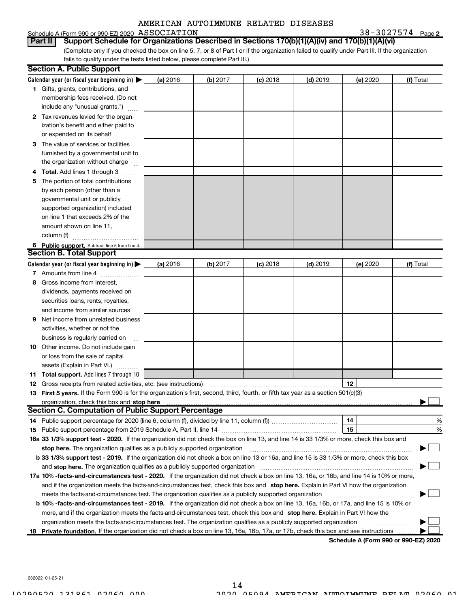#### Schedule A (Form 990 or 990-EZ) 2020  $\,$  ASSOCIATION  $38-3027574$

ASSOCIATION 38-3027574 Page 2

(Complete only if you checked the box on line 5, 7, or 8 of Part I or if the organization failed to qualify under Part III. If the organization fails to qualify under the tests listed below, please complete Part III.) Part II | Support Schedule for Organizations Described in Sections 170(b)(1)(A)(iv) and 170(b)(1)(A)(vi)

|   | <b>Section A. Public Support</b>                                                                                                               |          |          |            |            |          |                                      |
|---|------------------------------------------------------------------------------------------------------------------------------------------------|----------|----------|------------|------------|----------|--------------------------------------|
|   | Calendar year (or fiscal year beginning in) $\blacktriangleright$                                                                              | (a) 2016 | (b) 2017 | $(c)$ 2018 | $(d)$ 2019 | (e) 2020 | (f) Total                            |
|   | 1 Gifts, grants, contributions, and                                                                                                            |          |          |            |            |          |                                      |
|   | membership fees received. (Do not                                                                                                              |          |          |            |            |          |                                      |
|   | include any "unusual grants.")                                                                                                                 |          |          |            |            |          |                                      |
|   | 2 Tax revenues levied for the organ-                                                                                                           |          |          |            |            |          |                                      |
|   | ization's benefit and either paid to                                                                                                           |          |          |            |            |          |                                      |
|   | or expended on its behalf                                                                                                                      |          |          |            |            |          |                                      |
|   | 3 The value of services or facilities                                                                                                          |          |          |            |            |          |                                      |
|   | furnished by a governmental unit to                                                                                                            |          |          |            |            |          |                                      |
|   | the organization without charge                                                                                                                |          |          |            |            |          |                                      |
|   | <b>Total.</b> Add lines 1 through 3                                                                                                            |          |          |            |            |          |                                      |
| 5 | The portion of total contributions                                                                                                             |          |          |            |            |          |                                      |
|   | by each person (other than a                                                                                                                   |          |          |            |            |          |                                      |
|   | governmental unit or publicly                                                                                                                  |          |          |            |            |          |                                      |
|   | supported organization) included                                                                                                               |          |          |            |            |          |                                      |
|   | on line 1 that exceeds 2% of the                                                                                                               |          |          |            |            |          |                                      |
|   | amount shown on line 11,                                                                                                                       |          |          |            |            |          |                                      |
|   | column (f)                                                                                                                                     |          |          |            |            |          |                                      |
|   | 6 Public support. Subtract line 5 from line 4.                                                                                                 |          |          |            |            |          |                                      |
|   | <b>Section B. Total Support</b>                                                                                                                |          |          |            |            |          |                                      |
|   | Calendar year (or fiscal year beginning in) $\blacktriangleright$                                                                              | (a) 2016 | (b) 2017 | $(c)$ 2018 | $(d)$ 2019 | (e) 2020 | (f) Total                            |
|   | 7 Amounts from line 4                                                                                                                          |          |          |            |            |          |                                      |
| 8 | Gross income from interest,                                                                                                                    |          |          |            |            |          |                                      |
|   | dividends, payments received on                                                                                                                |          |          |            |            |          |                                      |
|   | securities loans, rents, royalties,                                                                                                            |          |          |            |            |          |                                      |
|   | and income from similar sources                                                                                                                |          |          |            |            |          |                                      |
| 9 | Net income from unrelated business                                                                                                             |          |          |            |            |          |                                      |
|   | activities, whether or not the                                                                                                                 |          |          |            |            |          |                                      |
|   | business is regularly carried on                                                                                                               |          |          |            |            |          |                                      |
|   | <b>10</b> Other income. Do not include gain                                                                                                    |          |          |            |            |          |                                      |
|   | or loss from the sale of capital                                                                                                               |          |          |            |            |          |                                      |
|   | assets (Explain in Part VI.)                                                                                                                   |          |          |            |            |          |                                      |
|   | 11 Total support. Add lines 7 through 10                                                                                                       |          |          |            |            |          |                                      |
|   | <b>12</b> Gross receipts from related activities, etc. (see instructions)                                                                      |          |          |            |            | 12       |                                      |
|   | 13 First 5 years. If the Form 990 is for the organization's first, second, third, fourth, or fifth tax year as a section 501(c)(3)             |          |          |            |            |          |                                      |
|   | <u>organization, check this box and stop here www.array.com/marray.com/marray-marray-marray-marray-marray-marray-</u>                          |          |          |            |            |          |                                      |
|   | <b>Section C. Computation of Public Support Percentage</b>                                                                                     |          |          |            |            |          |                                      |
|   | 14 Public support percentage for 2020 (line 6, column (f), divided by line 11, column (f) <i>marrourcommum</i>                                 |          |          |            |            | 14       | %                                    |
|   |                                                                                                                                                |          |          |            |            | 15       | %                                    |
|   | 16a 33 1/3% support test - 2020. If the organization did not check the box on line 13, and line 14 is 33 1/3% or more, check this box and      |          |          |            |            |          |                                      |
|   | stop here. The organization qualifies as a publicly supported organization                                                                     |          |          |            |            |          |                                      |
|   | b 33 1/3% support test - 2019. If the organization did not check a box on line 13 or 16a, and line 15 is 33 1/3% or more, check this box       |          |          |            |            |          |                                      |
|   | and stop here. The organization qualifies as a publicly supported organization                                                                 |          |          |            |            |          |                                      |
|   | 17a 10% -facts-and-circumstances test - 2020. If the organization did not check a box on line 13, 16a, or 16b, and line 14 is 10% or more,     |          |          |            |            |          |                                      |
|   | and if the organization meets the facts-and-circumstances test, check this box and stop here. Explain in Part VI how the organization          |          |          |            |            |          |                                      |
|   | meets the facts-and-circumstances test. The organization qualifies as a publicly supported organization                                        |          |          |            |            |          |                                      |
|   | <b>b 10% -facts-and-circumstances test - 2019.</b> If the organization did not check a box on line 13, 16a, 16b, or 17a, and line 15 is 10% or |          |          |            |            |          |                                      |
|   | more, and if the organization meets the facts-and-circumstances test, check this box and stop here. Explain in Part VI how the                 |          |          |            |            |          |                                      |
|   | organization meets the facts-and-circumstances test. The organization qualifies as a publicly supported organization                           |          |          |            |            |          |                                      |
|   | 18 Private foundation. If the organization did not check a box on line 13, 16a, 16b, 17a, or 17b, check this box and see instructions          |          |          |            |            |          |                                      |
|   |                                                                                                                                                |          |          |            |            |          | Schodule A (Form 000 or 000 F7) 2020 |

Schedule A (Form 990 or 990-EZ) 2020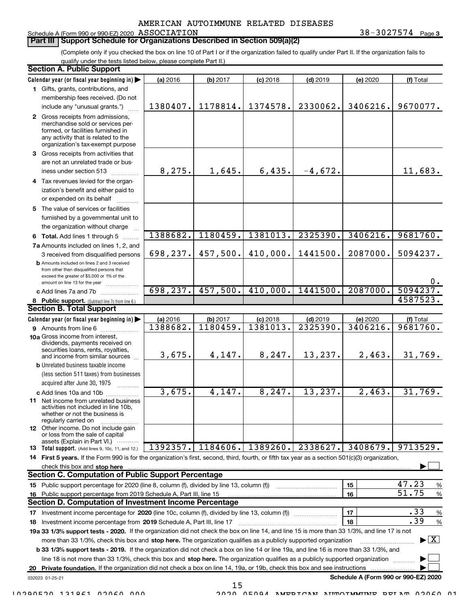## Schedule A (Form 990 or 990-EZ) 2020  $\,$  ASSOCIATION  $38-3027574$

**Part III | Support Schedule for Organizations Described in Section 509(a)(2)** 

ASSOCIATION 38-3027574 Page 3

(Complete only if you checked the box on line 10 of Part I or if the organization failed to qualify under Part II. If the organization fails toqualify under the tests listed below, please complete Part II.)

| <b>Section A. Public Support</b>                                                                                                                                                         |          |          |            |            |                                      |                                          |
|------------------------------------------------------------------------------------------------------------------------------------------------------------------------------------------|----------|----------|------------|------------|--------------------------------------|------------------------------------------|
| Calendar year (or fiscal year beginning in)                                                                                                                                              | (a) 2016 | (b) 2017 | $(c)$ 2018 | $(d)$ 2019 | (e) 2020                             | (f) Total                                |
| 1 Gifts, grants, contributions, and                                                                                                                                                      |          |          |            |            |                                      |                                          |
| membership fees received. (Do not                                                                                                                                                        |          |          |            |            |                                      |                                          |
| include any "unusual grants.")                                                                                                                                                           | 1380407. | 1178814. | 1374578.   | 2330062.   | 3406216.                             | 9670077.                                 |
| 2 Gross receipts from admissions,<br>merchandise sold or services per-<br>formed, or facilities furnished in<br>any activity that is related to the<br>organization's tax-exempt purpose |          |          |            |            |                                      |                                          |
| 3 Gross receipts from activities that                                                                                                                                                    |          |          |            |            |                                      |                                          |
| are not an unrelated trade or bus-<br>iness under section 513                                                                                                                            | 8,275.   | 1,645.   | 6,435.     | $-4,672.$  |                                      | 11,683.                                  |
| 4 Tax revenues levied for the organ-                                                                                                                                                     |          |          |            |            |                                      |                                          |
| ization's benefit and either paid to<br>or expended on its behalf                                                                                                                        |          |          |            |            |                                      |                                          |
| 5 The value of services or facilities                                                                                                                                                    |          |          |            |            |                                      |                                          |
| furnished by a governmental unit to                                                                                                                                                      |          |          |            |            |                                      |                                          |
| the organization without charge                                                                                                                                                          |          |          |            |            |                                      |                                          |
| 6 Total. Add lines 1 through 5                                                                                                                                                           | 1388682. | 1180459. | 1381013.   | 2325390.   | 3406216.                             | 9681760.                                 |
| 7a Amounts included on lines 1, 2, and                                                                                                                                                   |          |          |            |            |                                      |                                          |
| 3 received from disqualified persons                                                                                                                                                     | 698,237. | 457,500. | 410,000.   | 1441500.   | 2087000.                             | 5094237.                                 |
| <b>b</b> Amounts included on lines 2 and 3 received<br>from other than disqualified persons that<br>exceed the greater of \$5,000 or 1% of the<br>amount on line 13 for the year         |          |          |            |            |                                      | $0$ .                                    |
| c Add lines 7a and 7b                                                                                                                                                                    | 698,237. | 457,500. | 410,000.   | 1441500.   | 2087000.                             | 5094237                                  |
| 8 Public support. (Subtract line 7c from line 6.)                                                                                                                                        |          |          |            |            |                                      | 4587523.                                 |
| <b>Section B. Total Support</b>                                                                                                                                                          |          |          |            |            |                                      |                                          |
| Calendar year (or fiscal year beginning in)                                                                                                                                              | (a) 2016 | (b) 2017 | $(c)$ 2018 | $(d)$ 2019 | (e) 2020                             | (f) Total                                |
| 9 Amounts from line 6                                                                                                                                                                    | 1388682. | 1180459. | 1381013.   | 2325390    | 3406216.                             | 9681760.                                 |
| 10a Gross income from interest,<br>dividends, payments received on<br>securities loans, rents, royalties,<br>and income from similar sources                                             | 3,675.   | 4,147.   | 8, 247.    | 13,237.    | 2,463.                               | 31,769.                                  |
| <b>b</b> Unrelated business taxable income                                                                                                                                               |          |          |            |            |                                      |                                          |
| (less section 511 taxes) from businesses                                                                                                                                                 |          |          |            |            |                                      |                                          |
| acquired after June 30, 1975<br>.                                                                                                                                                        |          |          |            |            |                                      |                                          |
| c Add lines 10a and 10b                                                                                                                                                                  | 3,675.   | 4,147.   | 8, 247.    | 13, 237.   | 2,463.                               | 31,769.                                  |
| <b>11</b> Net income from unrelated business<br>activities not included in line 10b,<br>whether or not the business is<br>regularly carried on                                           |          |          |            |            |                                      |                                          |
| <b>12</b> Other income. Do not include gain<br>or loss from the sale of capital<br>assets (Explain in Part VI.)                                                                          |          |          |            |            |                                      |                                          |
| 13 Total support. (Add lines 9, 10c, 11, and 12.)                                                                                                                                        | 1392357. | 1184606. | 1389260.   | 2338627.   | 3408679.                             | 9713529.                                 |
| 14 First 5 years. If the Form 990 is for the organization's first, second, third, fourth, or fifth tax year as a section 501(c)(3) organization,                                         |          |          |            |            |                                      |                                          |
| check this box and stop here                                                                                                                                                             |          |          |            |            |                                      |                                          |
| <b>Section C. Computation of Public Support Percentage</b>                                                                                                                               |          |          |            |            |                                      |                                          |
| 15 Public support percentage for 2020 (line 8, column (f), divided by line 13, column (f))                                                                                               |          |          |            |            | 15                                   | 47.23<br>%                               |
| 16 Public support percentage from 2019 Schedule A, Part III, line 15                                                                                                                     |          |          |            |            | 16                                   | 51.75<br>%                               |
| <b>Section D. Computation of Investment Income Percentage</b>                                                                                                                            |          |          |            |            |                                      |                                          |
|                                                                                                                                                                                          |          |          |            |            | 17                                   | .33<br>%                                 |
| 18 Investment income percentage from 2019 Schedule A, Part III, line 17                                                                                                                  |          |          |            |            | 18                                   | .39<br>$\%$                              |
| 19a 33 1/3% support tests - 2020. If the organization did not check the box on line 14, and line 15 is more than 33 1/3%, and line 17 is not                                             |          |          |            |            |                                      |                                          |
| more than 33 1/3%, check this box and stop here. The organization qualifies as a publicly supported organization                                                                         |          |          |            |            |                                      | $\blacktriangleright$ $\boxed{\text{X}}$ |
| b 33 1/3% support tests - 2019. If the organization did not check a box on line 14 or line 19a, and line 16 is more than 33 1/3%, and                                                    |          |          |            |            |                                      |                                          |
| line 18 is not more than 33 1/3%, check this box and stop here. The organization qualifies as a publicly supported organization                                                          |          |          |            |            |                                      |                                          |
| 20 Private foundation. If the organization did not check a box on line 14, 19a, or 19b, check this box and see instructions                                                              |          |          |            |            |                                      |                                          |
| 032023 01-25-21                                                                                                                                                                          |          |          |            |            | Schedule A (Form 990 or 990-EZ) 2020 |                                          |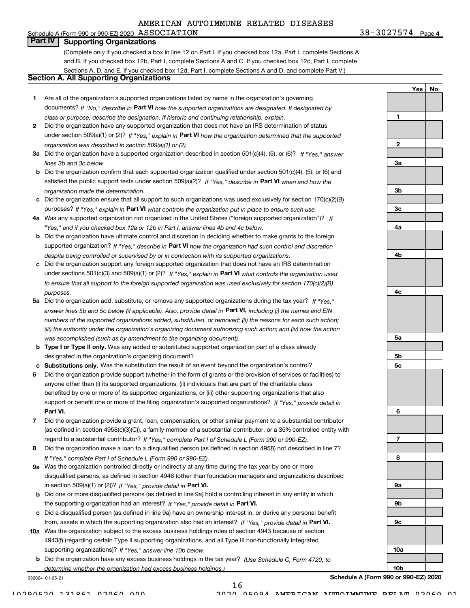#### Schedule A (Form 990 or 990-EZ) 2020  $\,$  ASSOCIATION  $38-3027574$ **Part IV | Supporting Organizations**

(Complete only if you checked a box in line 12 on Part I. If you checked box 12a, Part I, complete Sections Aand B. If you checked box 12b, Part I, complete Sections A and C. If you checked box 12c, Part I, completeSections A, D, and E. If you checked box 12d, Part I, complete Sections A and D, and complete Part V.)

### Section A. All Supporting Organizations

- 1 Are all of the organization's supported organizations listed by name in the organization's governingdocuments? If "No," describe in Part VI how the supported organizations are designated. If designated by class or purpose, describe the designation. If historic and continuing relationship, explain.
- 2 Did the organization have any supported organization that does not have an IRS determination of status under section 509(a)(1) or (2)? If "Yes," explain in Part VI how the organization determined that the supported organization was described in section 509(a)(1) or (2).
- 3a Did the organization have a supported organization described in section 501(c)(4), (5), or (6)? If "Yes," answer lines 3b and 3c below.
- b Did the organization confirm that each supported organization qualified under section 501(c)(4), (5), or (6) andsatisfied the public support tests under section 509(a)(2)? If "Yes," describe in **Part VI** when and how the organization made the determination.
- c Did the organization ensure that all support to such organizations was used exclusively for section 170(c)(2)(B)purposes? If "Yes," explain in Part VI what controls the organization put in place to ensure such use.
- 4a Was any supported organization not organized in the United States ("foreign supported organization")? If "Yes," and if you checked box 12a or 12b in Part I, answer lines 4b and 4c below.
- b Did the organization have ultimate control and discretion in deciding whether to make grants to the foreignsupported organization? If "Yes," describe in Part VI how the organization had such control and discretion despite being controlled or supervised by or in connection with its supported organizations.
- c Did the organization support any foreign supported organization that does not have an IRS determinationunder sections 501(c)(3) and 509(a)(1) or (2)? If "Yes," explain in Part VI what controls the organization used to ensure that all support to the foreign supported organization was used exclusively for section 170(c)(2)(B) purposes.
- 5a Did the organization add, substitute, or remove any supported organizations during the tax year? If "Yes," answer lines 5b and 5c below (if applicable). Also, provide detail in **Part VI,** including (i) the names and EIN numbers of the supported organizations added, substituted, or removed; (ii) the reasons for each such action; (iii) the authority under the organization's organizing document authorizing such action; and (iv) how the action was accomplished (such as by amendment to the organizing document).
- **b Type I or Type II only.** Was any added or substituted supported organization part of a class already designated in the organization's organizing document?
- c Substitutions only. Was the substitution the result of an event beyond the organization's control?
- 6 Did the organization provide support (whether in the form of grants or the provision of services or facilities) toPart VI. support or benefit one or more of the filing organization's supported organizations? If "Yes," provide detail in anyone other than (i) its supported organizations, (ii) individuals that are part of the charitable classbenefited by one or more of its supported organizations, or (iii) other supporting organizations that also
- 7 Did the organization provide a grant, loan, compensation, or other similar payment to a substantial contributorregard to a substantial contributor? If "Yes," complete Part I of Schedule L (Form 990 or 990-EZ). (as defined in section 4958(c)(3)(C)), a family member of a substantial contributor, or a 35% controlled entity with
- 8 Did the organization make a loan to a disqualified person (as defined in section 4958) not described in line 7?If "Yes," complete Part I of Schedule L (Form 990 or 990-EZ).
- **9a** Was the organization controlled directly or indirectly at any time during the tax year by one or more in section 509(a)(1) or (2))? If "Yes," provide detail in Part VI. disqualified persons, as defined in section 4946 (other than foundation managers and organizations described
- b Did one or more disqualified persons (as defined in line 9a) hold a controlling interest in any entity in whichthe supporting organization had an interest? If "Yes," provide detail in Part VI.
- c Did a disqualified person (as defined in line 9a) have an ownership interest in, or derive any personal benefitfrom, assets in which the supporting organization also had an interest? If "Yes," provide detail in Part VI.
- 10a Was the organization subject to the excess business holdings rules of section 4943 because of section supporting organizations)? If "Yes," answer line 10b below. 4943(f) (regarding certain Type II supporting organizations, and all Type III non-functionally integrated
- **b** Did the organization have any excess business holdings in the tax year? (Use Schedule C, Form 4720, to determine whether the organization had excess business holdings.)

032024 01-25-21

Schedule A (Form 990 or 990-EZ) 2020

1

2

3a

3b

3c

4a

4b

4c

5a

5b 5c

6

7

8

9a

9b

9c

10a

10b

Yes | No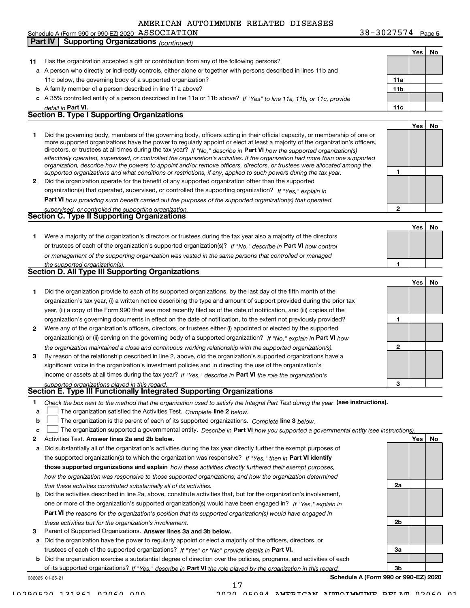ASSOCIATION 38-3027574 Page 5 Yes | No 11 Has the organization accepted a gift or contribution from any of the following persons?a A person who directly or indirectly controls, either alone or together with persons described in lines 11b andb A family member of a person described in line 11a above?c A 35% controlled entity of a person described in line 11a or 11b above? If "Yes" to line 11a, 11b, or 11c, provide 11a 11b Part VI. 11c Yes | No 1 2 Did the organization operate for the benefit of any supported organization other than the supported directors, or trustees at all times during the tax year? If "No," describe in Part VI how the supported organization(s) 1 2 Part VI how providing such benefit carried out the purposes of the supported organization(s) that operated, Yes | No 1 Were a majority of the organization's directors or trustees during the tax year also a majority of the directorsor trustees of each of the organization's supported organization(s)? If "No," describe in Part VI how control 1 Yes | No 1 Did the organization provide to each of its supported organizations, by the last day of the fifth month of the2 Were any of the organization's officers, directors, or trustees either (i) appointed or elected by the supported3 By reason of the relationship described in line 2, above, did the organization's supported organizations have a 1 2 3 organization(s) or (ii) serving on the governing body of a supported organization? If "No," explain in Part VI how income or assets at all times during the tax year? If "Yes," describe in Part VI the role the organization's 1 Check the box next to the method that the organization used to satisfy the Integral Part Test during the year (see instructions). detail in **Part VI** effectively operated, supervised, or controlled the organization's activities. If the organization had more than one supported organization, describe how the powers to appoint and/or remove officers, directors, or trustees were allocated among the supported organizations and what conditions or restrictions, if any, applied to such powers during the tax year. organization(s) that operated, supervised, or controlled the supporting organization? If "Yes," explain in upervised, or controlled the supporting organization. or management of the supporting organization was vested in the same persons that controlled or managed the supported organization(s). the organization maintained a close and continuous working relationship with the supported organization(s). supported organizations played in this regard. Schedule A (Form 990 or 990-EZ) 2020  $\,$  ASSOCIATION  $38-3027574$ 11c below, the governing body of a supported organization?Did the governing body, members of the governing body, officers acting in their official capacity, or membership of one or more supported organizations have the power to regularly appoint or elect at least a majority of the organization's officers, organization's tax year, (i) a written notice describing the type and amount of support provided during the prior taxyear, (ii) a copy of the Form 990 that was most recently filed as of the date of notification, and (iii) copies of theorganization's governing documents in effect on the date of notification, to the extent not previously provided?significant voice in the organization's investment policies and in directing the use of the organization'sPart **IV** Supporting Organizations *(continued)* Section B. Type I Supporting Organizations Section C. Type II Supporting Organizations Section D. All Type III Supporting Organizations Section E. Type III Functionally Integrated Supporting Organizations

- a The organization satisfied the Activities Test. Complete line 2 below.  $\begin{array}{c} \hline \end{array}$
- b The organization is the parent of each of its supported organizations. Complete line 3 below.  $\begin{array}{c} \hline \end{array}$

|  | c $\Box$ The organization supported a governmental entity. Describe in Part VI how you supported a governmental entity (see instructions). |  |
|--|--------------------------------------------------------------------------------------------------------------------------------------------|--|
|  |                                                                                                                                            |  |

- 2 Activities Test. Answer lines 2a and 2b below. No recorded the control of the control of the control of the control of the control of the control of the control of the control of the control of the control of the contro
- a Did substantially all of the organization's activities during the tax year directly further the exempt purposes ofthe supported organization(s) to which the organization was responsive? If "Yes," then in Part VI identify those supported organizations and explain how these activities directly furthered their exempt purposes, how the organization was responsive to those supported organizations, and how the organization determined that these activities constituted substantially all of its activities.
- b Did the activities described in line 2a, above, constitute activities that, but for the organization's involvement,Part VI the reasons for the organization's position that its supported organization(s) would have engaged in one or more of the organization's supported organization(s) would have been engaged in? If "Yes," explain in these activities but for the organization's involvement.
- 3 Parent of Supported Organizations. Answer lines 3a and 3b below.

a Did the organization have the power to regularly appoint or elect a majority of the officers, directors, ortrustees of each of the supported organizations? If "Yes" or "No" provide details in Part VI.

032025 01-25-21 b Did the organization exercise a substantial degree of direction over the policies, programs, and activities of eachof its supported organizations? If "Yes," describe in Part VI the role played by the organization in this regard.

Schedule A (Form 990 or 990-EZ) 2020

2a

2b

3a

3b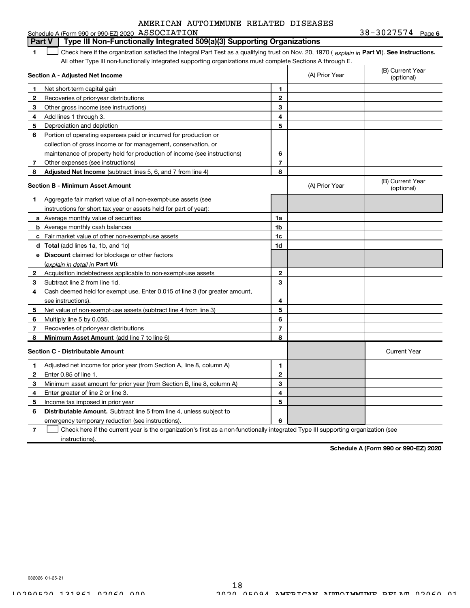#### Check here if the organization satisfied the Integral Part Test as a qualifying trust on Nov. 20, 1970 ( explain in Part VI). See instructions. Section A - Adjusted Net Income 1 2 3 Other gross income (see instructions)4 Add lines 1 through 3.5 6 Portion of operating expenses paid or incurred for production or7 Other expenses (see instructions)8 **Adjusted Net Income** (subtract lines 5, 6, and 7 from line 4) **8 8** 1 2 3 4 5 6 7 Section B - Minimum Asset Amount 1 Aggregate fair market value of all non-exempt-use assets (see2 Acquisition indebtedness applicable to non-exempt-use assets 3 Subtract line 2 from line 1d.4 Cash deemed held for exempt use. Enter 0.015 of line 3 (for greater amount,5 Net value of non-exempt-use assets (subtract line 4 from line 3)6 Multiply line 5 by 0.035. 7 8 a Average monthly value of securities **b** Average monthly cash balances c Fair market value of other non-exempt-use assetsd Total (add lines 1a, 1b, and 1c)e Discount claimed for blockage or other factors 1a 1b 1c 1d 2 3 4 5 6 7 8 <u>(explain in detail in **Part VI**):</u> Minimum Asset Amount (add line 7 to line 6) Section C - Distributable Amount 1 2 3 4 5 6 1 2 3 4 5 6 Distributable Amount. Subtract line 5 from line 4, unless subject to All other Type III non-functionally integrated supporting organizations must complete Sections A through E.(B) Current Year(optional) (A) Prior Year Net short-term capital gainRecoveries of prior-year distributionsDepreciation and depletioncollection of gross income or for management, conservation, ormaintenance of property held for production of income (see instructions)(B) Current Year(optional) (A) Prior Year instructions for short tax year or assets held for part of year):see instructions).Recoveries of prior-year distributionsCurrent YearAdjusted net income for prior year (from Section A, line 8, column A)Enter 0.85 of line 1.Minimum asset amount for prior year (from Section B, line 8, column A)Enter greater of line 2 or line 3.Income tax imposed in prior year emergency temporary reduction (see instructions).Part V  $\mid$  Type III Non-Functionally Integrated 509(a)(3) Supporting Organizations  $\begin{array}{c} \hline \end{array}$

7 Check here if the current year is the organization's first as a non-functionally integrated Type III supporting organization (seeinstructions). $\begin{array}{c} \hline \end{array}$ 

Schedule A (Form 990 or 990-EZ) 2020

032026 01-25-21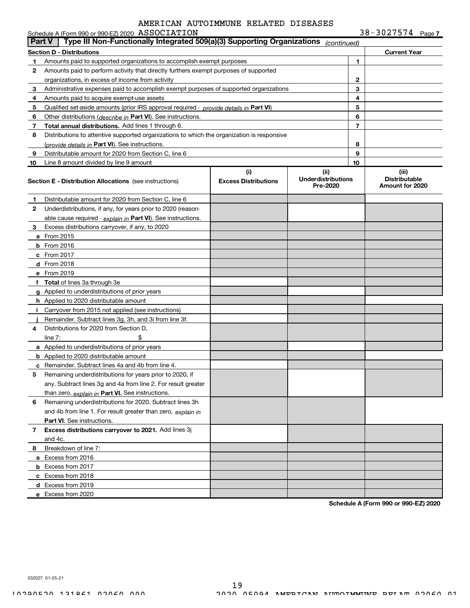|              | Schedule A (Form 990 or 990-EZ) 2020 ASSOCIATION                                           |                                    |                                               |                | $38 - 3027574$ Page 7                            |
|--------------|--------------------------------------------------------------------------------------------|------------------------------------|-----------------------------------------------|----------------|--------------------------------------------------|
|              | Type III Non-Functionally Integrated 509(a)(3) Supporting Organizations<br>∣ Part V ∣      |                                    | (continued)                                   |                |                                                  |
|              | <b>Section D - Distributions</b>                                                           |                                    |                                               |                | <b>Current Year</b>                              |
| 1            | Amounts paid to supported organizations to accomplish exempt purposes                      |                                    |                                               | 1              |                                                  |
| 2            | Amounts paid to perform activity that directly furthers exempt purposes of supported       |                                    |                                               |                |                                                  |
|              | organizations, in excess of income from activity                                           |                                    | $\mathbf{2}$                                  |                |                                                  |
| з            | Administrative expenses paid to accomplish exempt purposes of supported organizations      |                                    | 3                                             |                |                                                  |
| 4            | Amounts paid to acquire exempt-use assets                                                  |                                    | 4                                             |                |                                                  |
| 5            | Qualified set-aside amounts (prior IRS approval required - provide details in Part VI)     |                                    |                                               | 5              |                                                  |
| 6            | Other distributions (describe in Part VI). See instructions.                               |                                    |                                               | 6              |                                                  |
| 7            | Total annual distributions. Add lines 1 through 6.                                         |                                    |                                               | $\overline{7}$ |                                                  |
| 8            | Distributions to attentive supported organizations to which the organization is responsive |                                    |                                               |                |                                                  |
|              | (provide details in Part VI). See instructions.                                            |                                    |                                               | 8              |                                                  |
| 9            | Distributable amount for 2020 from Section C, line 6                                       |                                    |                                               | 9              |                                                  |
| 10           | Line 8 amount divided by line 9 amount                                                     |                                    |                                               | 10             |                                                  |
|              | <b>Section E - Distribution Allocations</b> (see instructions)                             | (i)<br><b>Excess Distributions</b> | (ii)<br><b>Underdistributions</b><br>Pre-2020 |                | (iii)<br><b>Distributable</b><br>Amount for 2020 |
| 1            | Distributable amount for 2020 from Section C, line 6                                       |                                    |                                               |                |                                                  |
| $\mathbf{2}$ | Underdistributions, if any, for years prior to 2020 (reason-                               |                                    |                                               |                |                                                  |
|              | able cause required - explain in Part VI). See instructions.                               |                                    |                                               |                |                                                  |
| з            | Excess distributions carryover, if any, to 2020                                            |                                    |                                               |                |                                                  |
|              | a From 2015                                                                                |                                    |                                               |                |                                                  |
|              | <b>b</b> From 2016                                                                         |                                    |                                               |                |                                                  |
|              | $c$ From 2017                                                                              |                                    |                                               |                |                                                  |
|              | d From 2018                                                                                |                                    |                                               |                |                                                  |
|              | e From 2019                                                                                |                                    |                                               |                |                                                  |
|              | f Total of lines 3a through 3e                                                             |                                    |                                               |                |                                                  |
|              | g Applied to underdistributions of prior years                                             |                                    |                                               |                |                                                  |
|              | h Applied to 2020 distributable amount                                                     |                                    |                                               |                |                                                  |
|              | Carryover from 2015 not applied (see instructions)                                         |                                    |                                               |                |                                                  |
|              | Remainder. Subtract lines 3g, 3h, and 3i from line 3f.                                     |                                    |                                               |                |                                                  |
| 4            | Distributions for 2020 from Section D.                                                     |                                    |                                               |                |                                                  |
|              | line $7:$                                                                                  |                                    |                                               |                |                                                  |
|              | a Applied to underdistributions of prior years                                             |                                    |                                               |                |                                                  |
|              | <b>b</b> Applied to 2020 distributable amount                                              |                                    |                                               |                |                                                  |
|              | c Remainder. Subtract lines 4a and 4b from line 4.                                         |                                    |                                               |                |                                                  |
|              | Remaining underdistributions for years prior to 2020, if                                   |                                    |                                               |                |                                                  |
|              | any. Subtract lines 3g and 4a from line 2. For result greater                              |                                    |                                               |                |                                                  |
|              | than zero, explain in Part VI. See instructions.                                           |                                    |                                               |                |                                                  |
| 6            | Remaining underdistributions for 2020. Subtract lines 3h                                   |                                    |                                               |                |                                                  |
|              | and 4b from line 1. For result greater than zero, explain in                               |                                    |                                               |                |                                                  |
|              | Part VI. See instructions.                                                                 |                                    |                                               |                |                                                  |
| 7            | Excess distributions carryover to 2021. Add lines 3j                                       |                                    |                                               |                |                                                  |
|              | and 4c.                                                                                    |                                    |                                               |                |                                                  |
| 8            | Breakdown of line 7:                                                                       |                                    |                                               |                |                                                  |
|              | a Excess from 2016                                                                         |                                    |                                               |                |                                                  |
|              | <b>b</b> Excess from 2017                                                                  |                                    |                                               |                |                                                  |
|              | c Excess from 2018                                                                         |                                    |                                               |                |                                                  |
|              | d Excess from 2019                                                                         |                                    |                                               |                |                                                  |
|              | e Excess from 2020                                                                         |                                    |                                               |                |                                                  |
|              |                                                                                            |                                    |                                               |                |                                                  |

Schedule A (Form 990 or 990-EZ) 2020

032027 01-25-21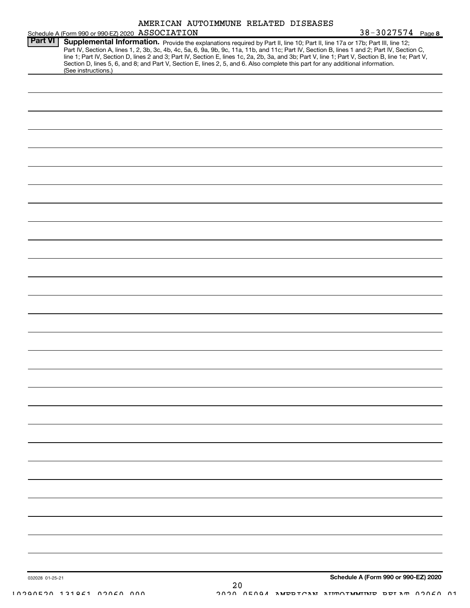|                |                                                  |  | AMERICAN AUTOIMMUNE RELATED DISEASES |                                                                                                                                                                                                                                                                                                                                                                                                                                                                                                                                                                      |  |
|----------------|--------------------------------------------------|--|--------------------------------------|----------------------------------------------------------------------------------------------------------------------------------------------------------------------------------------------------------------------------------------------------------------------------------------------------------------------------------------------------------------------------------------------------------------------------------------------------------------------------------------------------------------------------------------------------------------------|--|
|                | Schedule A (Form 990 or 990-EZ) 2020 ASSOCIATION |  |                                      | 38-3027574 Page 8                                                                                                                                                                                                                                                                                                                                                                                                                                                                                                                                                    |  |
| <b>Part VI</b> | (See instructions.)                              |  |                                      | Supplemental Information. Provide the explanations required by Part II, line 10; Part II, line 17a or 17b; Part III, line 12;<br>Part IV, Section A, lines 1, 2, 3b, 3c, 4b, 4c, 5a, 6, 9a, 9b, 9c, 11a, 11b, and 11c; Part IV, Section B, lines 1 and 2; Part IV, Section C,<br>line 1; Part IV, Section D, lines 2 and 3; Part IV, Section E, lines 1c, 2a, 2b, 3a, and 3b; Part V, line 1; Part V, Section B, line 1e; Part V,<br>Section D, lines 5, 6, and 8; and Part V, Section E, lines 2, 5, and 6. Also complete this part for any additional information. |  |
|                |                                                  |  |                                      |                                                                                                                                                                                                                                                                                                                                                                                                                                                                                                                                                                      |  |
|                |                                                  |  |                                      |                                                                                                                                                                                                                                                                                                                                                                                                                                                                                                                                                                      |  |
|                |                                                  |  |                                      |                                                                                                                                                                                                                                                                                                                                                                                                                                                                                                                                                                      |  |
|                |                                                  |  |                                      |                                                                                                                                                                                                                                                                                                                                                                                                                                                                                                                                                                      |  |
|                |                                                  |  |                                      |                                                                                                                                                                                                                                                                                                                                                                                                                                                                                                                                                                      |  |
|                |                                                  |  |                                      |                                                                                                                                                                                                                                                                                                                                                                                                                                                                                                                                                                      |  |
|                |                                                  |  |                                      |                                                                                                                                                                                                                                                                                                                                                                                                                                                                                                                                                                      |  |
|                |                                                  |  |                                      |                                                                                                                                                                                                                                                                                                                                                                                                                                                                                                                                                                      |  |
|                |                                                  |  |                                      |                                                                                                                                                                                                                                                                                                                                                                                                                                                                                                                                                                      |  |
|                |                                                  |  |                                      |                                                                                                                                                                                                                                                                                                                                                                                                                                                                                                                                                                      |  |
|                |                                                  |  |                                      |                                                                                                                                                                                                                                                                                                                                                                                                                                                                                                                                                                      |  |
|                |                                                  |  |                                      |                                                                                                                                                                                                                                                                                                                                                                                                                                                                                                                                                                      |  |
|                |                                                  |  |                                      |                                                                                                                                                                                                                                                                                                                                                                                                                                                                                                                                                                      |  |
|                |                                                  |  |                                      |                                                                                                                                                                                                                                                                                                                                                                                                                                                                                                                                                                      |  |
|                |                                                  |  |                                      |                                                                                                                                                                                                                                                                                                                                                                                                                                                                                                                                                                      |  |
|                |                                                  |  |                                      |                                                                                                                                                                                                                                                                                                                                                                                                                                                                                                                                                                      |  |
|                |                                                  |  |                                      |                                                                                                                                                                                                                                                                                                                                                                                                                                                                                                                                                                      |  |
|                |                                                  |  |                                      |                                                                                                                                                                                                                                                                                                                                                                                                                                                                                                                                                                      |  |
|                |                                                  |  |                                      |                                                                                                                                                                                                                                                                                                                                                                                                                                                                                                                                                                      |  |
|                |                                                  |  |                                      |                                                                                                                                                                                                                                                                                                                                                                                                                                                                                                                                                                      |  |
|                |                                                  |  |                                      |                                                                                                                                                                                                                                                                                                                                                                                                                                                                                                                                                                      |  |
|                |                                                  |  |                                      |                                                                                                                                                                                                                                                                                                                                                                                                                                                                                                                                                                      |  |
|                |                                                  |  |                                      |                                                                                                                                                                                                                                                                                                                                                                                                                                                                                                                                                                      |  |
|                |                                                  |  |                                      |                                                                                                                                                                                                                                                                                                                                                                                                                                                                                                                                                                      |  |
|                |                                                  |  |                                      |                                                                                                                                                                                                                                                                                                                                                                                                                                                                                                                                                                      |  |
|                |                                                  |  |                                      |                                                                                                                                                                                                                                                                                                                                                                                                                                                                                                                                                                      |  |
|                |                                                  |  |                                      |                                                                                                                                                                                                                                                                                                                                                                                                                                                                                                                                                                      |  |
|                |                                                  |  |                                      |                                                                                                                                                                                                                                                                                                                                                                                                                                                                                                                                                                      |  |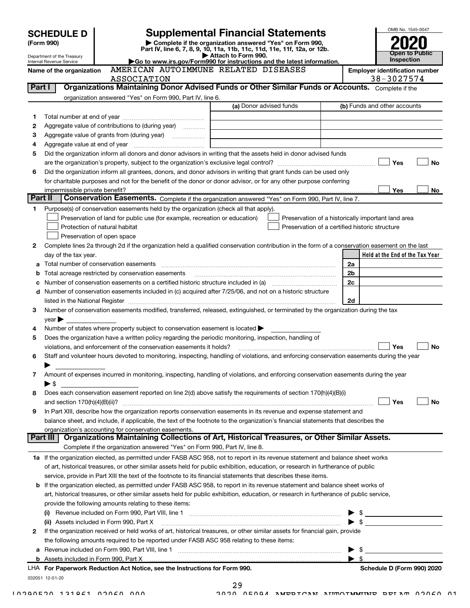|         | <b>SCHEDULE D</b>                            |                                                                                           | <b>Supplemental Financial Statements</b>                                                                                                                                                                                                                                                                                                                          | OMB No. 1545-0047                                   |
|---------|----------------------------------------------|-------------------------------------------------------------------------------------------|-------------------------------------------------------------------------------------------------------------------------------------------------------------------------------------------------------------------------------------------------------------------------------------------------------------------------------------------------------------------|-----------------------------------------------------|
|         | (Form 990)                                   |                                                                                           | Complete if the organization answered "Yes" on Form 990,                                                                                                                                                                                                                                                                                                          |                                                     |
|         | Department of the Treasury                   |                                                                                           | Part IV, line 6, 7, 8, 9, 10, 11a, 11b, 11c, 11d, 11e, 11f, 12a, or 12b.<br>Attach to Form 990.                                                                                                                                                                                                                                                                   | <b>Open to Public</b>                               |
|         | Internal Revenue Service                     |                                                                                           | Go to www.irs.gov/Form990 for instructions and the latest information.                                                                                                                                                                                                                                                                                            | Inspection                                          |
|         | Name of the organization                     | AMERICAN AUTOIMMUNE RELATED DISEASES<br>ASSOCIATION                                       |                                                                                                                                                                                                                                                                                                                                                                   | <b>Employer identification number</b><br>38-3027574 |
| Part I  |                                              |                                                                                           | Organizations Maintaining Donor Advised Funds or Other Similar Funds or Accounts. Complete if the                                                                                                                                                                                                                                                                 |                                                     |
|         |                                              | organization answered "Yes" on Form 990, Part IV, line 6.                                 |                                                                                                                                                                                                                                                                                                                                                                   |                                                     |
|         |                                              |                                                                                           | (a) Donor advised funds                                                                                                                                                                                                                                                                                                                                           | (b) Funds and other accounts                        |
| 1       |                                              |                                                                                           |                                                                                                                                                                                                                                                                                                                                                                   |                                                     |
| 2       |                                              | Aggregate value of contributions to (during year)                                         |                                                                                                                                                                                                                                                                                                                                                                   |                                                     |
| з       |                                              | Aggregate value of grants from (during year)                                              |                                                                                                                                                                                                                                                                                                                                                                   |                                                     |
| 4<br>5  |                                              |                                                                                           | Did the organization inform all donors and donor advisors in writing that the assets held in donor advised funds                                                                                                                                                                                                                                                  |                                                     |
|         |                                              |                                                                                           |                                                                                                                                                                                                                                                                                                                                                                   | No<br>Yes                                           |
| 6       |                                              |                                                                                           | Did the organization inform all grantees, donors, and donor advisors in writing that grant funds can be used only                                                                                                                                                                                                                                                 |                                                     |
|         |                                              |                                                                                           | for charitable purposes and not for the benefit of the donor or donor advisor, or for any other purpose conferring                                                                                                                                                                                                                                                |                                                     |
|         | impermissible private benefit?               |                                                                                           |                                                                                                                                                                                                                                                                                                                                                                   | Yes<br>No                                           |
| Part II |                                              |                                                                                           | <b>Conservation Easements.</b> Complete if the organization answered "Yes" on Form 990, Part IV, line 7.                                                                                                                                                                                                                                                          |                                                     |
| 1.      |                                              | Purpose(s) of conservation easements held by the organization (check all that apply).     |                                                                                                                                                                                                                                                                                                                                                                   |                                                     |
|         |                                              | Preservation of land for public use (for example, recreation or education)                |                                                                                                                                                                                                                                                                                                                                                                   | Preservation of a historically important land area  |
|         | Protection of natural habitat                |                                                                                           | Preservation of a certified historic structure                                                                                                                                                                                                                                                                                                                    |                                                     |
|         | Preservation of open space                   |                                                                                           |                                                                                                                                                                                                                                                                                                                                                                   |                                                     |
| 2       |                                              |                                                                                           | Complete lines 2a through 2d if the organization held a qualified conservation contribution in the form of a conservation easement on the last                                                                                                                                                                                                                    |                                                     |
|         | day of the tax year.                         |                                                                                           |                                                                                                                                                                                                                                                                                                                                                                   | Held at the End of the Tax Year                     |
| a       | Total number of conservation easements       |                                                                                           |                                                                                                                                                                                                                                                                                                                                                                   | 2a                                                  |
| b       |                                              | Total acreage restricted by conservation easements                                        |                                                                                                                                                                                                                                                                                                                                                                   | 2 <sub>b</sub>                                      |
| c       |                                              |                                                                                           | Number of conservation easements included in (c) acquired after 7/25/06, and not on a historic structure                                                                                                                                                                                                                                                          | 2 <sub>c</sub>                                      |
| d       |                                              |                                                                                           |                                                                                                                                                                                                                                                                                                                                                                   | 2d                                                  |
| 3       |                                              |                                                                                           | listed in the National Register [111] Marshall Register [11] Marshall Register [11] Marshall Register [11] Marshall Register [11] Marshall Register [11] Marshall Register [11] Marshall Register [11] Marshall Register [11]<br>Number of conservation easements modified, transferred, released, extinguished, or terminated by the organization during the tax |                                                     |
|         | year                                         |                                                                                           |                                                                                                                                                                                                                                                                                                                                                                   |                                                     |
| 4       |                                              | Number of states where property subject to conservation easement is located               |                                                                                                                                                                                                                                                                                                                                                                   |                                                     |
| 5       |                                              |                                                                                           | Does the organization have a written policy regarding the periodic monitoring, inspection, handling of                                                                                                                                                                                                                                                            |                                                     |
|         |                                              | violations, and enforcement of the conservation easements it holds?                       |                                                                                                                                                                                                                                                                                                                                                                   | <b>No</b><br>Yes                                    |
| 6       |                                              |                                                                                           | Staff and volunteer hours devoted to monitoring, inspecting, handling of violations, and enforcing conservation easements during the year                                                                                                                                                                                                                         |                                                     |
|         |                                              |                                                                                           |                                                                                                                                                                                                                                                                                                                                                                   |                                                     |
| 7       |                                              |                                                                                           | Amount of expenses incurred in monitoring, inspecting, handling of violations, and enforcing conservation easements during the year                                                                                                                                                                                                                               |                                                     |
|         | $\blacktriangleright$ \$                     |                                                                                           |                                                                                                                                                                                                                                                                                                                                                                   |                                                     |
| 8       |                                              |                                                                                           | Does each conservation easement reported on line 2(d) above satisfy the requirements of section 170(h)(4)(B)(i)                                                                                                                                                                                                                                                   |                                                     |
|         |                                              |                                                                                           |                                                                                                                                                                                                                                                                                                                                                                   | Yes<br>No                                           |
| 9       |                                              |                                                                                           | In Part XIII, describe how the organization reports conservation easements in its revenue and expense statement and                                                                                                                                                                                                                                               |                                                     |
|         |                                              | organization's accounting for conservation easements.                                     | balance sheet, and include, if applicable, the text of the footnote to the organization's financial statements that describes the                                                                                                                                                                                                                                 |                                                     |
|         | Part III                                     |                                                                                           | Organizations Maintaining Collections of Art, Historical Treasures, or Other Similar Assets.                                                                                                                                                                                                                                                                      |                                                     |
|         |                                              | Complete if the organization answered "Yes" on Form 990, Part IV, line 8.                 |                                                                                                                                                                                                                                                                                                                                                                   |                                                     |
|         |                                              |                                                                                           | 1a If the organization elected, as permitted under FASB ASC 958, not to report in its revenue statement and balance sheet works                                                                                                                                                                                                                                   |                                                     |
|         |                                              |                                                                                           | of art, historical treasures, or other similar assets held for public exhibition, education, or research in furtherance of public                                                                                                                                                                                                                                 |                                                     |
|         |                                              |                                                                                           | service, provide in Part XIII the text of the footnote to its financial statements that describes these items.                                                                                                                                                                                                                                                    |                                                     |
|         |                                              |                                                                                           | <b>b</b> If the organization elected, as permitted under FASB ASC 958, to report in its revenue statement and balance sheet works of                                                                                                                                                                                                                              |                                                     |
|         |                                              |                                                                                           | art, historical treasures, or other similar assets held for public exhibition, education, or research in furtherance of public service,                                                                                                                                                                                                                           |                                                     |
|         |                                              | provide the following amounts relating to these items:                                    |                                                                                                                                                                                                                                                                                                                                                                   |                                                     |
|         |                                              |                                                                                           | (i) Revenue included on Form 990, Part VIII, line 1 [1] [1] [1] [1] [1] [1] [1] Revenue included on Form 990, Part VIII, line 1                                                                                                                                                                                                                                   |                                                     |
|         | (ii) Assets included in Form 990, Part X     |                                                                                           |                                                                                                                                                                                                                                                                                                                                                                   | $\mathbb{S}$                                        |
| 2       |                                              |                                                                                           | If the organization received or held works of art, historical treasures, or other similar assets for financial gain, provide                                                                                                                                                                                                                                      |                                                     |
|         |                                              | the following amounts required to be reported under FASB ASC 958 relating to these items: |                                                                                                                                                                                                                                                                                                                                                                   |                                                     |
| а       |                                              |                                                                                           |                                                                                                                                                                                                                                                                                                                                                                   | \$<br>\$                                            |
|         | <b>b</b> Assets included in Form 990, Part X | LHA For Paperwork Reduction Act Notice, see the Instructions for Form 990.                |                                                                                                                                                                                                                                                                                                                                                                   | Schedule D (Form 990) 2020                          |
|         |                                              |                                                                                           |                                                                                                                                                                                                                                                                                                                                                                   |                                                     |

032051 12-01-20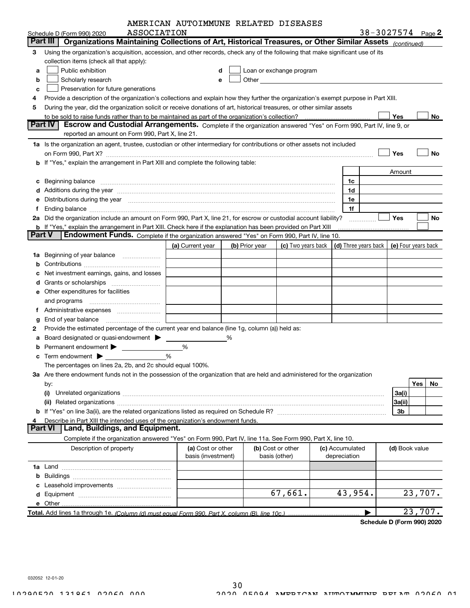|               |                                                                                                                                                                                                                      | AMERICAN AUTOIMMUNE RELATED DISEASES    |   |                |                                                                                                                                                                                                                               |                                 |                                            |           |
|---------------|----------------------------------------------------------------------------------------------------------------------------------------------------------------------------------------------------------------------|-----------------------------------------|---|----------------|-------------------------------------------------------------------------------------------------------------------------------------------------------------------------------------------------------------------------------|---------------------------------|--------------------------------------------|-----------|
|               | ASSOCIATION<br>Schedule D (Form 990) 2020                                                                                                                                                                            |                                         |   |                |                                                                                                                                                                                                                               |                                 | 38-3027574 Page 2                          |           |
|               | Part III<br>Organizations Maintaining Collections of Art, Historical Treasures, or Other Similar Assets (continued)                                                                                                  |                                         |   |                |                                                                                                                                                                                                                               |                                 |                                            |           |
| 3             | Using the organization's acquisition, accession, and other records, check any of the following that make significant use of its                                                                                      |                                         |   |                |                                                                                                                                                                                                                               |                                 |                                            |           |
|               | collection items (check all that apply):                                                                                                                                                                             |                                         |   |                |                                                                                                                                                                                                                               |                                 |                                            |           |
| a             | Public exhibition                                                                                                                                                                                                    |                                         | d |                | Loan or exchange program                                                                                                                                                                                                      |                                 |                                            |           |
| b             | Scholarly research                                                                                                                                                                                                   |                                         | е |                | Other and the contract of the contract of the contract of the contract of the contract of the contract of the contract of the contract of the contract of the contract of the contract of the contract of the contract of the |                                 |                                            |           |
| c             | Preservation for future generations                                                                                                                                                                                  |                                         |   |                |                                                                                                                                                                                                                               |                                 |                                            |           |
|               | Provide a description of the organization's collections and explain how they further the organization's exempt purpose in Part XIII.                                                                                 |                                         |   |                |                                                                                                                                                                                                                               |                                 |                                            |           |
| 5             | During the year, did the organization solicit or receive donations of art, historical treasures, or other similar assets                                                                                             |                                         |   |                |                                                                                                                                                                                                                               |                                 |                                            |           |
|               | to be sold to raise funds rather than to be maintained as part of the organization's collection?                                                                                                                     |                                         |   |                |                                                                                                                                                                                                                               |                                 | Yes                                        | No        |
|               | <b>Part IV</b><br>Escrow and Custodial Arrangements. Complete if the organization answered "Yes" on Form 990, Part IV, line 9, or                                                                                    |                                         |   |                |                                                                                                                                                                                                                               |                                 |                                            |           |
|               | reported an amount on Form 990, Part X, line 21.                                                                                                                                                                     |                                         |   |                |                                                                                                                                                                                                                               |                                 |                                            |           |
|               | 1a Is the organization an agent, trustee, custodian or other intermediary for contributions or other assets not included                                                                                             |                                         |   |                |                                                                                                                                                                                                                               |                                 |                                            |           |
|               |                                                                                                                                                                                                                      |                                         |   |                |                                                                                                                                                                                                                               |                                 | Yes                                        | No        |
|               | b If "Yes," explain the arrangement in Part XIII and complete the following table:                                                                                                                                   |                                         |   |                |                                                                                                                                                                                                                               |                                 |                                            |           |
|               |                                                                                                                                                                                                                      |                                         |   |                |                                                                                                                                                                                                                               |                                 | Amount                                     |           |
| c             | Beginning balance material continuum contract and a set of the contract of the contract of the contract of the                                                                                                       |                                         |   |                |                                                                                                                                                                                                                               | 1c                              |                                            |           |
|               |                                                                                                                                                                                                                      |                                         |   |                |                                                                                                                                                                                                                               | 1d                              |                                            |           |
|               | Distributions during the year manufactured and continuum and contact the year manufactured and contact the year                                                                                                      |                                         |   |                |                                                                                                                                                                                                                               | 1e                              |                                            |           |
|               |                                                                                                                                                                                                                      |                                         |   |                |                                                                                                                                                                                                                               | 1f                              |                                            |           |
|               | 2a Did the organization include an amount on Form 990, Part X, line 21, for escrow or custodial account liability?                                                                                                   |                                         |   |                |                                                                                                                                                                                                                               |                                 | Yes                                        | No        |
| <b>Part V</b> | <b>b</b> If "Yes," explain the arrangement in Part XIII. Check here if the explanation has been provided on Part XIII<br>Endowment Funds. Complete if the organization answered "Yes" on Form 990, Part IV, line 10. |                                         |   |                |                                                                                                                                                                                                                               |                                 |                                            |           |
|               |                                                                                                                                                                                                                      | (a) Current year                        |   | (b) Prior year | (c) Two years back                                                                                                                                                                                                            |                                 | (d) Three years back   (e) Four years back |           |
| 1а            | Beginning of year balance                                                                                                                                                                                            |                                         |   |                |                                                                                                                                                                                                                               |                                 |                                            |           |
|               |                                                                                                                                                                                                                      |                                         |   |                |                                                                                                                                                                                                                               |                                 |                                            |           |
|               | Net investment earnings, gains, and losses                                                                                                                                                                           |                                         |   |                |                                                                                                                                                                                                                               |                                 |                                            |           |
|               | Grants or scholarships                                                                                                                                                                                               |                                         |   |                |                                                                                                                                                                                                                               |                                 |                                            |           |
|               | e Other expenditures for facilities                                                                                                                                                                                  |                                         |   |                |                                                                                                                                                                                                                               |                                 |                                            |           |
|               |                                                                                                                                                                                                                      |                                         |   |                |                                                                                                                                                                                                                               |                                 |                                            |           |
| f             |                                                                                                                                                                                                                      |                                         |   |                |                                                                                                                                                                                                                               |                                 |                                            |           |
|               | End of year balance                                                                                                                                                                                                  |                                         |   |                |                                                                                                                                                                                                                               |                                 |                                            |           |
| 2             | Provide the estimated percentage of the current year end balance (line 1g, column (a)) held as:                                                                                                                      |                                         |   |                |                                                                                                                                                                                                                               |                                 |                                            |           |
|               | Board designated or quasi-endowment >                                                                                                                                                                                |                                         | % |                |                                                                                                                                                                                                                               |                                 |                                            |           |
|               | Permanent endowment >                                                                                                                                                                                                | %                                       |   |                |                                                                                                                                                                                                                               |                                 |                                            |           |
|               | c Term endowment $\blacktriangleright$                                                                                                                                                                               | %                                       |   |                |                                                                                                                                                                                                                               |                                 |                                            |           |
|               | The percentages on lines 2a, 2b, and 2c should equal 100%.                                                                                                                                                           |                                         |   |                |                                                                                                                                                                                                                               |                                 |                                            |           |
|               | 3a Are there endowment funds not in the possession of the organization that are held and administered for the organization                                                                                           |                                         |   |                |                                                                                                                                                                                                                               |                                 |                                            |           |
|               | by:                                                                                                                                                                                                                  |                                         |   |                |                                                                                                                                                                                                                               |                                 |                                            | Yes<br>No |
|               | (i)                                                                                                                                                                                                                  |                                         |   |                |                                                                                                                                                                                                                               |                                 | 3a(i)                                      |           |
|               |                                                                                                                                                                                                                      |                                         |   |                |                                                                                                                                                                                                                               |                                 | 3a(ii)                                     |           |
|               |                                                                                                                                                                                                                      |                                         |   |                |                                                                                                                                                                                                                               |                                 | 3b                                         |           |
|               | Describe in Part XIII the intended uses of the organization's endowment funds.                                                                                                                                       |                                         |   |                |                                                                                                                                                                                                                               |                                 |                                            |           |
|               | Land, Buildings, and Equipment.<br><b>Part VI</b>                                                                                                                                                                    |                                         |   |                |                                                                                                                                                                                                                               |                                 |                                            |           |
|               | Complete if the organization answered "Yes" on Form 990, Part IV, line 11a. See Form 990, Part X, line 10.                                                                                                           |                                         |   |                |                                                                                                                                                                                                                               |                                 |                                            |           |
|               | Description of property                                                                                                                                                                                              | (a) Cost or other<br>basis (investment) |   |                | (b) Cost or other<br>basis (other)                                                                                                                                                                                            | (c) Accumulated<br>depreciation | (d) Book value                             |           |
|               |                                                                                                                                                                                                                      |                                         |   |                |                                                                                                                                                                                                                               |                                 |                                            |           |
| b             |                                                                                                                                                                                                                      |                                         |   |                |                                                                                                                                                                                                                               |                                 |                                            |           |
|               |                                                                                                                                                                                                                      |                                         |   |                |                                                                                                                                                                                                                               |                                 |                                            |           |
|               |                                                                                                                                                                                                                      |                                         |   |                | 67,661.                                                                                                                                                                                                                       | 43,954.                         |                                            | 23,707.   |
|               | e Other                                                                                                                                                                                                              |                                         |   |                |                                                                                                                                                                                                                               |                                 |                                            |           |
|               | Total. Add lines 1a through 1e. (Column (d) must equal Form 990, Part X, column (B), line 10c.)                                                                                                                      |                                         |   |                |                                                                                                                                                                                                                               |                                 |                                            | 23,707.   |
|               |                                                                                                                                                                                                                      |                                         |   |                |                                                                                                                                                                                                                               |                                 |                                            |           |

Schedule D (Form 990) 2020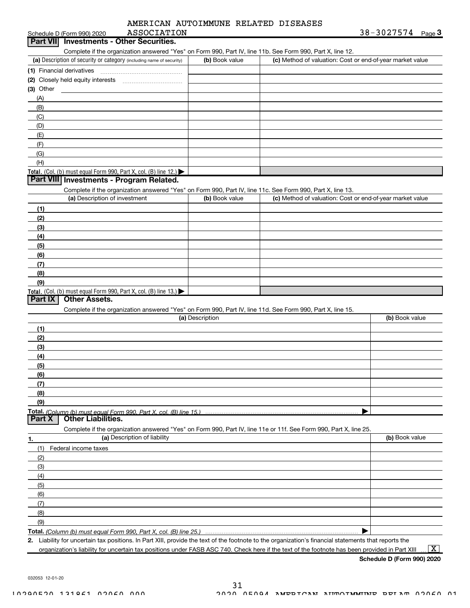| AMERICAN AUTOIMMUNE RELATED DISEASES |  |
|--------------------------------------|--|
|                                      |  |

| ASSOCIATION<br>Schedule D (Form 990) 2020                                                                  |                                                                                                                   |                                                           | 38-3027574 Page 3 |
|------------------------------------------------------------------------------------------------------------|-------------------------------------------------------------------------------------------------------------------|-----------------------------------------------------------|-------------------|
| Part VII Investments - Other Securities.                                                                   |                                                                                                                   |                                                           |                   |
| Complete if the organization answered "Yes" on Form 990, Part IV, line 11b. See Form 990, Part X, line 12. |                                                                                                                   |                                                           |                   |
| (a) Description of security or category (including name of security)                                       | (b) Book value                                                                                                    | (c) Method of valuation: Cost or end-of-year market value |                   |
|                                                                                                            |                                                                                                                   |                                                           |                   |
|                                                                                                            |                                                                                                                   |                                                           |                   |
| $(3)$ Other                                                                                                |                                                                                                                   |                                                           |                   |
| (A)                                                                                                        |                                                                                                                   |                                                           |                   |
| (B)                                                                                                        |                                                                                                                   |                                                           |                   |
| (C)                                                                                                        |                                                                                                                   |                                                           |                   |
| (D)                                                                                                        |                                                                                                                   |                                                           |                   |
| (E)                                                                                                        |                                                                                                                   |                                                           |                   |
| (F)                                                                                                        |                                                                                                                   |                                                           |                   |
|                                                                                                            |                                                                                                                   |                                                           |                   |
| (G)                                                                                                        |                                                                                                                   |                                                           |                   |
| (H)                                                                                                        |                                                                                                                   |                                                           |                   |
| Total. (Col. (b) must equal Form 990, Part X, col. (B) line 12.)                                           |                                                                                                                   |                                                           |                   |
| Part VIII Investments - Program Related.                                                                   |                                                                                                                   |                                                           |                   |
| Complete if the organization answered "Yes" on Form 990, Part IV, line 11c. See Form 990, Part X, line 13. |                                                                                                                   |                                                           |                   |
| (a) Description of investment                                                                              | (b) Book value                                                                                                    | (c) Method of valuation: Cost or end-of-year market value |                   |
| (1)                                                                                                        |                                                                                                                   |                                                           |                   |
| (2)                                                                                                        |                                                                                                                   |                                                           |                   |
| (3)                                                                                                        |                                                                                                                   |                                                           |                   |
| (4)                                                                                                        |                                                                                                                   |                                                           |                   |
| (5)                                                                                                        |                                                                                                                   |                                                           |                   |
| (6)                                                                                                        |                                                                                                                   |                                                           |                   |
| (7)                                                                                                        |                                                                                                                   |                                                           |                   |
| (8)                                                                                                        |                                                                                                                   |                                                           |                   |
|                                                                                                            |                                                                                                                   |                                                           |                   |
| (9)                                                                                                        |                                                                                                                   |                                                           |                   |
| Total. (Col. (b) must equal Form 990, Part X, col. (B) line 13.)<br><b>Other Assets.</b><br>Part IX        |                                                                                                                   |                                                           |                   |
|                                                                                                            |                                                                                                                   |                                                           |                   |
| Complete if the organization answered "Yes" on Form 990, Part IV, line 11d. See Form 990, Part X, line 15. |                                                                                                                   |                                                           |                   |
|                                                                                                            | (a) Description                                                                                                   |                                                           | (b) Book value    |
| (1)                                                                                                        |                                                                                                                   |                                                           |                   |
| (2)                                                                                                        |                                                                                                                   |                                                           |                   |
| (3)                                                                                                        |                                                                                                                   |                                                           |                   |
| (4)                                                                                                        |                                                                                                                   |                                                           |                   |
| (5)                                                                                                        |                                                                                                                   |                                                           |                   |
| (6)                                                                                                        |                                                                                                                   |                                                           |                   |
| (7)                                                                                                        |                                                                                                                   |                                                           |                   |
| (8)                                                                                                        |                                                                                                                   |                                                           |                   |
| (9)                                                                                                        |                                                                                                                   |                                                           |                   |
|                                                                                                            |                                                                                                                   |                                                           |                   |
| <b>Other Liabilities.</b><br>Part X                                                                        |                                                                                                                   |                                                           |                   |
|                                                                                                            |                                                                                                                   |                                                           |                   |
|                                                                                                            |                                                                                                                   |                                                           |                   |
|                                                                                                            | Complete if the organization answered "Yes" on Form 990, Part IV, line 11e or 11f. See Form 990, Part X, line 25. |                                                           |                   |
| (a) Description of liability                                                                               |                                                                                                                   |                                                           | (b) Book value    |
| (1)<br>Federal income taxes                                                                                |                                                                                                                   |                                                           |                   |
| (2)                                                                                                        |                                                                                                                   |                                                           |                   |
| (3)                                                                                                        |                                                                                                                   |                                                           |                   |
| 1.<br>(4)                                                                                                  |                                                                                                                   |                                                           |                   |
| (5)                                                                                                        |                                                                                                                   |                                                           |                   |
| (6)                                                                                                        |                                                                                                                   |                                                           |                   |
| (7)                                                                                                        |                                                                                                                   |                                                           |                   |
|                                                                                                            |                                                                                                                   |                                                           |                   |
| (8)                                                                                                        |                                                                                                                   |                                                           |                   |
| (9)                                                                                                        |                                                                                                                   |                                                           |                   |

organization's liability for uncertain tax positions under FASB ASC 740. Check here if the text of the footnote has been provided in Part XIII  $\ldots$   $\boxed{\mathrm{X}}$ 

Schedule D (Form 990) 2020

032053 12-01-20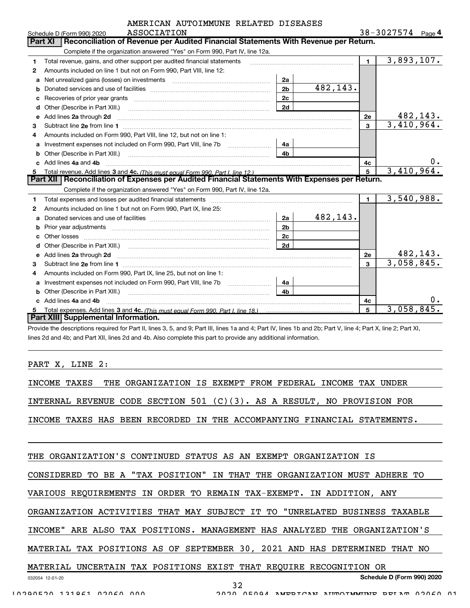| AMERICAN AUTOIMMUNE RELATED DISEASES |  |
|--------------------------------------|--|
|                                      |  |

|    | ASSOCIATION<br>Schedule D (Form 990) 2020                                                                                                                                                                                           |                |           |                | 38-3027574 Page 4       |    |
|----|-------------------------------------------------------------------------------------------------------------------------------------------------------------------------------------------------------------------------------------|----------------|-----------|----------------|-------------------------|----|
|    | Reconciliation of Revenue per Audited Financial Statements With Revenue per Return.<br>Part XI                                                                                                                                      |                |           |                |                         |    |
|    | Complete if the organization answered "Yes" on Form 990, Part IV, line 12a.                                                                                                                                                         |                |           |                |                         |    |
| 1  | Total revenue, gains, and other support per audited financial statements                                                                                                                                                            |                |           | $\blacksquare$ | $\overline{3,893},107.$ |    |
| 2  | Amounts included on line 1 but not on Form 990, Part VIII, line 12:                                                                                                                                                                 |                |           |                |                         |    |
| a  |                                                                                                                                                                                                                                     | 2a             |           |                |                         |    |
| b  |                                                                                                                                                                                                                                     | 2 <sub>b</sub> | 482, 143. |                |                         |    |
|    |                                                                                                                                                                                                                                     | 2 <sub>c</sub> |           |                |                         |    |
|    |                                                                                                                                                                                                                                     | 2d             |           |                |                         |    |
| е  | Add lines 2a through 2d                                                                                                                                                                                                             |                |           | 2e             | 482, 143.               |    |
| 3  |                                                                                                                                                                                                                                     |                |           | 3              | 3,410,964.              |    |
| 4  | Amounts included on Form 990. Part VIII. line 12, but not on line 1:                                                                                                                                                                |                |           |                |                         |    |
|    |                                                                                                                                                                                                                                     | 4a             |           |                |                         |    |
|    |                                                                                                                                                                                                                                     | 4 <sub>b</sub> |           |                |                         |    |
| c. | Add lines 4a and 4b                                                                                                                                                                                                                 |                |           | 4c             |                         | 0. |
| 5. |                                                                                                                                                                                                                                     |                |           | $5^{\circ}$    | 3,410,964.              |    |
|    | Part XII   Reconciliation of Expenses per Audited Financial Statements With Expenses per Return.                                                                                                                                    |                |           |                |                         |    |
|    | Complete if the organization answered "Yes" on Form 990, Part IV, line 12a.                                                                                                                                                         |                |           |                |                         |    |
| 1  |                                                                                                                                                                                                                                     |                |           | $\mathbf{1}$   | 3,540,988.              |    |
| 2  | Amounts included on line 1 but not on Form 990, Part IX, line 25:                                                                                                                                                                   |                |           |                |                         |    |
| a  |                                                                                                                                                                                                                                     | 2a             | 482,143.  |                |                         |    |
|    |                                                                                                                                                                                                                                     | 2 <sub>b</sub> |           |                |                         |    |
| c  |                                                                                                                                                                                                                                     | 2 <sub>c</sub> |           |                |                         |    |
|    |                                                                                                                                                                                                                                     | 2d             |           |                |                         |    |
|    | e Add lines 2a through 2d <b>contained a contract and a contract a</b> contract a contract a contract a contract a contract a contract a contract a contract a contract a contract a contract a contract a contract a contract a co |                |           | 2e             | 482,143.                |    |
| 3  |                                                                                                                                                                                                                                     |                |           | $\mathbf{a}$   | 3,058,845.              |    |
| 4  | Amounts included on Form 990, Part IX, line 25, but not on line 1:                                                                                                                                                                  |                |           |                |                         |    |
| a  | Investment expenses not included on Form 990, Part VIII, line 7b [1000000000000000000000000000000000                                                                                                                                | 4a             |           |                |                         |    |
|    |                                                                                                                                                                                                                                     | 4 <sub>b</sub> |           |                |                         |    |
|    | c Add lines 4a and 4b                                                                                                                                                                                                               |                |           | 4c             |                         | 0. |
|    |                                                                                                                                                                                                                                     |                |           |                |                         |    |
|    | Part XIII Supplemental Information.                                                                                                                                                                                                 |                |           | 5              | 3,058,845.              |    |

Provide the descriptions required for Part II, lines 3, 5, and 9; Part III, lines 1a and 4; Part IV, lines 1b and 2b; Part V, line 4; Part X, line 2; Part XI, lines 2d and 4b; and Part XII, lines 2d and 4b. Also complete this part to provide any additional information.

PART X, LINE 2:

INCOME TAXES THE ORGANIZATION IS EXEMPT FROM FEDERAL INCOME TAX UNDER

INTERNAL REVENUE CODE SECTION 501 (C)(3). AS A RESULT, NO PROVISION FOR

INCOME TAXES HAS BEEN RECORDED IN THE ACCOMPANYING FINANCIAL STATEMENTS.

THE ORGANIZATION'S CONTINUED STATUS AS AN EXEMPT ORGANIZATION IS

CONSIDERED TO BE A "TAX POSITION" IN THAT THE ORGANIZATION MUST ADHERE TO

VARIOUS REQUIREMENTS IN ORDER TO REMAIN TAX-EXEMPT. IN ADDITION, ANY

ORGANIZATION ACTIVITIES THAT MAY SUBJECT IT TO "UNRELATED BUSINESS TAXABLE

INCOME" ARE ALSO TAX POSITIONS. MANAGEMENT HAS ANALYZED THE ORGANIZATION'S

MATERIAL TAX POSITIONS AS OF SEPTEMBER 30, 2021 AND HAS DETERMINED THAT NO

#### MATERIAL UNCERTAIN TAX POSITIONS EXIST THAT REQUIRE RECOGNITION OR

Schedule D (Form 990) 2020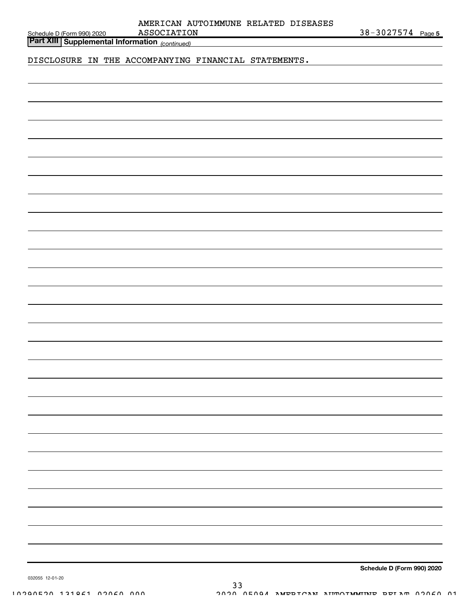|  | DISCLOSURE IN THE ACCOMPANYING FINANCIAL STATEMENTS. |  |
|--|------------------------------------------------------|--|
|  |                                                      |  |
|  |                                                      |  |
|  |                                                      |  |
|  |                                                      |  |
|  |                                                      |  |
|  |                                                      |  |
|  |                                                      |  |
|  |                                                      |  |
|  |                                                      |  |
|  |                                                      |  |
|  |                                                      |  |
|  |                                                      |  |
|  |                                                      |  |
|  |                                                      |  |
|  |                                                      |  |
|  |                                                      |  |
|  |                                                      |  |
|  |                                                      |  |
|  |                                                      |  |
|  |                                                      |  |
|  |                                                      |  |
|  |                                                      |  |
|  |                                                      |  |
|  |                                                      |  |
|  |                                                      |  |
|  |                                                      |  |
|  |                                                      |  |
|  |                                                      |  |
|  |                                                      |  |
|  |                                                      |  |
|  |                                                      |  |
|  |                                                      |  |
|  |                                                      |  |
|  |                                                      |  |
|  |                                                      |  |
|  |                                                      |  |
|  |                                                      |  |
|  |                                                      |  |
|  |                                                      |  |
|  |                                                      |  |
|  |                                                      |  |
|  |                                                      |  |
|  |                                                      |  |
|  |                                                      |  |
|  |                                                      |  |

Schedule D (Form 990) 2020

032055 12-01-20

|                    | AMERICAN AUTOIMMUNE RELATED DISEASES |  |            |        |
|--------------------|--------------------------------------|--|------------|--------|
| <b>ASSOCIATION</b> |                                      |  | 38-3027574 | Page 5 |

Part XIII Supplemental Information <sub>(continued)</sub>

Schedule D (Form 990) 2020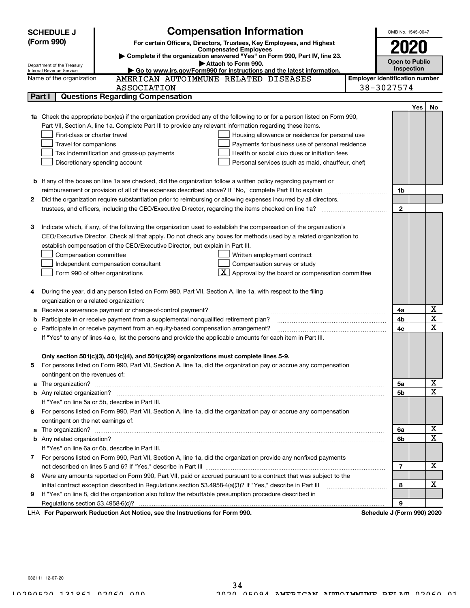|                                                                                                                                    | <b>Compensation Information</b><br><b>SCHEDULE J</b>                                                                                                                                                 |                                       | OMB No. 1545-0047          |                       |             |
|------------------------------------------------------------------------------------------------------------------------------------|------------------------------------------------------------------------------------------------------------------------------------------------------------------------------------------------------|---------------------------------------|----------------------------|-----------------------|-------------|
|                                                                                                                                    | (Form 990)<br>For certain Officers, Directors, Trustees, Key Employees, and Highest                                                                                                                  |                                       |                            |                       |             |
|                                                                                                                                    | <b>Compensated Employees</b>                                                                                                                                                                         |                                       | 2020                       |                       |             |
|                                                                                                                                    | Complete if the organization answered "Yes" on Form 990, Part IV, line 23.<br>Attach to Form 990.                                                                                                    |                                       |                            | <b>Open to Public</b> |             |
| Department of the Treasury<br>► Go to www.irs.gov/Form990 for instructions and the latest information.<br>Internal Revenue Service |                                                                                                                                                                                                      |                                       |                            | Inspection            |             |
|                                                                                                                                    | AMERICAN AUTOIMMUNE RELATED DISEASES<br>Name of the organization                                                                                                                                     | <b>Employer identification number</b> |                            |                       |             |
|                                                                                                                                    | ASSOCIATION                                                                                                                                                                                          | 38-3027574                            |                            |                       |             |
|                                                                                                                                    | <b>Questions Regarding Compensation</b><br>Part I                                                                                                                                                    |                                       |                            |                       |             |
|                                                                                                                                    |                                                                                                                                                                                                      |                                       |                            | Yes                   | No          |
| 1a                                                                                                                                 | Check the appropriate box(es) if the organization provided any of the following to or for a person listed on Form 990,                                                                               |                                       |                            |                       |             |
|                                                                                                                                    | Part VII, Section A, line 1a. Complete Part III to provide any relevant information regarding these items.                                                                                           |                                       |                            |                       |             |
|                                                                                                                                    | First-class or charter travel<br>Housing allowance or residence for personal use                                                                                                                     |                                       |                            |                       |             |
|                                                                                                                                    | Travel for companions<br>Payments for business use of personal residence                                                                                                                             |                                       |                            |                       |             |
|                                                                                                                                    | Health or social club dues or initiation fees<br>Tax indemnification and gross-up payments                                                                                                           |                                       |                            |                       |             |
|                                                                                                                                    | Discretionary spending account<br>Personal services (such as maid, chauffeur, chef)                                                                                                                  |                                       |                            |                       |             |
|                                                                                                                                    |                                                                                                                                                                                                      |                                       |                            |                       |             |
|                                                                                                                                    | <b>b</b> If any of the boxes on line 1a are checked, did the organization follow a written policy regarding payment or                                                                               |                                       |                            |                       |             |
|                                                                                                                                    |                                                                                                                                                                                                      |                                       | 1b                         |                       |             |
| 2                                                                                                                                  | Did the organization require substantiation prior to reimbursing or allowing expenses incurred by all directors,                                                                                     |                                       |                            |                       |             |
|                                                                                                                                    |                                                                                                                                                                                                      |                                       | $\mathbf{2}$               |                       |             |
|                                                                                                                                    |                                                                                                                                                                                                      |                                       |                            |                       |             |
| з                                                                                                                                  | Indicate which, if any, of the following the organization used to establish the compensation of the organization's                                                                                   |                                       |                            |                       |             |
|                                                                                                                                    | CEO/Executive Director. Check all that apply. Do not check any boxes for methods used by a related organization to<br>establish compensation of the CEO/Executive Director, but explain in Part III. |                                       |                            |                       |             |
|                                                                                                                                    | Compensation committee<br>Written employment contract                                                                                                                                                |                                       |                            |                       |             |
|                                                                                                                                    |                                                                                                                                                                                                      |                                       |                            |                       |             |
|                                                                                                                                    | Compensation survey or study<br>Independent compensation consultant                                                                                                                                  |                                       |                            |                       |             |
|                                                                                                                                    | Approval by the board or compensation committee<br>Form 990 of other organizations                                                                                                                   |                                       |                            |                       |             |
| 4                                                                                                                                  | During the year, did any person listed on Form 990, Part VII, Section A, line 1a, with respect to the filing                                                                                         |                                       |                            |                       |             |
|                                                                                                                                    | organization or a related organization:                                                                                                                                                              |                                       |                            |                       |             |
| а                                                                                                                                  | Receive a severance payment or change-of-control payment?                                                                                                                                            |                                       | 4a                         |                       | X           |
|                                                                                                                                    | Participate in or receive payment from a supplemental nonqualified retirement plan?                                                                                                                  |                                       | 4b                         |                       | X           |
|                                                                                                                                    | Participate in or receive payment from an equity-based compensation arrangement?                                                                                                                     |                                       | 4c                         |                       | $\mathbf x$ |
|                                                                                                                                    | If "Yes" to any of lines 4a-c, list the persons and provide the applicable amounts for each item in Part III.                                                                                        |                                       |                            |                       |             |
|                                                                                                                                    |                                                                                                                                                                                                      |                                       |                            |                       |             |
|                                                                                                                                    | Only section 501(c)(3), 501(c)(4), and 501(c)(29) organizations must complete lines 5-9.                                                                                                             |                                       |                            |                       |             |
| 5                                                                                                                                  | For persons listed on Form 990, Part VII, Section A, line 1a, did the organization pay or accrue any compensation                                                                                    |                                       |                            |                       |             |
|                                                                                                                                    | contingent on the revenues of:                                                                                                                                                                       |                                       |                            |                       |             |
| a                                                                                                                                  |                                                                                                                                                                                                      |                                       | 5a                         |                       | х           |
|                                                                                                                                    |                                                                                                                                                                                                      |                                       | 5b                         |                       | X           |
|                                                                                                                                    | If "Yes" on line 5a or 5b, describe in Part III.                                                                                                                                                     |                                       |                            |                       |             |
|                                                                                                                                    | 6 For persons listed on Form 990, Part VII, Section A, line 1a, did the organization pay or accrue any compensation                                                                                  |                                       |                            |                       |             |
|                                                                                                                                    | contingent on the net earnings of:                                                                                                                                                                   |                                       |                            |                       |             |
| a                                                                                                                                  |                                                                                                                                                                                                      |                                       | 6a                         |                       | х           |
|                                                                                                                                    |                                                                                                                                                                                                      |                                       | 6b                         |                       | $\mathbf X$ |
|                                                                                                                                    | If "Yes" on line 6a or 6b, describe in Part III.                                                                                                                                                     |                                       |                            |                       |             |
|                                                                                                                                    | 7 For persons listed on Form 990, Part VII, Section A, line 1a, did the organization provide any nonfixed payments                                                                                   |                                       |                            |                       |             |
|                                                                                                                                    |                                                                                                                                                                                                      |                                       | $\overline{7}$             |                       | х           |
| 8                                                                                                                                  | Were any amounts reported on Form 990, Part VII, paid or accrued pursuant to a contract that was subject to the                                                                                      |                                       |                            |                       |             |
|                                                                                                                                    | initial contract exception described in Regulations section 53.4958-4(a)(3)? If "Yes," describe in Part III                                                                                          |                                       | 8                          |                       | X           |
| 9                                                                                                                                  | If "Yes" on line 8, did the organization also follow the rebuttable presumption procedure described in                                                                                               |                                       |                            |                       |             |
|                                                                                                                                    | Regulations section 53.4958-6(c)?                                                                                                                                                                    |                                       | 9                          |                       |             |
|                                                                                                                                    | LHA For Paperwork Reduction Act Notice, see the Instructions for Form 990.                                                                                                                           |                                       | Schedule J (Form 990) 2020 |                       |             |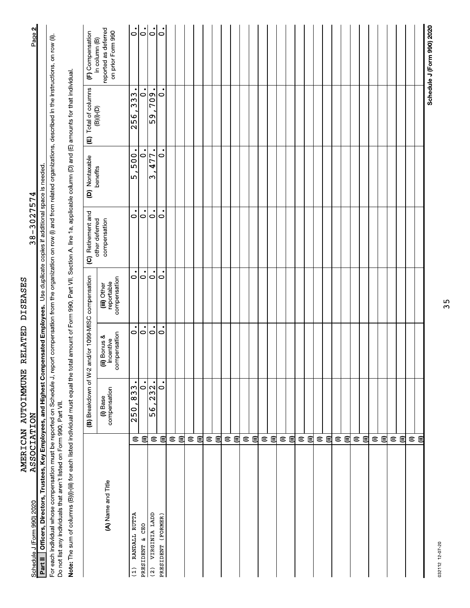| <b>ASSOCIATION</b><br>Schedule J (Form 990) 2020                                                                                                                                                                                                                                 |                         |                          |                                           |                                           | $38 - 3027574$                 |                  |                                                          | Page 2                                                     |
|----------------------------------------------------------------------------------------------------------------------------------------------------------------------------------------------------------------------------------------------------------------------------------|-------------------------|--------------------------|-------------------------------------------|-------------------------------------------|--------------------------------|------------------|----------------------------------------------------------|------------------------------------------------------------|
| <b>∣ Officers, Directors, Trustees, Key Employees, and Highest Compensated Employees.</b> Use duplicate copies if additional space is needed<br>Part II                                                                                                                          |                         |                          |                                           |                                           |                                |                  |                                                          |                                                            |
| For each individual whose compensation must be reported on Schedule J, report compensation from the organization on row (i) and from related organizations, described in the instructions, on row (ii).<br>Do not list any individuals that aren't listed on Form 990, Part VII. |                         |                          |                                           |                                           |                                |                  |                                                          |                                                            |
| Note: The sum of columns (B)(i)-(iii) for each listed individual must equal the total amount of Form 990, Part VII, Section A, line 1a, applicable column (D) and (E) amounts for that individual.                                                                               |                         |                          |                                           |                                           |                                |                  |                                                          |                                                            |
|                                                                                                                                                                                                                                                                                  |                         | (B) Breakdown of W-2     |                                           | and/or 1099-MISC compensation             | (C) Retirement and             | (D) Nontaxable   | Total of columns<br>(B)(i)-(D)<br>$\widehat{\mathbf{E}}$ | (F) Compensation                                           |
| (A) Name and Title                                                                                                                                                                                                                                                               |                         | compensation<br>(i) Base | compensation<br>(ii) Bonus &<br>incentive | compensation<br>reportable<br>(iii) Other | compensation<br>other deferred | benefits         |                                                          | reported as deferred<br>on prior Form 990<br>in column (B) |
| RANDALL RUTTA<br>(1)                                                                                                                                                                                                                                                             | $\in$                   | 833<br>250,              | 0                                         | $\bullet$<br>0                            | $\circ$                        | 5,500.           | $\bullet$<br>333<br>256                                  |                                                            |
| <b>CEO</b><br>PRESIDENT &                                                                                                                                                                                                                                                        | ⊜                       | $\dot{\circ}$            | $\dot{\circ}$                             | $\dot{\circ}$                             | $\circ$                        | $\mathbf{\circ}$ | 0                                                        | $\frac{1}{5}$                                              |
| VIRGINIA LADD<br>$\frac{2}{2}$                                                                                                                                                                                                                                                   | $\widehat{=}$           | 232.<br>6م<br>م          | $\bullet$<br>lo                           | $\bullet$<br>lo                           | $\dot{\circ}$                  | 477<br>$\sim$    | $\frac{60L}{2}$<br>c)<br>LO                              |                                                            |
| PRESIDENT (FORMER)                                                                                                                                                                                                                                                               | €                       | $\dot{\circ}$            | $\dot{\circ}$                             | $\bullet$<br>$\circ$                      | $\dot{\circ}$                  | $\circ$          | $\circ$                                                  | $\circ$                                                    |
|                                                                                                                                                                                                                                                                                  | $\mathrel{\widehat{=}}$ |                          |                                           |                                           |                                |                  |                                                          |                                                            |
|                                                                                                                                                                                                                                                                                  | €                       |                          |                                           |                                           |                                |                  |                                                          |                                                            |
|                                                                                                                                                                                                                                                                                  | $\mathrel{\widehat{=}}$ |                          |                                           |                                           |                                |                  |                                                          |                                                            |
|                                                                                                                                                                                                                                                                                  | $\oplus$                |                          |                                           |                                           |                                |                  |                                                          |                                                            |
|                                                                                                                                                                                                                                                                                  | $\mathrel{\widehat{=}}$ |                          |                                           |                                           |                                |                  |                                                          |                                                            |
|                                                                                                                                                                                                                                                                                  | $\blacksquare$          |                          |                                           |                                           |                                |                  |                                                          |                                                            |
|                                                                                                                                                                                                                                                                                  | $\mathrel{\widehat{=}}$ |                          |                                           |                                           |                                |                  |                                                          |                                                            |
|                                                                                                                                                                                                                                                                                  | ⊜                       |                          |                                           |                                           |                                |                  |                                                          |                                                            |
|                                                                                                                                                                                                                                                                                  | $\widehat{=}$           |                          |                                           |                                           |                                |                  |                                                          |                                                            |
|                                                                                                                                                                                                                                                                                  | €                       |                          |                                           |                                           |                                |                  |                                                          |                                                            |
|                                                                                                                                                                                                                                                                                  | $\mathrel{\widehat{=}}$ |                          |                                           |                                           |                                |                  |                                                          |                                                            |
|                                                                                                                                                                                                                                                                                  | €                       |                          |                                           |                                           |                                |                  |                                                          |                                                            |
|                                                                                                                                                                                                                                                                                  | $\mathrel{\widehat{=}}$ |                          |                                           |                                           |                                |                  |                                                          |                                                            |
|                                                                                                                                                                                                                                                                                  | €                       |                          |                                           |                                           |                                |                  |                                                          |                                                            |
|                                                                                                                                                                                                                                                                                  | $\mathrel{\widehat{=}}$ |                          |                                           |                                           |                                |                  |                                                          |                                                            |
|                                                                                                                                                                                                                                                                                  | $\epsilon$              |                          |                                           |                                           |                                |                  |                                                          |                                                            |
|                                                                                                                                                                                                                                                                                  | $\mathrel{\widehat{=}}$ |                          |                                           |                                           |                                |                  |                                                          |                                                            |
|                                                                                                                                                                                                                                                                                  | €                       |                          |                                           |                                           |                                |                  |                                                          |                                                            |
|                                                                                                                                                                                                                                                                                  | $\widehat{=}$           |                          |                                           |                                           |                                |                  |                                                          |                                                            |
|                                                                                                                                                                                                                                                                                  | $\widehat{\epsilon}$    |                          |                                           |                                           |                                |                  |                                                          |                                                            |
|                                                                                                                                                                                                                                                                                  | $\mathrel{\widehat{=}}$ |                          |                                           |                                           |                                |                  |                                                          |                                                            |
|                                                                                                                                                                                                                                                                                  | €                       |                          |                                           |                                           |                                |                  |                                                          |                                                            |
|                                                                                                                                                                                                                                                                                  | $\mathrel{\widehat{=}}$ |                          |                                           |                                           |                                |                  |                                                          |                                                            |
|                                                                                                                                                                                                                                                                                  | ⊜                       |                          |                                           |                                           |                                |                  |                                                          |                                                            |
|                                                                                                                                                                                                                                                                                  | $\mathrel{\widehat{=}}$ |                          |                                           |                                           |                                |                  |                                                          |                                                            |
|                                                                                                                                                                                                                                                                                  | $\blacksquare$          |                          |                                           |                                           |                                |                  |                                                          |                                                            |
|                                                                                                                                                                                                                                                                                  | $\mathrel{\widehat{=}}$ |                          |                                           |                                           |                                |                  |                                                          |                                                            |
|                                                                                                                                                                                                                                                                                  | €                       |                          |                                           |                                           |                                |                  |                                                          |                                                            |
|                                                                                                                                                                                                                                                                                  |                         |                          |                                           |                                           |                                |                  |                                                          | Schedule J (Form 990) 2020                                 |

AMERICAN AUTOIMMUNE RELATED DISEASES<br>ASSOCIATION

 $38 - 3027574$ 

 $35$ 

032112 12-07-20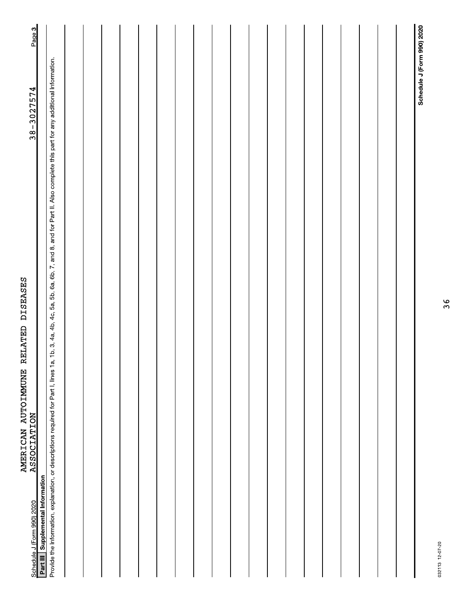| <b>ASSOCIATION</b><br>Part III Supplemental Information<br>Schedule J (Form 990) 2020                                                                                                                      | $38 - 3027574$             | Page 3 |
|------------------------------------------------------------------------------------------------------------------------------------------------------------------------------------------------------------|----------------------------|--------|
| Provide the information, explanation, or descriptions required for Part I, lines 1a, 1b, 3, 4a, 4b, 4c, 5a, 5b, 6a, 6b, 7, and 8, and for Part II. Also complete this part for any additional information. |                            |        |
|                                                                                                                                                                                                            |                            |        |
|                                                                                                                                                                                                            |                            |        |
|                                                                                                                                                                                                            |                            |        |
|                                                                                                                                                                                                            |                            |        |
|                                                                                                                                                                                                            |                            |        |
|                                                                                                                                                                                                            |                            |        |
|                                                                                                                                                                                                            |                            |        |
|                                                                                                                                                                                                            |                            |        |
|                                                                                                                                                                                                            |                            |        |
|                                                                                                                                                                                                            |                            |        |
|                                                                                                                                                                                                            |                            |        |
|                                                                                                                                                                                                            |                            |        |
|                                                                                                                                                                                                            |                            |        |
|                                                                                                                                                                                                            |                            |        |
|                                                                                                                                                                                                            |                            |        |
|                                                                                                                                                                                                            |                            |        |
|                                                                                                                                                                                                            |                            |        |
|                                                                                                                                                                                                            |                            |        |
|                                                                                                                                                                                                            |                            |        |
|                                                                                                                                                                                                            | Schedule J (Form 990) 2020 |        |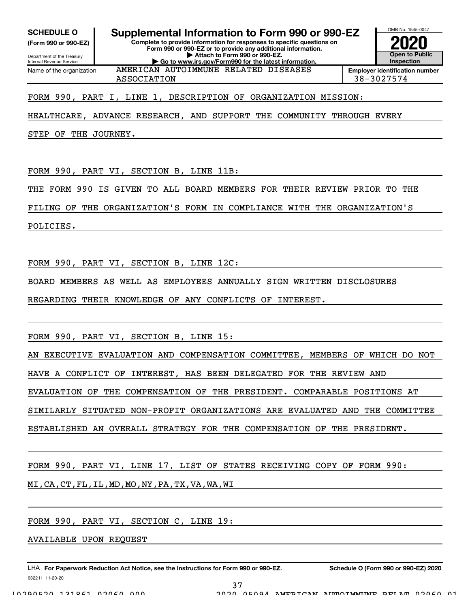(Form 990 or 990-EZ)

Department of the Treasury Internal Revenue Service Name of the organization

SCHEDULE 0 | Supplemental Information to Form 990 or 990-EZ

Complete to provide information for responses to specific questions on Form 990 or 990-EZ or to provide any additional information. | Attach to Form 990 or 990-EZ. | Go to www.irs.gov/Form990 for the latest information.

Open to Public **Inspection** Employer identification number

OMB No. 1545-0047

ASSOCIATION 38-3027574

FORM 990, PART I, LINE 1, DESCRIPTION OF ORGANIZATION MISSION:

HEALTHCARE, ADVANCE RESEARCH, AND SUPPORT THE COMMUNITY THROUGH EVERY

AMERICAN AUTOIMMUNE RELATED DISEASES

STEP OF THE JOURNEY.

FORM 990, PART VI, SECTION B, LINE 11B:

THE FORM 990 IS GIVEN TO ALL BOARD MEMBERS FOR THEIR REVIEW PRIOR TO THE

FILING OF THE ORGANIZATION'S FORM IN COMPLIANCE WITH THE ORGANIZATION'S

POLICIES.

FORM 990, PART VI, SECTION B, LINE 12C:

BOARD MEMBERS AS WELL AS EMPLOYEES ANNUALLY SIGN WRITTEN DISCLOSURES

REGARDING THEIR KNOWLEDGE OF ANY CONFLICTS OF INTEREST.

FORM 990, PART VI, SECTION B, LINE 15:

AN EXECUTIVE EVALUATION AND COMPENSATION COMMITTEE, MEMBERS OF WHICH DO NOT

HAVE A CONFLICT OF INTEREST, HAS BEEN DELEGATED FOR THE REVIEW AND

EVALUATION OF THE COMPENSATION OF THE PRESIDENT. COMPARABLE POSITIONS AT

SIMILARLY SITUATED NON-PROFIT ORGANIZATIONS ARE EVALUATED AND THE COMMITTEE

ESTABLISHED AN OVERALL STRATEGY FOR THE COMPENSATION OF THE PRESIDENT.

FORM 990, PART VI, LINE 17, LIST OF STATES RECEIVING COPY OF FORM 990:

MI,CA,CT,FL,IL,MD,MO,NY,PA,TX,VA,WA,WI

FORM 990, PART VI, SECTION C, LINE 19:

AVAILABLE UPON REQUEST

032211 11-20-20 LHA For Paperwork Reduction Act Notice, see the Instructions for Form 990 or 990-EZ. Schedule O (Form 990 or 990-EZ) 2020 LET (1990 or 990-EZ) 2020